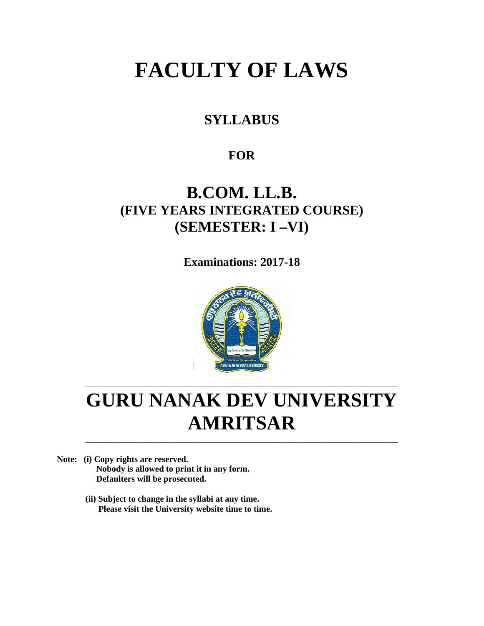# **FACULTY OF LAWS**

## **SYLLABUS**

### **FOR**

## **B.COM. LL.B. (FIVE YEARS INTEGRATED COURSE) (SEMESTER: I –VI)**

**Examinations: 2017-18**



# **GURU NANAK DEV UNIVERSITY AMRITSAR**

\_\_\_\_\_\_\_\_\_\_\_\_\_\_\_\_\_\_\_\_\_\_\_\_\_\_\_\_\_\_\_\_\_\_\_\_\_\_\_\_\_\_\_\_\_\_\_\_\_\_\_\_\_\_\_\_\_\_\_\_\_\_\_\_\_\_\_\_\_\_\_\_

\_\_\_\_\_\_\_\_\_\_\_\_\_\_\_\_\_\_\_\_\_\_\_\_\_\_\_\_\_\_\_\_\_\_\_\_\_\_\_\_\_\_\_\_\_\_\_\_\_\_\_\_\_\_\_\_\_\_\_\_\_\_\_\_\_\_\_\_\_\_\_\_

**Note: (i) Copy rights are reserved. Nobody is allowed to print it in any form. Defaulters will be prosecuted.**

> **(ii) Subject to change in the syllabi at any time. Please visit the University website time to time.**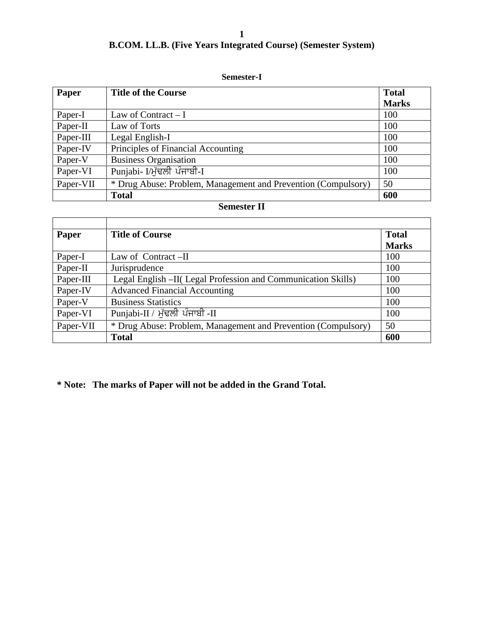### **B.COM. LL.B. (Five Years Integrated Course) (Semester System)**

### **Semester-I**

| Paper     | <b>Title of the Course</b>                                    | <b>Total</b><br><b>Marks</b> |
|-----------|---------------------------------------------------------------|------------------------------|
| Paper-I   | Law of Contract $-I$                                          | 100                          |
| Paper-II  | Law of Torts                                                  | 100                          |
| Paper-III | Legal English-I                                               | 100                          |
| Paper-IV  | Principles of Financial Accounting                            | 100                          |
| Paper-V   | <b>Business Organisation</b>                                  | 100                          |
| Paper-VI  | Punjabi- I/ਮੱਢਲੀ ਪੰਜਾਬੀ-I                                     | 100                          |
| Paper-VII | * Drug Abuse: Problem, Management and Prevention (Compulsory) | 50                           |
|           | <b>Total</b>                                                  | 600                          |

### **Semester II**

| Paper     | <b>Title of Course</b>                                        | <b>Total</b><br><b>Marks</b> |
|-----------|---------------------------------------------------------------|------------------------------|
| Paper-I   | Law of Contract -II                                           | 100                          |
| Paper-II  | Jurisprudence                                                 | 100                          |
| Paper-III | Legal English –II(Legal Profession and Communication Skills)  | 100                          |
| Paper-IV  | <b>Advanced Financial Accounting</b>                          | 100                          |
| Paper-V   | <b>Business Statistics</b>                                    | 100                          |
| Paper-VI  | Punjabi-II / ਮੁੱਢਲੀ ਪੰਜਾਬੀ -II                                | 100                          |
| Paper-VII | * Drug Abuse: Problem, Management and Prevention (Compulsory) | 50                           |
|           | <b>Total</b>                                                  | 600                          |

**\* Note: The marks of Paper will not be added in the Grand Total.**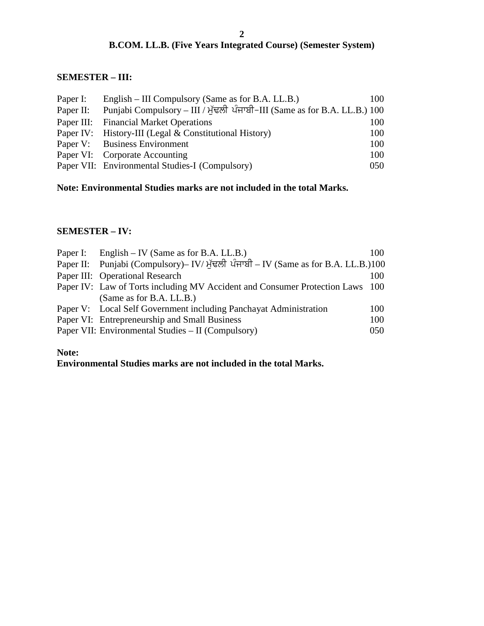### **B.COM. LL.B. (Five Years Integrated Course) (Semester System)**

### **SEMESTER – III:**

| Paper I: | English – III Compulsory (Same as for B.A. LL.B.)                                   | 100 |
|----------|-------------------------------------------------------------------------------------|-----|
|          | Paper II: Punjabi Compulsory – III / ਮੁੱਢਲੀ ਪੰਜਾਬੀ-III (Same as for B.A. LL.B.) 100 |     |
|          | Paper III: Financial Market Operations                                              | 100 |
|          | Paper IV: History-III (Legal & Constitutional History)                              | 100 |
|          | Paper V: Business Environment                                                       | 100 |
|          | Paper VI: Corporate Accounting                                                      | 100 |
|          | Paper VII: Environmental Studies-I (Compulsory)                                     | 050 |

### **Note: Environmental Studies marks are not included in the total Marks.**

### **SEMESTER – IV:**

| Paper I: English – IV (Same as for B.A. LL.B.)                                    | 100 |
|-----------------------------------------------------------------------------------|-----|
| Paper II: Punjabi (Compulsory)– IV/ਮੁੱਢਲੀ ਪੰਜਾਬੀ – IV (Same as for B.A. LL.B.)100 |     |
| Paper III: Operational Research                                                   | 100 |
| Paper IV: Law of Torts including MV Accident and Consumer Protection Laws 100     |     |
| (Same as for B.A. LL.B.)                                                          |     |
| Paper V: Local Self Government including Panchayat Administration                 | 100 |
| Paper VI: Entrepreneurship and Small Business                                     | 100 |
| Paper VII: Environmental Studies – II (Compulsory)                                | 050 |

### **Note:**

**Environmental Studies marks are not included in the total Marks.**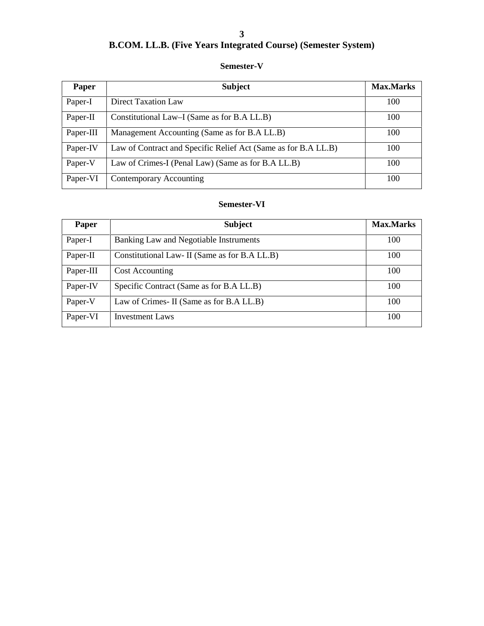### **B.COM. LL.B. (Five Years Integrated Course) (Semester System)**

### **Semester-V**

| Paper     | <b>Subject</b>                                                 | <b>Max.Marks</b> |
|-----------|----------------------------------------------------------------|------------------|
| Paper-I   | Direct Taxation Law                                            | 100              |
| Paper-II  | Constitutional Law–I (Same as for B.A LL.B)                    | 100              |
| Paper-III | Management Accounting (Same as for B.A LL.B)                   | 100              |
| Paper-IV  | Law of Contract and Specific Relief Act (Same as for B.A LL.B) | 100              |
| Paper-V   | Law of Crimes-I (Penal Law) (Same as for B.A LL.B)             | 100              |
| Paper-VI  | Contemporary Accounting                                        | 100              |

### **Semester-VI**

| Paper     | <b>Subject</b>                                | <b>Max.Marks</b> |
|-----------|-----------------------------------------------|------------------|
| Paper-I   | Banking Law and Negotiable Instruments        | 100              |
| Paper-II  | Constitutional Law- II (Same as for B.A LL.B) | 100              |
| Paper-III | <b>Cost Accounting</b>                        | 100              |
| Paper-IV  | Specific Contract (Same as for B.A LL.B)      | 100              |
| Paper-V   | Law of Crimes - II (Same as for B.A LL.B)     | 100              |
| Paper-VI  | <b>Investment Laws</b>                        | 100              |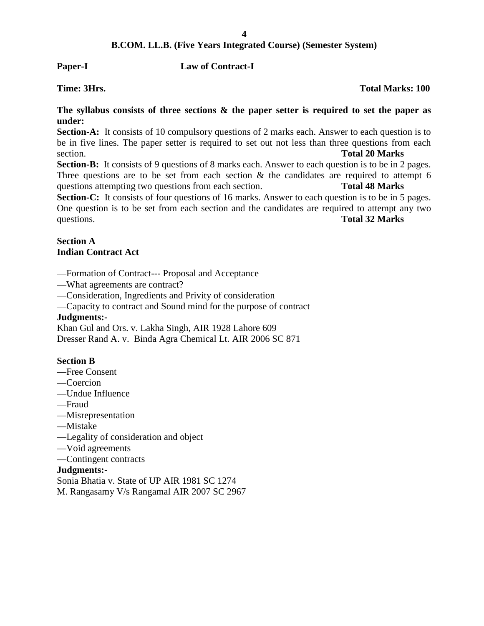**Paper-I Law of Contract-I**

**Time: 3Hrs. Total Marks: 100**

**The syllabus consists of three sections & the paper setter is required to set the paper as under:**

**Section-A:** It consists of 10 compulsory questions of 2 marks each. Answer to each question is to be in five lines. The paper setter is required to set out not less than three questions from each section. **Total 20 Marks**

**Section-B:** It consists of 9 questions of 8 marks each. Answer to each question is to be in 2 pages. Three questions are to be set from each section  $\&$  the candidates are required to attempt 6 questions attempting two questions from each section. **Total 48 Marks**

Section-C: It consists of four questions of 16 marks. Answer to each question is to be in 5 pages. One question is to be set from each section and the candidates are required to attempt any two questions. **Total 32 Marks**

### **Section A Indian Contract Act**

- —Formation of Contract--- Proposal and Acceptance
- —What agreements are contract?
- —Consideration, Ingredients and Privity of consideration
- —Capacity to contract and Sound mind for the purpose of contract

### **Judgments:-**

Khan Gul and Ors. v. Lakha Singh, AIR 1928 Lahore 609 Dresser Rand A. v. Binda Agra Chemical Lt. AIR 2006 SC 871

### **Section B**

- —Free Consent
- —Coercion
- —Undue Influence
- —Fraud
- —Misrepresentation
- —Mistake
- —Legality of consideration and object
- —Void agreements
- —Contingent contracts

### **Judgments:-**

Sonia Bhatia v. State of UP AIR 1981 SC 1274

M. Rangasamy V/s Rangamal AIR 2007 SC 2967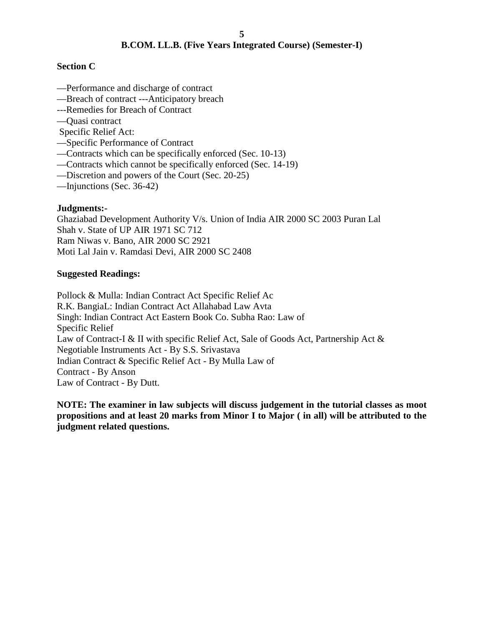### **Section C**

- —Performance and discharge of contract
- —Breach of contract ---Anticipatory breach
- ---Remedies for Breach of Contract
- —Quasi contract

Specific Relief Act:

- —Specific Performance of Contract
- —Contracts which can be specifically enforced (Sec. 10-13)
- —Contracts which cannot be specifically enforced (Sec. 14-19)
- —Discretion and powers of the Court (Sec. 20-25)
- —Injunctions (Sec. 36-42)

### **Judgments:-**

Ghaziabad Development Authority V/s. Union of India AIR 2000 SC 2003 Puran Lal Shah v. State of UP AIR 1971 SC 712 Ram Niwas v. Bano, AIR 2000 SC 2921 Moti Lal Jain v. Ramdasi Devi, AIR 2000 SC 2408

### **Suggested Readings:**

Pollock & Mulla: Indian Contract Act Specific Relief Ac R.K. BangiaL: Indian Contract Act Allahabad Law Avta Singh: Indian Contract Act Eastern Book Co. Subha Rao: Law of Specific Relief Law of Contract-I & II with specific Relief Act, Sale of Goods Act, Partnership Act & Negotiable Instruments Act - By S.S. Srivastava Indian Contract & Specific Relief Act - By Mulla Law of Contract - By Anson Law of Contract - By Dutt.

**NOTE: The examiner in law subjects will discuss judgement in the tutorial classes as moot propositions and at least 20 marks from Minor I to Major ( in all) will be attributed to the judgment related questions.**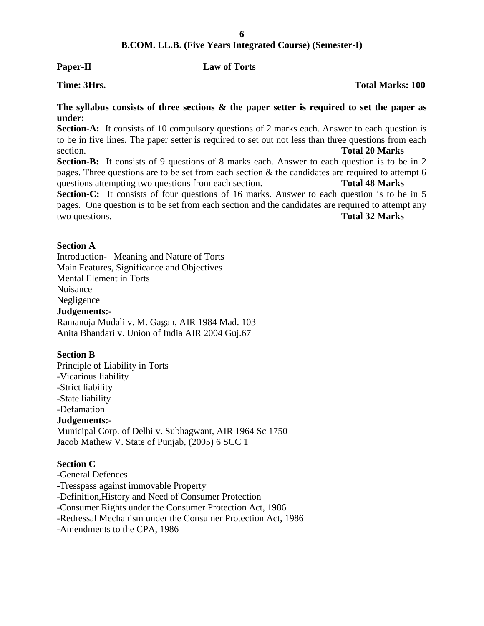### **Paper-II Law of Torts**

### **The syllabus consists of three sections & the paper setter is required to set the paper as under:**

**Section-A:** It consists of 10 compulsory questions of 2 marks each. Answer to each question is to be in five lines. The paper setter is required to set out not less than three questions from each section. **Total 20 Marks**

Section-B: It consists of 9 questions of 8 marks each. Answer to each question is to be in 2 pages. Three questions are to be set from each section  $\&$  the candidates are required to attempt 6 questions attempting two questions from each section. **Total 48 Marks**

Section-C: It consists of four questions of 16 marks. Answer to each question is to be in 5 pages. One question is to be set from each section and the candidates are required to attempt any two questions. **Total 32 Marks**

### **Section A**

Introduction- Meaning and Nature of Torts Main Features, Significance and Objectives Mental Element in Torts Nuisance Negligence **Judgements:-** Ramanuja Mudali v. M. Gagan, AIR 1984 Mad. 103 Anita Bhandari v. Union of India AIR 2004 Guj.67

### **Section B**

Principle of Liability in Torts -Vicarious liability -Strict liability -State liability -Defamation **Judgements:-** Municipal Corp. of Delhi v. Subhagwant, AIR 1964 Sc 1750 Jacob Mathew V. State of Punjab, (2005) 6 SCC 1

### **Section C**

-General Defences -Tresspass against immovable Property -Definition,History and Need of Consumer Protection -Consumer Rights under the Consumer Protection Act, 1986 -Redressal Mechanism under the Consumer Protection Act, 1986 -Amendments to the CPA, 1986

### **Time: 3Hrs. Total Marks: 100**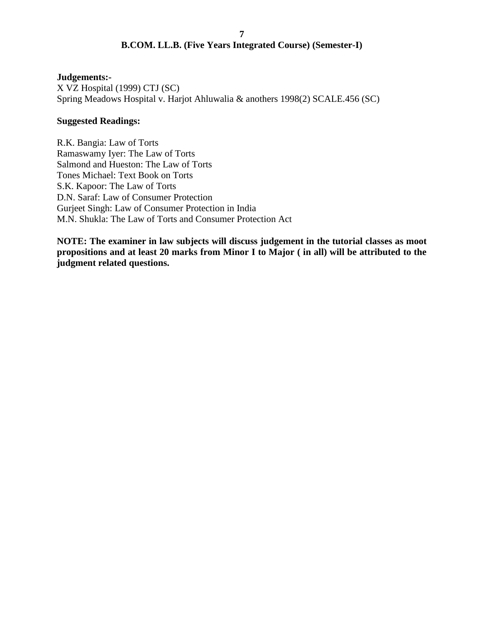### **Judgements:-**

X VZ Hospital (1999) CTJ (SC) Spring Meadows Hospital v. Harjot Ahluwalia & anothers 1998(2) SCALE.456 (SC)

### **Suggested Readings:**

R.K. Bangia: Law of Torts Ramaswamy Iyer: The Law of Torts Salmond and Hueston: The Law of Torts Tones Michael: Text Book on Torts S.K. Kapoor: The Law of Torts D.N. Saraf: Law of Consumer Protection Gurjeet Singh: Law of Consumer Protection in India M.N. Shukla: The Law of Torts and Consumer Protection Act

**NOTE: The examiner in law subjects will discuss judgement in the tutorial classes as moot propositions and at least 20 marks from Minor I to Major ( in all) will be attributed to the judgment related questions.**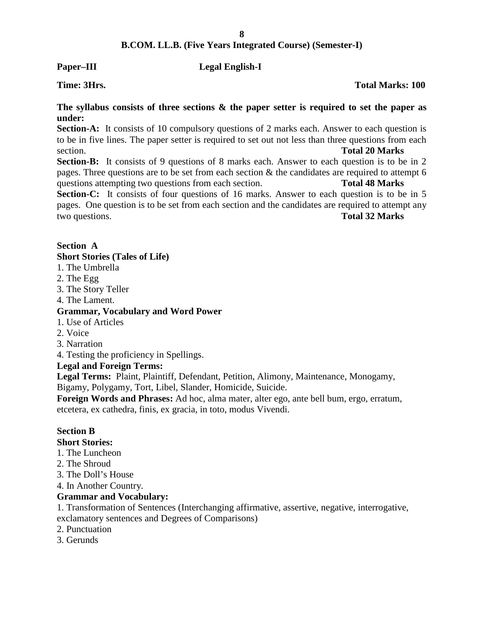### **Paper–III Legal English-I**

**The syllabus consists of three sections & the paper setter is required to set the paper as under:**

**Section-A:** It consists of 10 compulsory questions of 2 marks each. Answer to each question is to be in five lines. The paper setter is required to set out not less than three questions from each section. **Total 20 Marks**

Section-B: It consists of 9 questions of 8 marks each. Answer to each question is to be in 2 pages. Three questions are to be set from each section  $\&$  the candidates are required to attempt 6 questions attempting two questions from each section. **Total 48 Marks**

Section-C: It consists of four questions of 16 marks. Answer to each question is to be in 5 pages. One question is to be set from each section and the candidates are required to attempt any two questions. **Total 32 Marks**

### **Section A**

### **Short Stories (Tales of Life)**

- 1. The Umbrella
- 2. The Egg
- 3. The Story Teller
- 4. The Lament.

### **Grammar, Vocabulary and Word Power**

- 1. Use of Articles
- 2. Voice
- 3. Narration
- 4. Testing the proficiency in Spellings.

### **Legal and Foreign Terms:**

**Legal Terms:** Plaint, Plaintiff, Defendant, Petition, Alimony, Maintenance, Monogamy, Bigamy, Polygamy, Tort, Libel, Slander, Homicide, Suicide.

**Foreign Words and Phrases:** Ad hoc, alma mater, alter ego, ante bell bum, ergo, erratum, etcetera, ex cathedra, finis, ex gracia, in toto, modus Vivendi.

### **Section B**

### **Short Stories:**

- 1. The Luncheon
- 2. The Shroud
- 3. The Doll's House
- 4. In Another Country.

### **Grammar and Vocabulary:**

1. Transformation of Sentences (Interchanging affirmative, assertive, negative, interrogative, exclamatory sentences and Degrees of Comparisons)

- 2. Punctuation
- 3. Gerunds

**Time: 3Hrs. Total Marks: 100**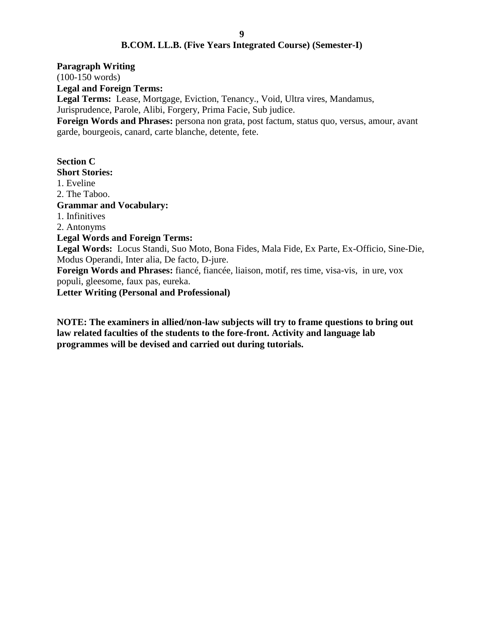**Paragraph Writing**

(100-150 words)

**Legal and Foreign Terms:**

**Legal Terms:** Lease, Mortgage, Eviction, Tenancy., Void, Ultra vires, Mandamus,

Jurisprudence, Parole, Alibi, Forgery, Prima Facie, Sub judice.

**Foreign Words and Phrases:** persona non grata, post factum, status quo, versus, amour, avant garde, bourgeois, canard, carte blanche, detente, fete.

## **Section C**

### **Short Stories:**

1. Eveline

2. The Taboo.

### **Grammar and Vocabulary:**

1. Infinitives

2. Antonyms

### **Legal Words and Foreign Terms:**

**Legal Words:** Locus Standi, Suo Moto, Bona Fides, Mala Fide, Ex Parte, Ex-Officio, Sine-Die, Modus Operandi, Inter alia, De facto, D-jure.

**Foreign Words and Phrases:** fiancé, fiancée, liaison, motif, res time, visa-vis, in ure, vox populi, gleesome, faux pas, eureka.

**Letter Writing (Personal and Professional)**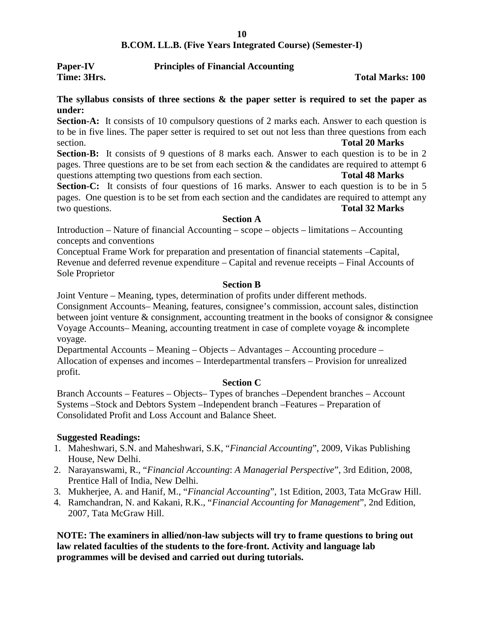| Paper-IV    | <b>Principles of Financial Accounting</b> |                         |
|-------------|-------------------------------------------|-------------------------|
| Time: 3Hrs. |                                           | <b>Total Marks: 100</b> |

### **The syllabus consists of three sections & the paper setter is required to set the paper as under:**

**Section-A:** It consists of 10 compulsory questions of 2 marks each. Answer to each question is to be in five lines. The paper setter is required to set out not less than three questions from each section. **Total 20 Marks**

**Section-B:** It consists of 9 questions of 8 marks each. Answer to each question is to be in 2 pages. Three questions are to be set from each section  $\&$  the candidates are required to attempt 6 questions attempting two questions from each section. **Total 48 Marks**

**Section-C:** It consists of four questions of 16 marks. Answer to each question is to be in 5 pages. One question is to be set from each section and the candidates are required to attempt any two questions. **Total 32 Marks**

### **Section A**

Introduction – Nature of financial Accounting – scope – objects – limitations – Accounting concepts and conventions

Conceptual Frame Work for preparation and presentation of financial statements –Capital, Revenue and deferred revenue expenditure – Capital and revenue receipts – Final Accounts of Sole Proprietor

### **Section B**

Joint Venture – Meaning, types, determination of profits under different methods.

Consignment Accounts– Meaning, features, consignee's commission, account sales, distinction between joint venture & consignment, accounting treatment in the books of consignor & consignee Voyage Accounts– Meaning, accounting treatment in case of complete voyage & incomplete voyage.

Departmental Accounts – Meaning – Objects – Advantages – Accounting procedure – Allocation of expenses and incomes – Interdepartmental transfers – Provision for unrealized profit.

### **Section C**

Branch Accounts – Features – Objects– Types of branches –Dependent branches – Account Systems –Stock and Debtors System –Independent branch –Features – Preparation of Consolidated Profit and Loss Account and Balance Sheet.

### **Suggested Readings:**

- 1. Maheshwari, S.N. and Maheshwari, S.K, "*Financial Accounting*", 2009, Vikas Publishing House, New Delhi.
- 2. Narayanswami, R., "*Financial Accounting*: *A Managerial Perspective*", 3rd Edition, 2008, Prentice Hall of India, New Delhi.
- 3. Mukherjee, A. and Hanif, M., "*Financial Accounting*", 1st Edition, 2003, Tata McGraw Hill.
- 4. Ramchandran, N. and Kakani, R.K., "*Financial Accounting for Management*", 2nd Edition, 2007, Tata McGraw Hill.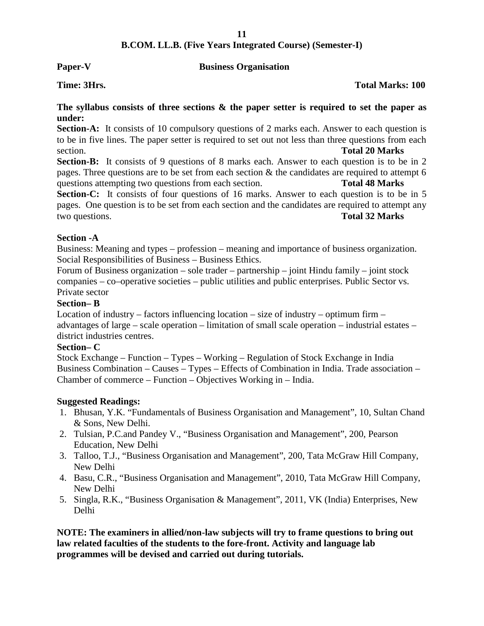### **Paper-V Business Organisation**

### **Time: 3Hrs. Total Marks: 100**

### **The syllabus consists of three sections & the paper setter is required to set the paper as under:**

**Section-A:** It consists of 10 compulsory questions of 2 marks each. Answer to each question is to be in five lines. The paper setter is required to set out not less than three questions from each section. **Total 20 Marks**

Section-B: It consists of 9 questions of 8 marks each. Answer to each question is to be in 2 pages. Three questions are to be set from each section  $\&$  the candidates are required to attempt 6 questions attempting two questions from each section. **Total 48 Marks**

Section-C: It consists of four questions of 16 marks. Answer to each question is to be in 5 pages. One question is to be set from each section and the candidates are required to attempt any two questions. **Total 32 Marks**

### **Section -A**

Business: Meaning and types – profession – meaning and importance of business organization. Social Responsibilities of Business – Business Ethics.

Forum of Business organization – sole trader – partnership – joint Hindu family – joint stock companies – co–operative societies – public utilities and public enterprises. Public Sector vs. Private sector

### **Section– B**

Location of industry – factors influencing location – size of industry – optimum firm – advantages of large – scale operation – limitation of small scale operation – industrial estates – district industries centres.

### **Section– C**

Stock Exchange – Function – Types – Working – Regulation of Stock Exchange in India Business Combination – Causes – Types – Effects of Combination in India. Trade association – Chamber of commerce – Function – Objectives Working in – India.

### **Suggested Readings:**

- 1. Bhusan, Y.K. "Fundamentals of Business Organisation and Management", 10, Sultan Chand & Sons, New Delhi.
- 2. Tulsian, P.C.and Pandey V., "Business Organisation and Management", 200, Pearson Education, New Delhi
- 3. Talloo, T.J., "Business Organisation and Management", 200, Tata McGraw Hill Company, New Delhi
- 4. Basu, C.R., "Business Organisation and Management", 2010, Tata McGraw Hill Company, New Delhi
- 5. Singla, R.K., "Business Organisation & Management", 2011, VK (India) Enterprises, New Delhi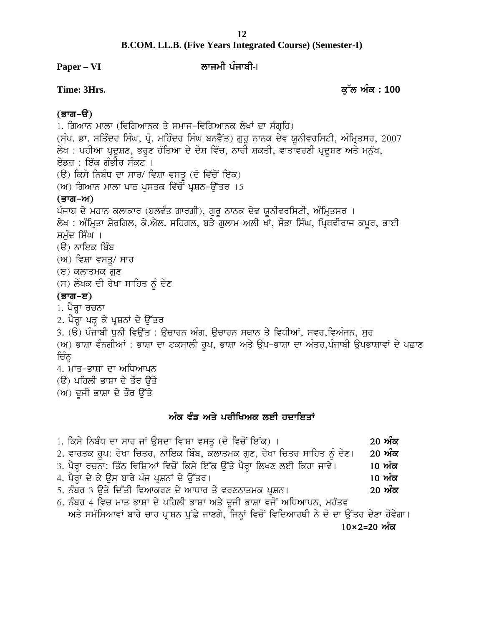# **B.COM. LL.B. (Five Years Integrated Course) (Semester-I)** B.COM. LL.B. (Five Years Integrated Course) (Semester-I)<br>Paper – VI ਲਾਜਮੀ ਪੰਜਾਬੀ-।<br>Time: 3Hrs. ਕੁੱਲ ਅੰਕ : 100

**Paper** – VI ਨਾਜਮੀ ਪੰਜਾਬੀ-I

### <u>(ਭਾਗ–ੳ)</u>

1. ਗਿਆਨ ਮਾਲਾ (ਵਿਗਿਆਨਕ ਤੇ ਸਮਾਜ–ਵਿਗਿਆਨਕ ਲੇਖਾਂ ਦਾ ਸੰਗ੍ਰਹਿ) Time: 3Hrs.<br>(ਭਾਗ–ੳ)<br>1. ਗਿਆਨ ਮਾਲਾ (ਵਿਗਿਆਨਕ ਤੇ ਸਮਾਜ–ਵਿਗਿਆਨਕ ਲੇਖਾਂ ਦਾ ਸੰਗ੍ਰਹਿ)<br>(ਸੰਪ. ਡਾ. ਸਤਿੰਦਰ ਸਿੰਘ, ਪ੍ਰੋ. ਮਹਿੰਦਰ ਸਿੰਘ ਬਨਵੈਂਤ) ਗੁਰੂ ਨਾਨਕ ਦੇਵ ਯੂਨੀਵਰਸਿਟੀ, ਅੰਮ੍ਰਿਤਸਰ, 2007<br>ਲੇਖ : ਪਹੀਆ ਪ੍ਰਦੂਸ਼ਣ, ਭਰੂਣ ਹੱਤਿਆ ਦੇ ਦੇਸ਼ ਵਿੱਚ, ਨਾਰੀ ਸ਼ (**ਭਾਗ-ੳ)**<br>1. ਗਿਆਨ ਮਾਲਾ (ਵਿਗਿਆਨਕ ਤੇ ਸਮਾਜ-ਵਿਗਿਆਨਕ ਲੇਖਾਂ ਦਾ ਸੰਗ੍ਰਹਿ)<br>(ਸੰਪ. ਡਾ. ਸਤਿੰਦਰ ਸਿੰਘ, ਪ੍ਰੋ. ਮਹਿੰਦਰ ਸਿੰਘ ਬਨਵੈਂਤ) ਗੁਰੂ ਨਾਨਕ ਦੇਵ ਯੂਨੀਵਰਸਿਟੀ, ਅੰਮ੍ਰਿਤਸਰ, 2007<br>ਲੇਖ : ਪਹੀਆ ਪ੍ਰਦੂਸ਼ਣ, ਭਰੂਣ ਹੱਤਿਆ ਦੇ ਦੇਸ਼ ਵਿੱਚ, ਨਾਰੀ ਸ਼ਕਤੀ, ਵਾਤਾਵ ਏਡਜ਼ : ਇੱਕ ਗੰਭੀਰ ਸੰਕਟ ।<br>(ੳ) ਕਿਸੇ ਨਿਬੰਧ ਦਾ ਸਾਰ/ ਵਿਸ਼ਾ ਵਸਤ (ਦੋ ਵਿੱਚੋਂ ਇੱਕ) 1. ਗਿਆਨ ਮਾਲਾ (ਵਿਗਿਆਨਕ ਤੇ ਸਮਾਜ–ਵਿਗਿਆਨਕ ਲੇਖਾਂ ਦਾ ਸੰਗ੍ਰਹਿ)<br>(ਸੰਪ. ਡਾ. ਸਤਿੰਦਰ ਸਿੰਘ, ਪ੍ਰੋ. ਮਹਿੰਦਰ ਸਿੰਘ ਬਨਵੈਂਤ) ਗੁਰੂ ਨਾਨਕ ਦੇਵ ਯੂ<br>ਲੇਖ : ਪਹੀਆ ਪ੍ਰਦੂਸ਼ਣ, ਭਰੂਣ ਹੱਤਿਆ ਦੇ ਦੇਸ਼ ਵਿੱਚ, ਨਾਰੀ ਸ਼ਕਤੀ, ਵਾਤਾ<br>ਏਡਜ਼ : ਇੱਕ ਗੰਭੀਰ ਸੰਕਟ ।<br>(ੳ) ਕਿਸੇ ਨਿ (ਸੰਪ. ਡਾ. ਸਤਿੰਦਰ ਸਿੰਘ, ਪ੍ਰੋ. ਮਹਿੰਦਰ ਸਿੰਘ ਬਨਵੈਂਤ) ਗੁਰੂ ਨਾਨਕ ਦੇਵ ਯੂ<br>ਲੇਖ : ਪਹੀਆ ਪ੍ਰਦੂਸ਼ਣ, ਭਰੂਣ ਹੱਤਿਆ ਦੇ ਦੇਸ਼ ਵਿੱਚ, ਨਾਰੀ ਸ਼ਕਤੀ, ਵਾਤਾ<br>ਏਡਜ਼ : ਇੱਕ ਗੰਭੀਰ ਸੰਕਟ ।<br>(ੳ) ਕਿਸੇ ਨਿਬੰਧ ਦਾ ਸਾਰ/ ਵਿਸ਼ਾ ਵਸਤੂ (ਦੋ ਵਿੱਚੋਂ ਇੱਕ)<br>(ਅ) ਗਿਆਨ ਮਾਲਾ ਪਾਠ **(ਭਾਗ–ਅ)**<br>ਪੰਜਾਬ ਦੇ ਮਹਾਨ ਕਲਾਕਾਰ (ਬਲਵੰਤ ਗਾਰਗੀ), ਗੁਰੂ ਨਾਨਕ ਦੇਵ ਯੂਨੀਵਰਸਿਟੀ, ਅੰਮ੍ਰਿਤਸਰ । ਏਡਜ਼ : ਇੱਕ ਗੰਭੀਰ ਸੰਕਟ ।<br>(ੳ) ਕਿਸੇ ਨਿਬੰਧ ਦਾ ਸਾਰ/ ਵਿਸ਼ਾ ਵਸਤੂ (ਦੋ ਵਿੱਚੋਂ ਇੱਕ)<br>(ਅ) ਗਿਆਨ ਮਾਲਾ ਪਾਠ ਪੁਸਤਕ ਵਿੱਚੋਂ ਪ੍ਰਸ਼ਨ-ਉੱਤਰ ।5<br>ਪੰਜਾਬ ਦੇ ਮਹਾਨ ਕਲਾਕਾਰ (ਬਲਵੰਤ ਗਾਰਗੀ), ਗੁਰੂ ਨਾਨਕ ਦੇਵ ਯੂਨੀਵਰਸਿਟੀ, ਅੰਮ੍ਰਿਤਸਰ ।<br>ਲੇਖ : ਅੰਮ੍ਰਿਤਾ ਸ਼ੇਰਗਿਲ, ਕੇ ਲੇਖ : ਅੰਮ੍ਰਿਤਾ ਸ਼ੇਰਗਿਲ, ਕੇ.ਐਲ. ਸਹਿਗਲ, ਬੜੇ ਗੁਲਾਮ ਅਲੀ ਖਾਂ, ਸੋਭਾ ਸਿੰਘ, ਪ੍ਰਿਥਵੀਰਾਜ ਕਪੂਰ, ਭਾਈ ਸਮੰਦ ਸਿੰਘ । (ੳ) ਨਾਇਕ ਬਿੰਬ  $(M)$  ਵਿਸ਼ਾ ਵਸਤੂ/ ਸਾਰ (ੲ) ਕਲਾਤਮਕ ਗੁਣ ਸਮੁੰਦ ਸਿੰਘ ।<br>(ੳ) ਨਾਇਕ ਬਿੰਬ<br>(ਅ) ਵਿਸ਼ਾ ਵਸਤੂ/ ਸਾਰ<br>(ੲ) ਕਲਾਤਮਕ ਗੁਣ<br>(ਸ) ਲੇਖਕ ਦੀ ਰੇਖਾ ਸਾਹਿਤ ਨੂੰ ਦੇਣ<br>(ਭਾਗ−ੲ)<br>1 ਮੈਜਾ ਰਚਨਾ (ਭਾਗ–ੲ) (ਸ) ਲੇਖਕ ਦੀ ਰੇਖਾ ਸਾਹਿਤ ਨੂੰ ਦੇਣ<br>**(ਭਾਗ–ੲ)**<br>1. ਪੈਰ੍ਹਾ ਰਚਨਾ 3. (ੳ) ਪੰਜਾਬੀ ਧੁਨੀ ਵਿਉਂਤ : ਉਚਾਰਨ ਅੰਗ, ਉਚਾਰਨ ਸਥਾਨ ਤੇ ਵਿਧੀਆਂ, ਸਵਰ,ਵਿਅੰਜਨ, ਸੁਰ (ਸ) ਲੇਖਕ ਦੀ ਰੇਖਾ ਸਾਹਿਤ ਨੂੰ ਦੇਣ<br>(**ਭਾਗ-ੲ)**<br>1. ਪੈਰ੍ਹਾ ਰਚਨਾ<br>2. ਪੈਰ੍ਹਾ ਪੜ੍ਹ ਕੇ ਪ੍ਰਸ਼ਨਾਂ ਦੇ ਉੱਤਰ<br>3. (ੳ) ਪੰਜਾਬੀ ਧੁਨੀ ਵਿਉਂਤ : ਉਚਾਰਨ ਅੰਗ, ਉਚਾਰਨ ਸਥਾਨ ਤੇ ਵਿਧੀਆਂ, ਸਵਰ,ਵਿਅੰਜਨ, ਸੁਰ<br>(ਅ) ਭਾਸ਼ਾ ਵੰਨਗੀਆਂ : ਭਾਸ਼ਾ ਦਾ ਟਕਸਾਲੀ ਰੂਪ, ਭਾਸ਼ਾ ਅਤੇ ਉਪ– (ਭਾਗ–ੲ)<br>1. ਪੈਰ੍ਹਾ ਰਚਨਾ<br>2. ਪੈਰ੍ਹਾ ਪੜ੍ਹ ਕੇ ਪ੍ਰਸ਼ਨਾਂ ਦੇ ਉੱਤਰ<br>3. (ੳ) ਪੰਜਾਬੀ ਧੁਨੀ ਵਿਉਂਤ : ਉਚਾਰਨ ਅੰਗ, ਉਚਾਰਨ ਸਥਾਨ ਤੇ ਵਿਧੀਆਂ, ਸਵਰ,ਵਿਅੰਜਨ, ਸੁਰ<br>(ਅ) ਭਾਸ਼ਾ ਵੰਨਗੀਆਂ : ਭਾਸ਼ਾ ਦਾ ਟਕਸਾਲੀ ਰੂਪ, ਭਾਸ਼ਾ ਅਤੇ ਉਪ–ਭਾਸ਼ਾ ਦਾ ਅੰਤਰ,ਪੰਜਾਬੀ ਉਪਭਾਸ਼ਾਵਾਂ ਦ 2. ਪੈਰ੍ਹਾ ਪੜ੍ਹ ਕੇ ਪ੍ਰਸ਼ਨਾਂ ਦੇ ਉੱਤਰ<br>3. (ੳ) ਪੰਜਾਬੀ ਧੁਨੀ ਵਿਉਂਤ : ਉ<br>(ਅ) ਭਾਸ਼ਾ ਵੰਨਗੀਆਂ : ਭਾਸ਼ਾ ਦਾ<br>ਚਿੰਨ੍ਹ<br>4. ਮਾਤ-ਭਾਸ਼ਾ ਦਾ ਅਧਿਆਪਨ<br>(ੳ) ਪਹਿਲੀ ਭਾਸ਼ਾ ਦੇ ਤੌਰ ਉੱਤੇ 4. ਮਾਤ-ਭਾਸ਼ਾ ਦਾ ਅਧਿਆਪਨ 3. (ੳ) ਪੰਜਾਬੀ ਧੁਨੀ ਵਿਉਂਤ : ਉਚਾਰਨ ਅੰਗ, ਉਚਾਰ<br>(ਅ) ਭਾਸ਼ਾ ਵੰਨਗੀਆਂ : ਭਾਸ਼ਾ ਦਾ ਟਕਸਾਲੀ ਰੂਪ, ਭਾਸ਼<br>ਚਿੰਨ੍ਹ<br>4. ਮਾਤ-ਭਾਸ਼ਾ ਦਾ ਅਧਿਆਪਨ<br>(ੳ) ਪਹਿਲੀ ਭਾਸ਼ਾ ਦੇ ਤੌਰ ਉੱਤੇ<br>(ਅ) ਦੂਜੀ ਭਾਸ਼ਾ ਦੇ ਤੌਰ ਉੱਤੇ (ਅ) ਭਾਸ਼ਾ ਵੰਨਗੀਆਂ : ਭਾਸ਼ਾ ਦਾ ਟਕਸਾਲੀ ਰੂਪ, ਭ<br>ਚਿੰਨ੍ਹ<br>4. ਮਾਤ-ਭਾਸ਼ਾ ਦਾ ਅਧਿਆਪਨ<br>(ੳ) ਪਹਿਲੀ ਭਾਸ਼ਾ ਦੇ ਤੌਰ ਉੱਤੇ<br>(ਅ) ਦੂਜੀ ਭਾਸ਼ਾ ਦੇ ਤੌਰ ਉੱਤੇ<br>. **ਅੰਕ ਵੰਡ ਅਤੇ ਪਰੀਖਿਅਕ ਲਈ ਹਦਾਇਤਾਂ<br>ਅੰਕ ਵੰਡ ਅਤੇ ਪਰੀਖਿਅਕ ਲਈ ਹਦਾਇਤਾਂ<br>ਸ਼ਾਇਸ ਵਸਤ (ਦੋ ਵਿਚੋਂ ਇੱਕ) ।** 

| (ਅ) ਦੂਜੀ ਭਾਸ਼ਾ ਦੇ ਤੌਰ ਉੱਤੇ                                                                   |               |
|----------------------------------------------------------------------------------------------|---------------|
| ਅੰਕ ਵੰਡ ਅਤੇ ਪਰੀਖਿਅਕ ਲਈ ਹਦਾਇਤਾਂ                                                               |               |
| 1. ਕਿਸੇ ਨਿਬੰਧ ਦਾ ਸਾਰ ਜਾਂ ਉਸਦਾ ਵਿਸ਼ਾ ਵਸਤੂ (ਦੋ ਵਿਚੋਂ ਇੱਕ) ।                                    | <u>20 ਅੰਕ</u> |
| 2. ਵਾਰਤਕ ਰੂਪ: ਰੇਖਾ ਚਿਤਰ, ਨਾਇਕ ਬਿੰਬ, ਕਲਾਤਮਕ ਗੁਣ, ਰੇਖਾ ਚਿਤਰ ਸਾਹਿਤ ਨੂੰ ਦੇਣ।                     | 20 ਅੰਕ        |
| 3. ਪੈਰ੍ਹਾ ਰਚਨਾ: ਤਿੰਨ ਵਿਸ਼ਿਆਂ ਵਿਚੋਂ ਕਿਸੇ ਇੱਕ ਉੱਤੇ ਪੈਰ੍ਹਾ ਲਿਖਣ ਲਈ ਕਿਹਾ ਜਾਵੇ।                   | 10 ਅੰਕ        |
| 4. ਪੈਰ੍ਹਾ ਦੇ ਕੇ ਉਸ ਬਾਰੇ ਪੰਜ ਪ੍ਰਸ਼ਨਾਂ ਦੇ ਉੱਤਰ।                                                | 10 ਅੰਕ        |
| 5. ਨੰਬਰ 3 ਉਤੇ ਦਿੱਤੀ ਵਿਆਕਰਣ ਦੇ ਆਧਾਰ ਤੇ ਵਰਣਨਾਤਮਕ ਪ੍ਰਸ਼ਨ।                                       | <u>20 ਅੰਕ</u> |
| 6. ਨੰਬਰ 4 ਵਿਚ ਮਾਤ ਭਾਸ਼ਾ ਦੇ ਪਹਿਲੀ ਭਾਸ਼ਾ ਅਤੇ ਦੂਜੀ ਭਾਸ਼ਾ ਵਜੋਂ ਅਧਿਆਪਨ, ਮਹੱਤਵ                     |               |
| ਅਤੇ ਸਮੱਸਿਆਵਾਂ ਬਾਰੇ ਚਾਰ ਪ੍ਰਸ਼ਨ ਪੁੱਛੇ ਜਾਣਗੇ, ਜਿਨ੍ਹਾਂ ਵਿਚੋਂ ਵਿਦਿਆਰਥੀ ਨੇ ਦੋ ਦਾ ਉੱਤਰ ਦੇਣਾ ਹੋਵੇਗਾ। |               |
| $10\times2=20$ ਅੰਕ                                                                           |               |
|                                                                                              |               |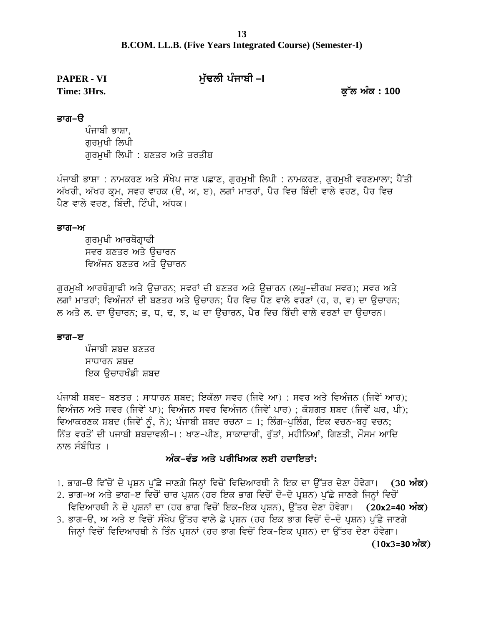# **B.COM. LL.B. (Five Years Integrated Course) (Semester-I) Time: 3Hrs. e [Zb nze <sup>L</sup> <sup>100</sup>**

### **PAPER - VI mu`FlI pMjwbI –I**

### ਭਾਗ−ੳ

ਪੰਜਾਬੀ ਭਾਸ਼ਾ, ਗਰਮਖੀ ਲਿਪੀ ਗਰਮਖੀ ਲਿਪੀ : ਬਣਤਰ ਅਤੇ ਤਰਤੀਬ

ਪੰਜਾਬੀ ਭਾਸ਼ਾ : ਨਾਮਕਰਣ ਅਤੇ ਸੰਖੇਪ ਜਾਣ ਪਛਾਣ, ਗਰਮਖੀ ਲਿਪੀ : ਨਾਮਕਰਣ, ਗਰਮਖੀ ਵਰਣਮਾਲਾ; ਪੈਂਤੀ ਅੱਖਰੀ, ਅੱਖਰ ਕ੍ਰਮ, ਸਵਰ ਵਾਹਕ (ੳ, ਅ, ੲ), ਲਗਾਂ ਮਾਤਰਾਂ, ਪੈਰ ਵਿਚ ਬਿੰਦੀ ਵਾਲੇ ਵਰਣ, ਪੈਰ ਵਿਚ ਪੈਣ ਵਾਲੇ ਵਰਣ, ਬਿੰਦੀ, ਟਿੰਪੀ, ਅੱਧਕ।

### ਭਾਗ–ਅ

ਗਰਮਖੀ ਆਰਥੋਗਾਫੀ ਸਵਰ ਬਣਤਰ ਅਤੇ ਉਚਾਰਨ ਵਿਅੰਜਨ ਬਣਤਰ ਅਤੇ ਉਚਾਰਨ

ਗੁਰਮੁਖੀ ਆਰਥੋਗ੍ਰਾਫੀ ਅਤੇ ਉਚਾਰਨ; ਸਵਰਾਂ ਦੀ ਬਣਤਰ ਅਤੇ ਉਚਾਰਨ (ਲਘੁ-ਦੀਰਘ ਸਵਰ); ਸਵਰ ਅਤੇ ਲਗਾਂ ਮਾਤਰਾਂ; ਵਿਅੰਜਨਾਂ ਦੀ ਬਣਤਰ ਅਤੇ ੳਚਾਰਨ; ਪੈਰ ਵਿਚ ਪੈਣ ਵਾਲੇ ਵਰਣਾਂ (ਹ, ਰ, ਵ) ਦਾ ੳਚਾਰਨ; ਲ ਅਤੇ ਲ. ਦਾ ਉਚਾਰਨ; ਭ, ਧ, ਢ, ਝ, ਘ ਦਾ ਉਚਾਰਨ, ਪੈਰ ਵਿਚ ਬਿੰਦੀ ਵਾਲੇ ਵਰਣਾਂ ਦਾ ਉਚਾਰਨ।

### ਭਾਗ–ੲ

ਪੰਜਾਬੀ ਸ਼ਬਦ ਬਣਤਰ ਸਾਧਾਰਨ ਸ਼ਬਦ ਇਕ ੳਚਾਰਖੰਡੀ ਸ਼ਬਦ

ਪੰਜਾਬੀ ਸ਼ਬਦ- ਬਣਤਰ : ਸਾਧਾਰਨ ਸ਼ਬਦ; ਇਕੱਲਾ ਸਵਰ (ਜਿਵੇ ਆ) : ਸਵਰ ਅਤੇ ਵਿਅੰਜਨ (ਜਿਵੇਂ ਆਰ); ਵਿਅੰਜਨ ਅਤੇ ਸਵਰ (ਜਿਵੇਂ ਪਾ); ਵਿਅੰਜਨ ਸਵਰ ਵਿਅੰਜਨ (ਜਿਵੇਂ ਪਾਰ) ; ਕੋਸ਼ਗਤ ਸ਼ਬਦ (ਜਿਵੇਂ ਘਰ, ਪੀ); ਵਿਆਕਰਣਕ ਸ਼ਬਦ (ਜਿਵੇਂ ਨੂੰ, ਨੇ); ਪੰਜਾਬੀ ਸ਼ਬਦ ਰਚਨਾ = 1; ਲਿੰਗ-ਪੁਲਿੰਗ, ਇਕ ਵਚਨ-ਬਹੁ ਵਚਨ; ਨਿੱਤ ਵਰਤੋਂ ਦੀ ਪਜਾਬੀ ਸ਼ਬਦਾਵਲੀ-I : ਖਾਣ-ਪੀਣ, ਸਾਕਾਦਾਰੀ, ਰੱਤਾਂ, ਮਹੀਨਿਆਂ, ਗਿਣਤੀ, ਮੌਸਮ ਆਦਿ ਨਾਲ ਸੰਬੰਧਿਤ । ਵਿਅੰਜਨ ਸਵਰ ਵਿਅੰਜਨ (ਜਿਵੇਂ ਪਾਰ) ; ਕੋਸ਼ਗਤ ਸ਼ਬਦ<br>); ਪੰਜਾਬੀ ਸ਼ਬਦ ਰਚਨਾ = 1; ਲਿੰਗ-ਪੁਲਿੰਗ, ਇਕ ਵਚਨ<br>ਰੋ-ਮ : ਖਾਣ-ਪੀਣ, ਸਾਕਾਦਾਰੀ, ਰੁੱਤਾਂ, ਮਹੀਨਿਆਂ, ਗਿਣਤੀ<br>**ਅੰਕ-ਵੰਡ ਅਤੇ ਪਰੀਖਿਅਕ ਲਈ ਹਦਾਇਤਾਂ:**<br>ਜਾਣਗੇ ਜਿਨਾਂ ਵਿਜੋਂ ਵਿਜਿਆਰਥੀ ਨੇ ਇਕ ਜਾ ਉੱਤਰ ਜੇਣ

- **ਅੰਕ–ਵੰਡ ਅਤੇ ਪਰੀਖਿਅਕ ਲਈ ਹਦਾਇਤਾਂ:**<br>1. ਭਾਗ–ੳ ਵਿੱਚੋਂ ਦੋ ਪ੍ਰਸ਼ਨ ਪੁੱਛੇ ਜਾਣਗੇ ਜਿਨ੍ਹਾਂ ਵਿਚੋਂ ਵਿਦਿਆਰਥੀ ਨੇ ਇਕ ਦਾ ਉੱਤਰ ਦੇਣਾ ਹੋਵੇਗਾ। (30 **ਅੰਕ)**<br>2. ਭਾਗ–ਅ ਅਤੇ ਭਾਗ–ੲ ਵਿਚੋਂ ਚਾਰ ਪੁਸ਼ਨ (ਹਰ ਇਕ ਭਾਗ ਵਿਚੋਂ ਦੋ–ਦੋ ਪੁਸ਼ਨ) ਪੱਛੇ ਜਾਣਗੇ ਜਿਨ੍ਹਾਂ ਵ
- ਨਾਲ ਸੰਬੰਧਿਤ ।<br>2. ਭਾਗ-ਓ ਵਿੱਚੋਂ ਦੋ ਪ੍ਰਸ਼ਨ ਪੁੱਛੇ ਜਾਣਗੇ ਜਿਨ੍ਹਾਂ ਵਿਚੋਂ ਵਿਦਿਆਰਥੀ ਨੇ ਇਕ ਦਾ ਉੱਤਰ ਦੇਣਾ ਹੋਵੇਗਾ। (30 **ਅੰਕ)<br>2. ਭਾਗ-ਅ ਅਤੇ ਭਾਗ-ੲ ਵਿਚੋਂ ਚਾਰ ਪ੍ਰਸ਼ਨ (ਹਰ ਇਕ ਭਾਗ ਵਿਚੋਂ ਦੋ-ਦੋ ਪ੍ਰਸ਼ਨ) ਪੁੱਛੇ ਜਾਣਗੇ ਜਿਨ੍ਹਾਂ ਵਿਚੋਂ<br>ਵਿਦਿਆਰਥੀ ਨੇ ਦੋ ਅੰਕ-ਵੰਡ ਅਤੇ ਪਰੀਖਿਅਕ ਲਈ ਹਦਾਇਤਾਂ:**<br>ਭਾਗ-ੳ ਵਿੱਚੋਂ ਦੋ ਪ੍ਰਸ਼ਨ ਪੁੱਛੇ ਜਾਣਗੇ ਜਿਨ੍ਹਾਂ ਵਿਚੋਂ ਵਿਦਿਆਰਥੀ ਨੇ ਇਕ ਦਾ ਉੱਤਰ ਦੇਣਾ ਹੋਵੇਗਾ। (30 **ਅੰਕ)**<br>ਭਾਗ-ਅ ਅਤੇ ਭਾਗ-ੲ ਵਿਚੋਂ ਚਾਰ ਪ੍ਰਸ਼ਨ (ਹਰ ਇਕ ਭਾਗ ਵਿਚੋਂ ਦੋ-ਦੋ ਪ੍ਰਸ਼ਨ) ਪੁੱਛੇ ਜਾਣਗੇ ਜਿਨ੍ਹਾਂ ਵਿਚੋ
- 1. ਭਾਗ-ੳ ਵਿੱਚੋਂ ਦੋ ਪ੍ਰਸ਼ਨ ਪੁੱਛੇ ਜਾਣਗੇ ਜਿਨ੍ਹਾਂ ਵਿਚੋਂ ਵਿਦਿਆਰਥੀ ਨੇ ਇਕ ਦਾ ਉੱਤਰ ਦੇਣਾ ਹੋਵੇਗਾ। (30 **ਅੰਨ**<br>2. ਭਾਗ-ਅ ਅਤੇ ਭਾਗ-ੲ ਵਿਚੋਂ ਚਾਰ ਪ੍ਰਸ਼ਨ (ਹਰ ਇਕ ਭਾਗ ਵਿਚੋਂ ਦੋ-ਦੋ ਪ੍ਰਸ਼ਨ) ਪੁੱਛੇ ਜਾਣਗੇ ਜਿਨ੍ਹਾਂ ਵਿਚੋਂ<br>ਫਿਦਿਆਰਥੀ ਨੇ ਦੋ ਪ੍ਰਸ਼ਨਾਂ ਦਾ ਭਾਗ-ੳ ਵਿੱਚੋਂ ਦੋ ਪ੍ਰਸ਼ਨ ਪੁੱਛੇ ਜਾਣਗੇ ਜਿਨ੍ਹਾਂ ਵਿਚੋਂ ਵਿਦਿਆਰਥੀ ਨੇ ਇਕ ਦਾ ਉੱਤਰ ਦੇਣਾ ਹੋਵੇਗਾ। (30 **ਅੰਕ)**<br>ਭਾਗ-ਅ ਅਤੇ ਭਾਗ-ੲ ਵਿਚੋਂ ਚਾਰ ਪ੍ਰਸ਼ਨ (ਹਰ ਇਕ ਭਾਗ ਵਿਚੋਂ ਦੋ-ਦੋ ਪ੍ਰਸ਼ਨ) ਪੁੱਛੇ ਜਾਣਗੇ ਜਿਨ੍ਹਾਂ ਵਿਚੋਂ<br>ਵਿਦਿਆਰਥੀ ਨੇ ਦੋ ਪ੍ਰਸ਼ਨਾਂ ਦਾ (ਹਰ ਭ **(10x3=30 nze)**

**13**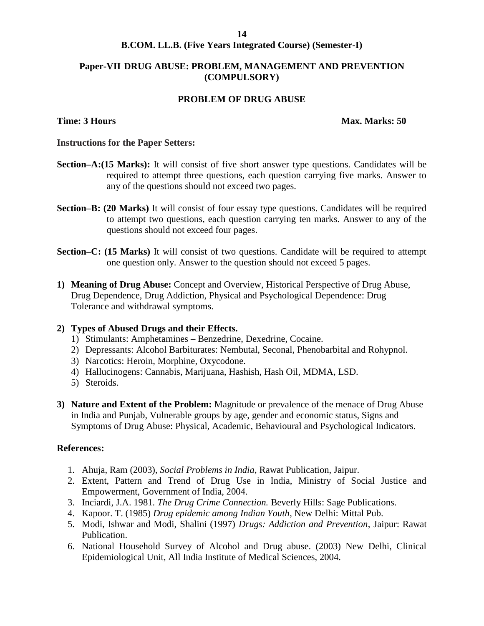### **B.COM. LL.B. (Five Years Integrated Course) (Semester-I)**

### **Paper-VII DRUG ABUSE: PROBLEM, MANAGEMENT AND PREVENTION (COMPULSORY)**

### **PROBLEM OF DRUG ABUSE**

### **Time: 3 Hours Max. Marks: 50**

### **Instructions for the Paper Setters:**

- **Section–A:(15 Marks):** It will consist of five short answer type questions. Candidates will be required to attempt three questions, each question carrying five marks. Answer to any of the questions should not exceed two pages.
- **Section–B: (20 Marks)** It will consist of four essay type questions. Candidates will be required to attempt two questions, each question carrying ten marks. Answer to any of the questions should not exceed four pages.
- **Section–C: (15 Marks)** It will consist of two questions. Candidate will be required to attempt one question only. Answer to the question should not exceed 5 pages.
- **1) Meaning of Drug Abuse:** Concept and Overview, Historical Perspective of Drug Abuse, Drug Dependence, Drug Addiction, Physical and Psychological Dependence: Drug Tolerance and withdrawal symptoms.

### **2) Types of Abused Drugs and their Effects.**

- 1) Stimulants: Amphetamines Benzedrine, Dexedrine, Cocaine.
- 2) Depressants: Alcohol Barbiturates: Nembutal, Seconal, Phenobarbital and Rohypnol.
- 3) Narcotics: Heroin, Morphine, Oxycodone.
- 4) Hallucinogens: Cannabis, Marijuana, Hashish, Hash Oil, MDMA, LSD.
- 5) Steroids.
- **3) Nature and Extent of the Problem:** Magnitude or prevalence of the menace of Drug Abuse in India and Punjab, Vulnerable groups by age, gender and economic status, Signs and Symptoms of Drug Abuse: Physical, Academic, Behavioural and Psychological Indicators.

### **References:**

- 1. Ahuja, Ram (2003), *Social Problems in India*, Rawat Publication, Jaipur.
- 2. Extent, Pattern and Trend of Drug Use in India, Ministry of Social Justice and Empowerment, Government of India, 2004.
- 3. Inciardi, J.A. 1981. *The Drug Crime Connection.* Beverly Hills: Sage Publications.
- 4. Kapoor. T. (1985) *Drug epidemic among Indian Youth*, New Delhi: Mittal Pub.
- 5. Modi, Ishwar and Modi, Shalini (1997) *Drugs: Addiction and Prevention*, Jaipur: Rawat Publication.
- 6. National Household Survey of Alcohol and Drug abuse. (2003) New Delhi, Clinical Epidemiological Unit, All India Institute of Medical Sciences, 2004.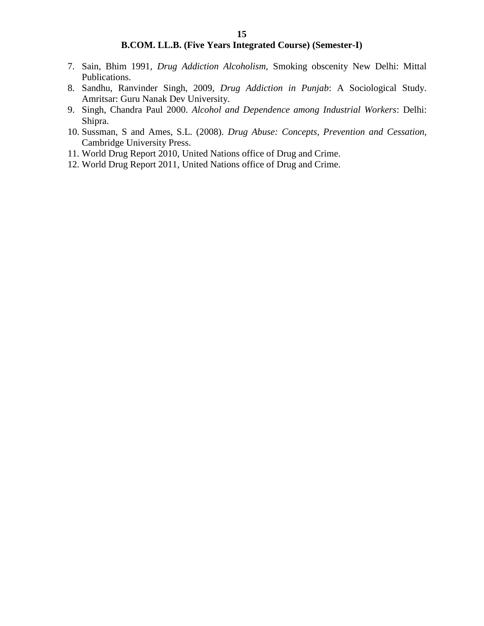- 7. Sain, Bhim 1991, *Drug Addiction Alcoholism,* Smoking obscenity New Delhi: Mittal Publications.
- 8. Sandhu, Ranvinder Singh, 2009, *Drug Addiction in Punjab*: A Sociological Study. Amritsar: Guru Nanak Dev University.
- 9. Singh, Chandra Paul 2000. *Alcohol and Dependence among Industrial Workers*: Delhi: Shipra.
- 10. Sussman, S and Ames, S.L. (2008). *Drug Abuse: Concepts, Prevention and Cessation,* Cambridge University Press.
- 11. World Drug Report 2010, United Nations office of Drug and Crime.
- 12. World Drug Report 2011, United Nations office of Drug and Crime.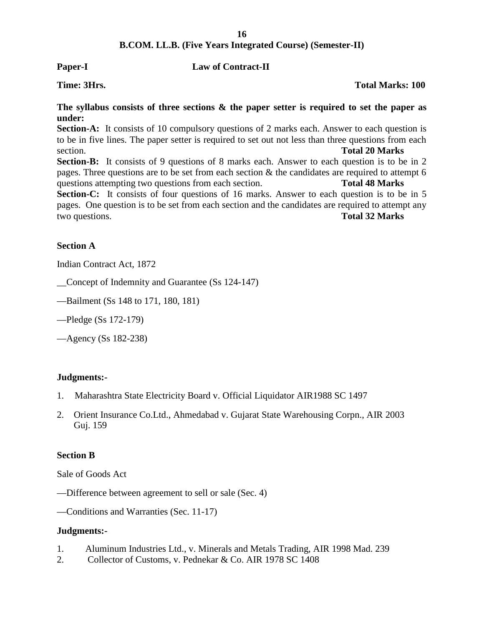### **Paper-I Law of Contract-II**

**Time: 3Hrs. Total Marks: 100**

### **The syllabus consists of three sections & the paper setter is required to set the paper as under:**

**Section-A:** It consists of 10 compulsory questions of 2 marks each. Answer to each question is to be in five lines. The paper setter is required to set out not less than three questions from each section. **Total 20 Marks**

Section-B: It consists of 9 questions of 8 marks each. Answer to each question is to be in 2 pages. Three questions are to be set from each section  $\&$  the candidates are required to attempt 6 questions attempting two questions from each section. **Total 48 Marks**

Section-C: It consists of four questions of 16 marks. Answer to each question is to be in 5 pages. One question is to be set from each section and the candidates are required to attempt any two questions. **Total 32 Marks**

### **Section A**

Indian Contract Act, 1872

\_\_Concept of Indemnity and Guarantee (Ss 124-147)

- —Bailment (Ss 148 to 171, 180, 181)
- —Pledge (Ss 172-179)

—Agency (Ss 182-238)

### **Judgments:-**

- 1. Maharashtra State Electricity Board v. Official Liquidator AIR1988 SC 1497
- 2. Orient Insurance Co.Ltd., Ahmedabad v. Gujarat State Warehousing Corpn., AIR 2003 Guj. 159

### **Section B**

Sale of Goods Act

- —Difference between agreement to sell or sale (Sec. 4)
- —Conditions and Warranties (Sec. 11-17)

### **Judgments:-**

- 1. Aluminum Industries Ltd., v. Minerals and Metals Trading, AIR 1998 Mad. 239
- 2. Collector of Customs, v. Pednekar & Co. AIR 1978 SC 1408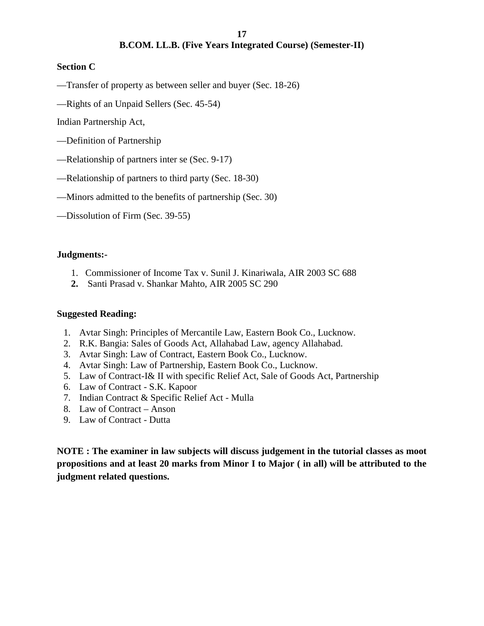### **Section C**

—Transfer of property as between seller and buyer (Sec. 18-26)

—Rights of an Unpaid Sellers (Sec. 45-54)

Indian Partnership Act,

- —Definition of Partnership
- —Relationship of partners inter se (Sec. 9-17)
- —Relationship of partners to third party (Sec. 18-30)
- —Minors admitted to the benefits of partnership (Sec. 30)
- —Dissolution of Firm (Sec. 39-55)

### **Judgments:-**

- 1. Commissioner of Income Tax v. Sunil J. Kinariwala, AIR 2003 SC 688
- **2.** Santi Prasad v. Shankar Mahto, AIR 2005 SC 290

### **Suggested Reading:**

- 1. Avtar Singh: Principles of Mercantile Law, Eastern Book Co., Lucknow.
- 2. R.K. Bangia: Sales of Goods Act, Allahabad Law, agency Allahabad.
- 3. Avtar Singh: Law of Contract, Eastern Book Co., Lucknow.
- 4. Avtar Singh: Law of Partnership, Eastern Book Co., Lucknow.
- 5. Law of Contract-I& II with specific Relief Act, Sale of Goods Act, Partnership
- 6. Law of Contract S.K. Kapoor
- 7. Indian Contract & Specific Relief Act Mulla
- 8. Law of Contract Anson
- 9. Law of Contract Dutta

**NOTE : The examiner in law subjects will discuss judgement in the tutorial classes as moot propositions and at least 20 marks from Minor I to Major ( in all) will be attributed to the judgment related questions.**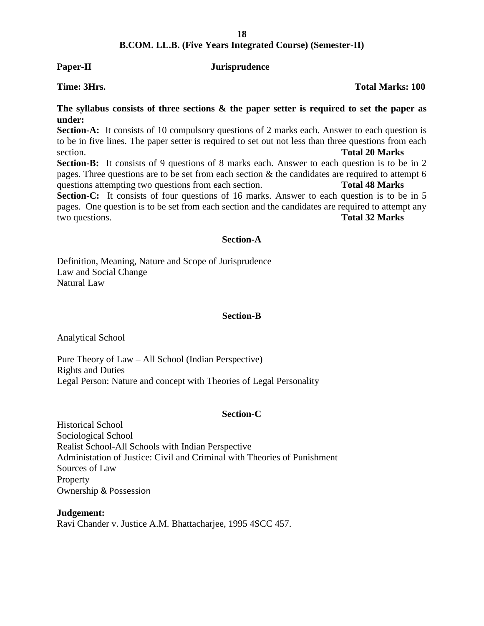### **Paper-II Jurisprudence**

**The syllabus consists of three sections & the paper setter is required to set the paper as under:**

**Section-A:** It consists of 10 compulsory questions of 2 marks each. Answer to each question is to be in five lines. The paper setter is required to set out not less than three questions from each section. **Total 20 Marks**

**Section-B:** It consists of 9 questions of 8 marks each. Answer to each question is to be in 2 pages. Three questions are to be set from each section & the candidates are required to attempt 6 questions attempting two questions from each section. **Total 48 Marks**

Section-C: It consists of four questions of 16 marks. Answer to each question is to be in 5 pages. One question is to be set from each section and the candidates are required to attempt any two questions. **Total 32 Marks**

### **Section-A**

Definition, Meaning, Nature and Scope of Jurisprudence Law and Social Change Natural Law

### **Section-B**

Analytical School

Pure Theory of Law – All School (Indian Perspective) Rights and Duties Legal Person: Nature and concept with Theories of Legal Personality

### **Section-C**

Historical School Sociological School Realist School-All Schools with Indian Perspective Administation of Justice: Civil and Criminal with Theories of Punishment Sources of Law **Property** Ownership & Possession

**Judgement:** Ravi Chander v. Justice A.M. Bhattacharjee, 1995 4SCC 457.

**Time: 3Hrs. Total Marks: 100**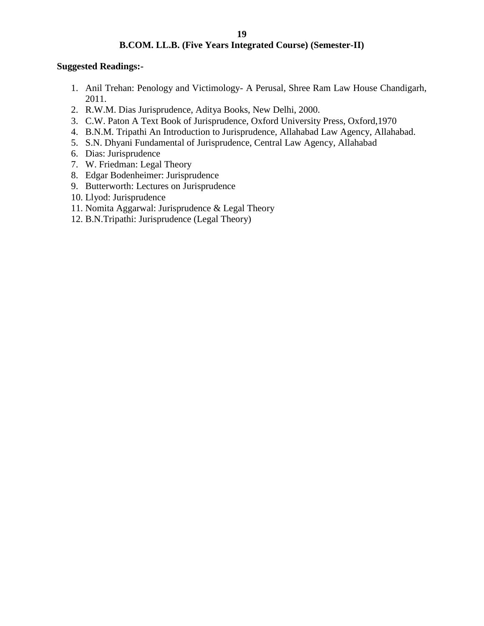### **Suggested Readings:-**

- 1. Anil Trehan: Penology and Victimology- A Perusal, Shree Ram Law House Chandigarh, 2011.
- 2. R.W.M. Dias Jurisprudence, Aditya Books, New Delhi, 2000.
- 3. C.W. Paton A Text Book of Jurisprudence, Oxford University Press, Oxford,1970
- 4. B.N.M. Tripathi An Introduction to Jurisprudence, Allahabad Law Agency, Allahabad.
- 5. S.N. Dhyani Fundamental of Jurisprudence, Central Law Agency, Allahabad
- 6. Dias: Jurisprudence
- 7. W. Friedman: Legal Theory
- 8. Edgar Bodenheimer: Jurisprudence
- 9. Butterworth: Lectures on Jurisprudence
- 10. Llyod: Jurisprudence
- 11. Nomita Aggarwal: Jurisprudence & Legal Theory
- 12. B.N.Tripathi: Jurisprudence (Legal Theory)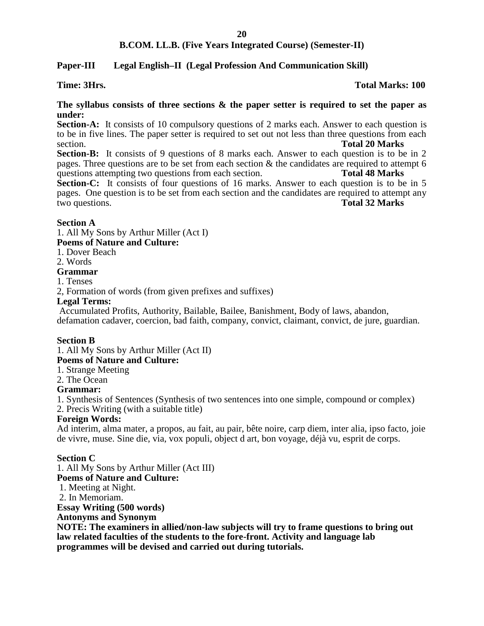### **Paper-III Legal English–II (Legal Profession And Communication Skill)**

### **Time: 3Hrs. Total Marks: 100**

### **The syllabus consists of three sections & the paper setter is required to set the paper as under:**

**Section-A:** It consists of 10 compulsory questions of 2 marks each. Answer to each question is to be in five lines. The paper setter is required to set out not less than three questions from each section. **Total 20 Marks**

**Section-B:** It consists of 9 questions of 8 marks each. Answer to each question is to be in 2 pages. Three questions are to be set from each section & the candidates are required to attempt 6 questions attempting two questions from each section. **Total 48 Marks**

**Section-C:** It consists of four questions of 16 marks. Answer to each question is to be in 5 pages. One question is to be set from each section and the candidates are required to attempt any two questions. **Total 32 Marks**

### **Section A**

1. All My Sons by Arthur Miller (Act I)

### **Poems of Nature and Culture:**

1. Dover Beach

2. Words

### **Grammar**

1. Tenses

2, Formation of words (from given prefixes and suffixes)

### **Legal Terms:**

Accumulated Profits, Authority, Bailable, Bailee, Banishment, Body of laws, abandon, defamation cadaver, coercion, bad faith, company, convict, claimant, convict, de jure, guardian.

### **Section B**

1. All My Sons by Arthur Miller (Act II)

### **Poems of Nature and Culture:**

1. Strange Meeting

2. The Ocean

### **Grammar:**

1. Synthesis of Sentences (Synthesis of two sentences into one simple, compound or complex) 2. Precis Writing (with a suitable title)

### **Foreign Words:**

Ad interim, alma mater, a propos, au fait, au pair, bête noire, carp diem, inter alia, ipso facto, joie de vivre, muse. Sine die, via, vox populi, object d art, bon voyage, déjà vu, esprit de corps.

### **Section C**

1. All My Sons by Arthur Miller (Act III) **Poems of Nature and Culture:** 1. Meeting at Night. 2. In Memoriam. **Essay Writing (500 words) Antonyms and Synonym**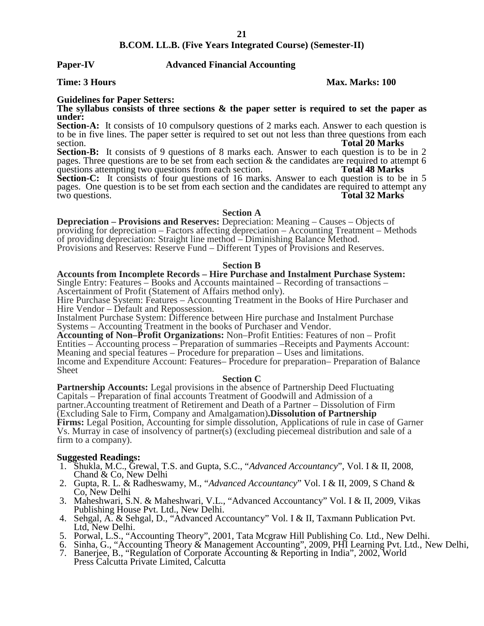### **Paper-IV Advanced Financial Accounting**

### **Time: 3 Hours Max. Marks: 100**

### **Guidelines for Paper Setters:**

**The syllabus consists of three sections & the paper setter is required to set the paper as under:**

**Section-A:** It consists of 10 compulsory questions of 2 marks each. Answer to each question is to be in five lines. The paper setter is required to set out not less than three questions from each section. **Total 20 Marks**

Section-B: It consists of 9 questions of 8 marks each. Answer to each question is to be in 2 pages. Three questions are to be set from each section  $\&$  the candidates are required to attempt 6 questions attempting two questions from each section. **Total 48 Marks** questions attempting two questions from each section.

**Section-C:** It consists of four questions of 16 marks. Answer to each question is to be in 5 pages. One question is to be set from each section and the candidates are required to attempt any two questions. Total 32 Marks Total 32 Marks<sup>1</sup>

### **Section A**

**Depreciation – Provisions and Reserves:** Depreciation: Meaning – Causes – Objects of providing for depreciation – Factors affecting depreciation – Accounting Treatment – Methods of providing depreciation: Straight line method – Diminishing Balance Method. Provisions and Reserves: Reserve Fund – Different Types of Provisions and Reserves.

### **Section B**

**Accounts from Incomplete Records – Hire Purchase and Instalment Purchase System:** Single Entry: Features – Books and Accounts maintained – Recording of transactions – Ascertainment of Profit (Statement of Affairs method only).

Hire Purchase System: Features – Accounting Treatment in the Books of Hire Purchaser and Hire Vendor – Default and Repossession.

Instalment Purchase System: Difference between Hire purchase and Instalment Purchase Systems – Accounting Treatment in the books of Purchaser and Vendor.

**Accounting of Non–Profit Organizations:** Non–Profit Entities: Features of non – Profit Entities – Accounting process – Preparation of summaries –Receipts and Payments Account: Meaning and special features – Procedure for preparation – Uses and limitations. Income and Expenditure Account: Features– Procedure for preparation– Preparation of Balance Sheet

### **Section C**

**Partnership Accounts:** Legal provisions in the absence of Partnership Deed Fluctuating Capitals – Preparation of final accounts Treatment of Goodwill and Admission of a partner.Accounting treatment of Retirement and Death of a Partner – Dissolution of Firm (Excluding Sale to Firm, Company and Amalgamation)**.Dissolution of Partnership Firms:** Legal Position, Accounting for simple dissolution, Applications of rule in case of Garner Vs. Murray in case of insolvency of partner(s) (excluding piecemeal distribution and sale of a firm to a company).

### **Suggested Readings:**

- 1. Shukla, M.C., Grewal, T.S. and Gupta, S.C., "*Advanced Accountancy*", Vol. I & II, 2008, Chand & Co, New Delhi
- 2. Gupta, R. L. & Radheswamy, M., "*Advanced Accountancy*" Vol. I & II, 2009, S Chand & Co, New Delhi
- 3. Maheshwari, S.N. & Maheshwari, V.L., "Advanced Accountancy" Vol. I & II, 2009, Vikas Publishing House Pvt. Ltd., New Delhi.
- 4. Sehgal, A. & Sehgal, D., "Advanced Accountancy" Vol. I & II, Taxmann Publication Pvt. Ltd, New Delhi.
- 5. Porwal, L.S., "Accounting Theory", 2001, Tata Mcgraw Hill Publishing Co. Ltd., New Delhi.
- 6. Sinha, G., "Accounting Theory & Management Accounting", 2009, PHI Learning Pvt. Ltd., New Delhi,
- 7. Banerjee, B., "Regulation of Corporate Accounting & Reporting in India", 2002, World Press Calcutta Private Limited, Calcutta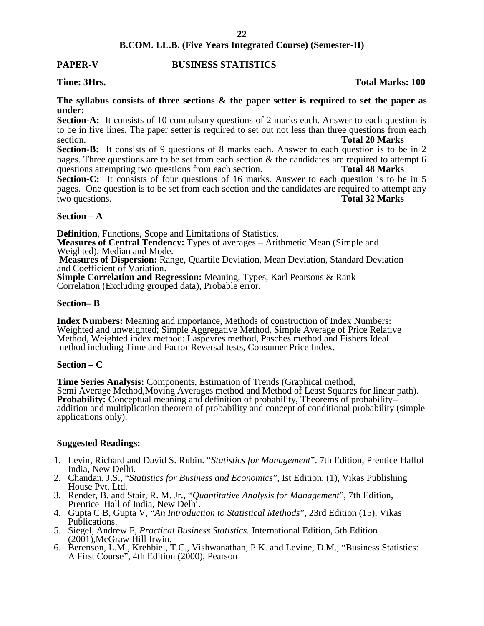### **PAPER-V BUSINESS STATISTICS**

### **Time: 3Hrs. Total Marks: 100**

### **The syllabus consists of three sections & the paper setter is required to set the paper as under:**

**Section-A:** It consists of 10 compulsory questions of 2 marks each. Answer to each question is to be in five lines. The paper setter is required to set out not less than three questions from each section. **Total 20 Marks**

**Section-B:** It consists of 9 questions of 8 marks each. Answer to each question is to be in 2 pages. Three questions are to be set from each section  $\&$  the candidates are required to attempt 6 questions attempting two questions from each section. **Total 48 Marks** questions attempting two questions from each section.

**Section-C:** It consists of four questions of 16 marks. Answer to each question is to be in 5 pages. One question is to be set from each section and the candidates are required to attempt any two questions. **Total 32 Marks**

### **Section – A**

**Definition**, Functions, Scope and Limitations of Statistics.

**Measures of Central Tendency:** Types of averages – Arithmetic Mean (Simple and Weighted), Median and Mode.

**Measures of Dispersion:** Range, Quartile Deviation, Mean Deviation, Standard Deviation and Coefficient of Variation.

**Simple Correlation and Regression:** Meaning, Types, Karl Pearsons & Rank Correlation (Excluding grouped data), Probable error.

### **Section– B**

**Index Numbers:** Meaning and importance, Methods of construction of Index Numbers: Weighted and unweighted; Simple Aggregative Method, Simple Average of Price Relative Method, Weighted index method: Laspeyres method, Pasches method and Fishers Ideal method including Time and Factor Reversal tests, Consumer Price Index.

### **Section – C**

**Time Series Analysis:** Components, Estimation of Trends (Graphical method, Semi Average Method,Moving Averages method and Method of Least Squares for linear path). **Probability:** Conceptual meaning and definition of probability, Theorems of probability– addition and multiplication theorem of probability and concept of conditional probability (simple applications only).

### **Suggested Readings:**

- 1. Levin, Richard and David S. Rubin. "*Statistics for Management*". 7th Edition, Prentice Hallof India, New Delhi.
- 2. Chandan, J.S., "*Statistics for Business and Economics*", Ist Edition, (1), Vikas Publishing House Pvt. Ltd.
- 3. Render, B. and Stair, R. M. Jr., "*Quantitative Analysis for Management*", 7th Edition, Prentice–Hall of India, New Delhi.
- 4. Gupta C B, Gupta V, "*An Introduction to Statistical Methods*", 23rd Edition (15), Vikas Publications.
- 5. Siegel, Andrew F, *Practical Business Statistics.* International Edition, 5th Edition (2001),McGraw Hill Irwin.
- 6. Berenson, L.M., Krehbiel, T.C., Vishwanathan, P.K. and Levine, D.M., "Business Statistics: A First Course", 4th Edition (2000), Pearson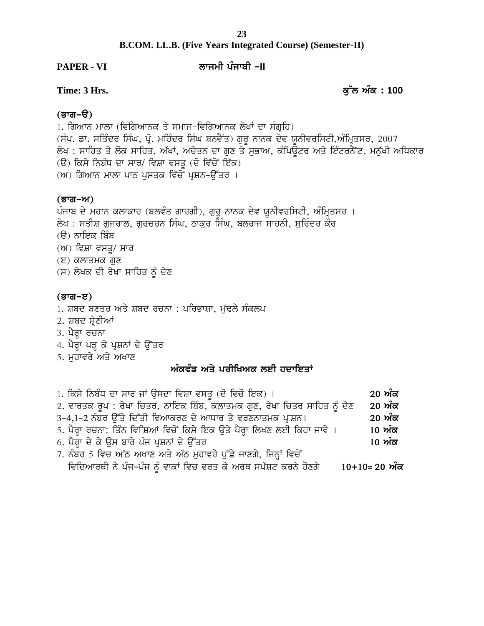# **B.COM. LL.B. (Five Years Integrated Course) (Semester-II) Time: 3 Hrs. example: 100**<br> **e** Time: 3 Hrs.<br> **e** Time: 3 Hrs.<br> **e** Time: 3 Hrs.<br> **e** Time: 3 Hrs.

### **PAPER - VI bkiwh gzikph ^II**

### <u>(ਭਾਗ–ੳ)</u>

1. ਗਿਆਨ ਮਾਲਾ (ਵਿਗਿਆਨਕ ਤੇ ਸਮਾਜ-ਵਿਗਿਆਨਕ ਲੇਖਾਂ ਦਾ ਸੰਗ੍ਰਹਿ)<br>(ਸੰਪ. ਡਾ. ਸਤਿੰਦਰ ਸਿੰਘ, ਪ੍ਰੋ. ਮਹਿੰਦਰ ਸਿੰਘ ਬਨਵੈਂਤ) ਗੁਰੂ ਨਾਨਕ ਦੇਵ ਯੂਨੀਵਰਸਿਟੀ,ਅੰਮ੍ਰਿਤਸਰ, 2007 Time**: 3 Hrs.**<br>(ਭਾਗ–ੳ)<br>1. ਗਿਆਨ ਮਾਲਾ (ਵਿਗਿਆਨਕ ਤੇ ਸਮਾਜ–ਵਿਗਿਆਨਕ ਲੇਖਾਂ ਦਾ ਸੰਗ੍ਰਹਿ)<br>(ਸੰਪ. ਡਾ. ਸਤਿੰਦਰ ਸਿੰਘ, ਪ੍ਰੋ. ਮਹਿੰਦਰ ਸਿੰਘ ਬਨਵੈਂਤ) ਗੁਰੂ ਨਾਨਕ ਦੇਵ ਯੂਨੀਵਰਸਿਟੀ,ਅੰਮ੍ਰਿਤਸਰ, 2007<br>ਲੇਖ : ਸਾਹਿਤ ਤੇ ਲੋਕ ਸਾਹਿਤ, ਅੱਖਾਂ, ਅਚੇਤਨ ਦਾ ਗੁਣ ਤੇ ਸੁਭ (**ਭਾਗ-ੳ)**<br>1. ਗਿਆਨ ਮਾਲਾ (ਵਿਗਿਆਨਕ ਤੇ ਸਮਾਜ-ਵਿਗਿਆਨਕ ਲੇਖਾਂ ਦਾ ਸੰਗ੍ਰਹਿ)<br>(ਸੰਪ. ਡਾ. ਸਤਿੰਦਰ ਸਿੰਘ, ਪ੍ਰੋ. ਮਹਿੰਦਰ ਸਿੰਘ ਬਨਵੈਂਤ) ਗੁਰੂ ਨਾਨਕ ਦੇਵ ਯੂਨੀਵਰਸਿਟੀ,ਅੰਮ੍ਰਿਤਸਰ, 2007<br>ਲੇਖ : ਸਾਹਿਤ ਤੇ ਲੋਕ ਸਾਹਿਤ, ਅੱਖਾਂ, ਅਚੇਤਨ ਦਾ ਗੁਣ ਤੇ ਸੁਭਾਅ, ਕੰਪਿਊਟਰ (**ਭਾਗ-ੳ)**<br>1. ਗਿਆਨ ਮਾਲਾ (ਵਿਗਿਆਨਕ ਤੇ ਸਮਾਜ-ਵਿਗਿਆਨਕ ਲੇਖਾਂ ਦਾ ਸੰਗ੍ਰਹਿ)<br>(ਸੰਪ. ਡਾ. ਸਤਿੰਦਰ ਸਿੰਘ, ਪ੍ਰੋ. ਮਹਿੰਦਰ ਸਿੰਘ ਬਨਵੈਂਤ) ਗੁਰੂ ਨਾਨਕ ਦੇਵ ਯੂ<br>ਲੇਖ : ਸਾਹਿਤ ਤੇ ਲੋਕ ਸਾਹਿਤ, ਅੱਖਾਂ, ਅਚੇਤਨ ਦਾ ਗੁਣ ਤੇ ਸੁਭਾਅ, ਕੰਪਿਊ<br>(ੳ) ਕਿਸੇ ਨਿਬੰਧ ਦਾ ਸਾਰ/ ਵਿਸ 1. ਗਿਆਨ ਮਾਲਾ (ਵਿਗਿਆਨਕ ਤੇ ਸਮਾਜ–ਵਿਗਿਆਨਕ ਲੇਖਾਂ ਦਾ ਸੰਗ੍ਰਹਿ)<br>(ਸੰਪ. ਡਾ. ਸਤਿੰਦਰ ਸਿੰਘ, ਪ੍ਰੋ. ਮਹਿੰਦਰ ਸਿੰਘ ਬਨਵੈਂਤ) ਗੁਰੂ ਨਾਨਕ ਦੇਵ ਯੂ<br>ਲੇਖ : ਸਾਹਿਤ ਤੇ ਲੋਕ ਸਾਹਿਤ, ਅੱਖਾਂ, ਅਚੇਤਨ ਦਾ ਗੁਣ ਤੇ ਸੁਭਾਅ, ਕੰਪਿਊ<br>(ੳ) ਕਿਸੇ ਨਿਬੰਧ ਦਾ ਸਾਰ/ ਵਿਸ਼ਾ ਵਸਤੂ (ਦ

### (ਭਾਗ–ਅ)

(ੳ) ਕਿਸੇ ਨਿਬੰਧ ਦਾ ਸਾਰ/ ਵਿਸ਼ਾ ਵਸਤੂ (ਦੋ ਵਿੱਚੋਂ ਇੱਕ)<br>(ਅ) ਗਿਆਨ ਮਾਲਾ ਪਾਠ ਪੁਸਤਕ ਵਿੱਚੋਂ ਪ੍ਰਸ਼ਨ-ਉੱਤਰ ।<br>(**ਭਾਗ-ਅ)**<br>ਪੰਜਾਬ ਦੇ ਮਹਾਨ ਕਲਾਕਾਰ (ਬਲਵੰਤ ਗਾਰਗੀ), ਗੁਰੂ ਨਾਨਕ ਦੇਵ ਯੂਨੀਵਰਸਿਟੀ, ਅੰਮ੍ਰਿਤਸਰ ।<br>ਲੇਖ : ਸਤੀਸ਼ ਗੁਜਰਾਲ, ਗੁਰਚਰਨ ਸਿੰਘ, ਠਾਕੁਰ ਸਿ (ਅ) ਗਿਆਨ ਮਾਲਾ ਪਾਠ ਪੁਸਤਕ ਵਿੱਚੋਂ ਪ੍ਰਸ਼ਨ-ਉੱਤਰ ।<br>(**ਭਾਗ-ਅ)**<br>ਪੰਜਾਬ ਦੇ ਮਹਾਨ ਕਲਾਕਾਰ (ਬਲਵੰਤ ਗਾਰਗੀ), ਗੁਰੂ ਨਾਨਕ ਦੇਵ ਯੂਨੀਵਰਸਿਟੀ, ਅੰਮ੍ਰਿਤਸਰ ।<br>ਲੇਖ : ਸਤੀਸ਼ ਗੁਜਰਾਲ, ਗੁਰਚਰਨ ਸਿੰਘ, ਠਾਕੁਰ ਸਿੰਘ, ਬਲਰਾਜ ਸਾਹਨੀ, ਸੁਰਿੰਦਰ ਕੌਰ<br>(ੳ) ਨਾਇਕ ਬਿੰਬ<br>(w) ਵਿਧ (ੳ) ਨਾਇਕ ਬਿੰਬ  $(M)$  ਵਿਸ਼ਾ ਵਸਤੂ/ ਸਾਰ  $(E)$  ਕਲਾਤਮਕ ਗੁਣ ਲੇਖ : ਸਤੀਸ਼ ਗੁਜਰਾਲ, ਗੁਰਚਰਨ ਸਿੰਘ, ਠਾਕੁਰ ਸਿੰਘ, ਬਲਰਾਜ ਸਾਹਨੀ, ਸੁਰਿੰਦਰ ਕੌਰ<br>(ੳ) ਨਾਇਕ ਬਿੰਬ<br>(ਅ) ਵਿਸ਼ਾ ਵਸਤੂ/ ਸਾਰ<br>(ੲ) ਕਲਾਤਮਕ ਗੁਣ<br>(ਸ) ਲੇਖਕ ਦੀ ਰੇਖਾ ਸਾਹਿਤ ਨੂੰ ਦੇਣ

### (ਭਾਗ–ੲ)

- 1. ਸ਼ਬਦ ਬਣਤਰ ਅਤੇ ਸ਼ਬਦ ਰਚਨਾ : ਪਰਿਭਾਸ਼ਾ, ਮੁੱਢਲੇ ਸੰਕਲਪ (ਭਾਗ−ੲ)<br>1. ਸ਼ਬਦ ਬਣਤਰ ਅਤੇ ਸ਼ਬਦ ਰਚਨਾ : ਪਰਿਭਾਸ਼ਾ, ਮੁੱਚ<br>2. ਸ਼ਬਦ ਸ਼੍ਰੇਣੀਆਂ<br>4. ਪੈਰ੍ਹਾ ਪੜ੍ਹ ਕੇ ਪ੍ਰਸ਼ਨਾਂ ਦੇ ਉੱਤਰ<br>5. ਮੁਹਾਵਰੇ ਅਤੇ ਅਖਾਣ 1. ਸ਼ਬਦ ਬਣਤਰ ਅਤੇ ਸ਼ਬਦ ਰਚਨਾ<br>2. ਸ਼ਬਦ ਸ਼੍ਰੇਣੀਆਂ<br>3. ਪੈਰ੍ਹਾ ਰਚਨਾ<br>4. ਪੈਰ੍ਹਾ ਪੜ੍ਹ ਕੇ ਪ੍ਰਸ਼ਨਾਂ ਦੇ ਉੱਤਰ<br>5. ਮੁਹਾਵਰੇ ਅਤੇ ਅਖਾਣ
- 2. ਸ਼ਬਦ ਸ਼੍ਰੇਣੀਆਂ
- 
- **(ਭਾਗ–ੲ)**<br>1. ਸ਼ਬਦ ਬਣਤਰ ਅਤੇ ਸ਼ਬਦ ਰਾ<br>2. ਸ਼ਬਦ ਸ਼੍ਰੇਣੀਆਂ<br>3. ਪੈਰ੍ਹਾ ਹੜ੍ਹ ਕੇ ਪ੍ਰਸ਼ਨਾਂ ਦੇ ਉੱਤ<br>4. ਪੈਰ੍ਹਾ ਪੜ੍ਹ ਕੇ ਪ੍ਰਸ਼ਨਾਂ ਦੇ ਉੱਤ
- 

### ਅੰਕਵੰਡ ਅਤੇ ਪਰੀਖਿਅਕ ਲਈ **ਹਦਾਇਤਾਂ**

| 4. ਪੈਰ੍ਹਾ ਪੜ੍ਹ ਕੇ ਪ੍ਰਸ਼ਨਾਂ ਦੇ ਉੱਤਰ                                        |                |
|---------------------------------------------------------------------------|----------------|
| 5. ਮੁਹਾਵਰੇ ਅਤੇ ਅਖਾਣ                                                       |                |
| ਅੰਕਵੰਡ ਅਤੇ ਪਰੀਖਿਅਕ ਲਈ ਹਦਾਇਤਾਂ                                             |                |
|                                                                           |                |
| 1. ਕਿਸੇ ਨਿਬੰਧ ਦਾ ਸਾਰ ਜਾਂ ਉਸਦਾ ਵਿਸ਼ਾ ਵਸਤੂ (ਦੋ ਵਿਚੋ ਇਕ) ।                   | <u>20 ਅੰਕ</u>  |
| 2. ਵਾਰਤਕ ਰੂਪ : ਰੇਖਾ ਚਿਤਰ, ਨਾਇਕ ਬਿੰਬ, ਕਲਾਤਮਕ ਗੁਣ, ਰੇਖਾ ਚਿਤਰ ਸਾਹਿਤ ਨੂੰ ਦੇਣ  | 20 ਅੰਕ         |
| 3-4,1-2 ਨੰਬਰ ਉੱਤੇ ਦਿੱਤੀ ਵਿਆਕਰਣ ਦੇ ਆਧਾਰ ਤੇ ਵਰਣਨਾਤਮਕ ਪ੍ਰਸ਼ਨ।                | 20 ਅੰਕ         |
| 5. ਪੈਰ੍ਹਾ ਰਚਨਾ: ਤਿੰਨ ਵਿਸ਼ਿਆਂ ਵਿਚੋਂ ਕਿਸੇ ਇਕ ਉਤੇ ਪੈਰ੍ਹਾ ਲਿਖਣ ਲਈ ਕਿਹਾ ਜਾਵੇ । | 10 ਅੰਕ         |
| 6. ਪੈਰ੍ਹਾ ਦੇ ਕੇ ਉਸ ਬਾਰੇ ਪੰਜ ਪ੍ਰਸ਼ਨਾਂ ਦੇ ਉੱਤਰ                              | 10 ਅੰਕ         |
| 7. ਨੰਬਰ 5 ਵਿਚ ਅੱਠ ਅਖਾਣ ਅਤੇ ਅੱਠ ਮੁਹਾਵਰੇ ਪੁੱਛੇ ਜਾਣਗੇ, ਜਿਨ੍ਹਾਂ ਵਿਚੋਂ         |                |
| ਵਿਦਿਆਰਥੀ ਨੇ ਪੰਜ-ਪੰਜ ਨੂੰ ਵਾਕਾਂ ਵਿਚ ਵਰਤ ਕੇ ਅਰਥ ਸਪੱਸ਼ਟ ਕਰਨੇ ਹੋਣਗੇ            | $10+10=20$ ਅੰਕ |
|                                                                           |                |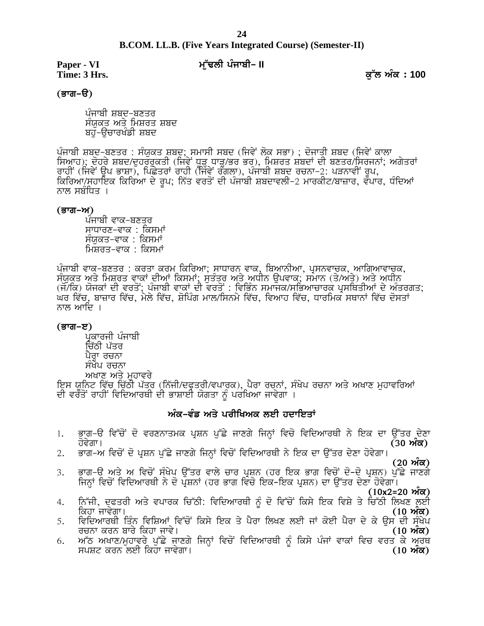# **B.COM. LL.B. (Five Years Integrated Course) (Semester-II)**  $24$ <br>B.COM. LL.B. (Five Years Integrated Course) (Semester-II)<br>Paper - VI *મ્*યું માંચી - II ક્ષેત્ર કે Hrs.<br>(ਭਾਗ–ੳ)

Paper - VI<br>Time: 3 Hrs.

<u>(ਭਾਗ–ੳ)</u>

ਪੰਜਾਬੀ ਸ਼ਬਦ-ਬਣਤਰ ਸੰਯੁਕਤ ਅਤੇ ਮਿਸ਼ਰਤ ਸ਼ਬਦ<br>ਬਹ-ੳਚਾਰਖੰਡੀ ਸ਼ਬਦ

ਪੰਜਾਬੀ ਸ਼ਬਦ-ਬਣਤਰ : ਸੰਯੁਕਤ ਸ਼ਬਦ; ਸਮਾਸੀ ਸਬਦ (ਜਿਵੇਂ ਲੋਕ ਸਭਾ) ; ਦੋਜਾਤੀ ਸ਼ਬਦ (ਜਿਵੇਂ ਕਾਲਾ ੇ ਪੰਜਾਬੀ ਸ਼ਬਦ−ਬਣਤਰ<br>ਸੰਯੁਕਤ ਅਤੇ ਮਿਸ਼ਰਤ ਸ਼ਬਦ<br>ਬਹੁ–ਉਚਾਰਖੰਡੀ ਸ਼ਬਦ<br>ਪੰਜਾਬੀ ਸ਼ਬਦ−ਬਣਤਰ : ਸੰਯੁਕਤ ਸ਼ਬਦ; ਸਮਾਸੀ ਸਬਦ (ਜਿਵੇਂ ਲੋਕ ਸਭਾ) ; ਦੋਜਾਤੀ ਸ਼ਬਦ (ਜਿਵੇਂ ਕਾਲਾ<br>ਸਿਆਹ); ਦੋਹਰੇ ਸ਼ਬਦ/ਦੁਹਰਰੁਕਤੀ (ਜਿਵੇਂ ਧੂੜ੍ਹ ਧਾੜ੍ਹ/ਭਰ ਭਰ), ਮਿਸ਼ਰਤ ਸ਼ਬਦਾਂ ਦੀ ਬਣਤ ਬਹੁੱ–ਉਚਾਰਖੰਡੀ ਸ਼ਬਦ<br>ਪੰਜਾਬੀ ਸ਼ਬਦ-ਬਣਤਰ : ਸੰਯੁਕਤ ਸ਼ਬਦ; ਸਮਾਸੀ ਸਬਦ (ਜਿਵੇਂ ਲੋਕ ਸਭਾ) ; ਦੋਜਾਤੀ ਸ਼ਬਦ (ਜਿਵੇਂ ਕਾਲਾ<br>ਸਿਆਹ); ਦੋਹਰੇ ਸ਼ਬਦ/ਦੁਹਰਰੁਕਤੀ (ਜਿਵੇਂ ਧੂੜ੍ਹ ਧਾੜ੍ਹ/ਭਰ ਭਰ), ਮਿਸ਼ਰਤ ਸ਼ਬਦਾਂ ਦੀ ਬਣਤਰ/ਸਿਰਜਨਾਂ; ਅਗੇਤਰਾਂ<br>ਰਾਹੀਂ (ਜਿਵੇਂ ਉਪ ਭਾਸ਼ਾ),

### (ਭਾਗ–ਅ)

ਪੰਜਾਬੀ ਵਾਕ-ਬਣਤਰ ਸਾਧਾਰਣ-ਵਾਕ : ਕਿਸਮਾਂ ਸੰਯਕਤ-ਵਾਕ : ਕਿਸਮਾਂ <u>ਮਿਸ਼ਰਤ-ਵਾਕ : ਕਿਸਮਾਂ</u>

ਸਾਧਾਰਣ-ਵਾਕ : ਕਿਸਮਾਂ<br>ਸੰਯੁਕਤ-ਵਾਕ : ਕਿਸਮਾਂ<br>ਮਿਸ਼ਰਤ-ਵਾਕ : ਕਿਸਮਾਂ<br>ਸੰਯੁਕਤ ਅਤੇ ਮਿਸ਼ਰਤ ਵਾਕਾਂ ਦੀਆਂ ਕਿਸਮਾਂ; ਸੁਤੰਤਰ ਅਤੇ ਅਧੀਨ ਉਪਵਾਕ; ਸਮਾਨ (ਤੇ/ਅਤੇ) ਅਤੇ ਅਧੀਨ<br>(ਜੋ/ਕਿ) ਯੋਜਕਾਂ ਦੀ ਵਰਤੋਂ; ਪੰਜਾਬੀ ਵਾਕਾਂ ਦੀ ਵਰਤੋਂ : ਵਿਭਿੰਨ ਸਮਾਜਕ/ਸਭਿਆਚਾਰਕ ਪ੍ਰਸਥਿਤ ਸੰਸੁਕਤ–ਵਾਕ : ਕਿਸਮਾਂ<br>ਪੰਜਾਬੀ ਵਾਕ-ਬਣਤਰ : ਕਰਤਾ ਕਰਮ ਕਿਰਿਆ; ਸਾਧਾਰਨ ਵਾਕ, ਬਿਆਨੀਆ, ਪ੍ਰਸਨਵਾਚਕ, ਆਗਿਆਵਾਚਕ,<br>ਸੰਯੁਕਤ ਅਤੇ ਮਿਸ਼ਰਤ ਵਾਕਾਂ ਦੀਆਂ ਕਿਸਮਾਂ; ਸੁਤੰਤਰ ਅਤੇ ਅਧੀਨ ਉਪਵਾਕ; ਸਮਾਨ (ਤੇ/ਅਤੇ) ਅਤੇ ਅਧੀਨ<br>(ਜੋ/ਕਿ) ਯੋਜਕਾਂ ਦੀ ਵਰਤੋਂ; ਪੰਜਾਬੀ ਵਾਕਾਂ ਦੀ ਵ ਘਰ ਵਿੱਚ, ਬਾਜ਼ਾਰ ਵਿੱਚ, ਮੇਲੇ ਵਿੱਚ, ਸ਼ੋਪਿੰਗ ਮਾਲ/ਸਿਨਮੇ ਵਿੱਚ, ਵਿਆਹ ਵਿੱਚ, ਧਾਰਮਿਕ ਸਥਾਨਾਂ ਵਿੱਚ ਦੋਸਤਾਂ<br>ਨਾਲ ਆਦਿ ।<br>(ਭਾਗ–ੲ)<br>ਪ੍ਰਕਾਰਜੀ ਪੰਜਾਬੀ<br>ਇੱਠੀ ਪੱਤਰ<br>ਪੈਰ੍ਹਾ ਰਚਨਾ<br>ਸੰਖੇਪ ਰਚਨਾ

### <u>(ਭਾਗ–ੲ)</u>

ਪ੍ਰਕਾਰਜੀ ਪੰਜਾਬੀ<br>ਚਿੱਠੀ ਪੱਤਰ ਦਿ ।<br>**;)**<br>ਪ੍ਰਕਾਰਜੀ ਪੰਜਾਬੀ<br>ਚਿੱਠੀ ਪੱਤਰ<br>ਪੈਰ੍ਹਾ ਰਚਨਾ<br>ਸੰਖੇਪ ਰਚਨਾ<br>ਅਖਾਣ ਅਤੇ ਮੁਹਾਵਰੇ

**(ਭਾਗ-ੲ)**<br>ਪ੍ਰਕਾਰਜੀ ਪੰਜਾਬੀ<br>ਜਿੱਥੀ ਪੱਤਰ<br>ਪੈਰ੍ਹਾ ਰਚਨਾ<br>ਸੰਖੇਪ ਰਚਨਾ<br>ਅਖਾਣ ਅਤੇ ਮੁਹਾਵਰੇ<br>ਇਸ ਯੂਨਿਟ ਵਿੱਚ ਚਿੱਠੀ ਪੱਤਰ (ਨਿੱਜੀ/ਦਫ਼ਤਰੀ/ਵਪਾਰਕ), ਪੈਰਾ ਰਚਨਾਂ, ਸੰਖੇਪ ਰਚਨਾ ਅਤੇ ਅਖਾਣ ਮੁਹਾਵਰਿਆਂ<br>ਦੀ ਵਰਤੋਂ ਰਾਹੀਂ ਵਿਦਿਆਰਥੀ ਦੀ ਭਾਸ਼ਾਈ ਯੋਗਤਾ ਨੂੰ ਪਰਖਿਆ ਜਾਵੇ ੱਜੀ/ਦਫ੍ਰਤਰੀ/ਵਪਾਰਕ), ਪੈਰਾ ਰਚਨਾਂ, ਸੰਖੇਪ ਰਚਨਾ<br>ਭਾਸ਼ਾਈ ਯੋਗਤਾ ਨੂੰ ਪਰਖਿਆ ਜਾਵੇਗਾ ।<br>**ਅੰਕ-ਵੰਡ ਅਤੇ ਪਰੀਖਿਅਕ ਲਈ ਹਦਾਇਤਾਂ**<br>ਤਮਕ ਪ੍ਰਸ਼ਨ ਪੁੱਛੇ ਜਾਣਗੇ ਜਿਨ੍ਹਾਂ ਵਿਚੋ ਵਿਦਿਆਰਥ

- ਇਸ ਯੂਨਿਟ ਵਿੱਚ ਚਿੱਠੀ ਪੱਤਰ (ਨਿੱਜੀ/ਦਫ਼ਤਰੀ/ਵਪਾਰਕ), ਪੈਰਾ ਰਚਨਾਂ, ਸੰਖੇਪ ਰਚਨਾ ਅਤੇ ਅਖਾਣ ਮੁਹਾਵਰਿਆਂ<br>ਦੀ ਵਰਤੋਂ ਰਾਹੀਂ ਵਿਦਿਆਰਥੀ ਦੀ ਭਾਸ਼ਾਈ ਯੋਗਤਾ ਨੂੰ ਪਰਖਿਆ ਜਾਵੇਗਾ ।<br>1. ਭਾਗ<sup>\_</sup>ੳ ਵਿੱਚੋਂ ਦੋ ਵਰਣਨਾਤਮਕ ਪ੍ਰਸ਼ਨ ਪੁੱਛੇ ਜਾਣਗੇ ਜਿਨ੍ਹਾਂ ਵਿਚੋ ਵਿਦਿਆਰਥ ੁੱਖੋਂ ਦਿੱਚੋਂ ਦੋ ਵਰਣਨਾਤਮਕ ਪ੍ਰਸ਼ਨ ਪੁੱਛੇ ਜਾਣਗੇ ਜਿਨ੍ਹਾਂ ਵਿਚੋਂ ਵਿਦਿਆਰਥੀ ਨੇ ਇਕ ਦਾ ਉੱਤਰ ਦੇਣਾ<br>ਹੋਵੇਗਾ। (30 **ਅੰਕ)**<br>2. ਭਾਗ–ਅ ਵਿਚੋਂ ਦੋ ਪ੍ਰਸ਼ਨ ਪੁੱਛੇ ਜਾਣਗੇ ਜਿਨ੍ਹਾਂ ਵਿਚੋਂ ਵਿਦਿਆਰਥੀ ਨੇ ਇਕ ਦਾ ਉੱਤਰ ਦੇਣਾ ਹੋਵੇਗਾ।<br>3. ਭਾਗ–ਉ ਅਤੇ ਅ ਵਿਚੋਂ ਸੰਖੇਪੁ
- 
- **(20 nze)** 3H Gkr^T ns/ n ftu 'A ;zy/g T [~so tkb/ uko gqPB (jo fJe Gkr ftu 'A d '-d ' gqPB) g[~S/ ikDr / fiBQK ftu 'A ftfdnkoEh B/ d ' gqPBK (jo Gkr ftu ' fJe-fJe gqPB) dk T [~so d /Dk j't/rk. 2. ਭਾਗ–ਅ ਵਿਚੋਂ ਦੋ ਪ੍ਰਸ਼ਨ ਪੁੱਛੇ ਜਾਣਗੇ ਜਿਨ੍ਹਾਂ ਵਿਚੋਂ ਵਿਦਿਆਰਥੀ ਨੇ ਇਕ ਦਾ ਉੱਤਰ ਦੇਣਾ ਹੋਵੇਗਾ।<br>3. ਭਾਗ–ੳ ਅਤੇ ਅ ਵਿਚੋਂ ਸੰਖੇਪ ਉੱਤਰ ਵਾਲੇ ਚਾਰ ਪ੍ਰਸ਼ਨ (ਹਰ ਇਕ ਭਾਗ ਵਿਚੋਂ ਦੋ–ਦੋ ਪ੍ਰਸ਼ਨ) ਪੁੱਛੇ ਜਾਣਗੇ<br>ਜਿਨ੍ਹਾਂ ਵਿਚੋਂ ਵਿਦਿਆਰਥੀ ਨੇ ਦੋ ਪ੍ਰਸ਼ਨਾਂ (ਹਰ
- **(10x2=20 ਔਕ)**<br>ਨਿੱਜੀ, ਦਫਤਰੀ ਅਤੇ ਵਪਾਰਕ ਚਿੱਠੀ: ਵਿਦਿਆਰਥੀ ਨੰ ਦੋ ਵਿੱਚੋਂ ਕਿਸੇ ਇਕ ਵਿਸ਼ੇ ਤੇ ਚਿੱਠੀ ਲਿਖਣ ਲਈ 3. ਭਾਗ–ੳ ਅਤੇ ਅ ਵਿਚੋਂ ਸੰਖੇਪ ਉੱਤਰ ਵਾਲੇ ਚਾਰ ਪ੍ਰਸ਼ਨ (ਹਰ ਇਕ ਭਾਗ ਵਿਚੋਂ ਦੋ–ਦੋ ਪ੍ਰਸ਼ਨ) ਪੁੱਛੇ ਜਾਣਗੇ<br>ਜਿਨ੍ਹਾਂ ਵਿਚੋਂ ਵਿਦਿਆਰਥੀ ਨੇ ਦੋ ਪ੍ਰਸ਼ਨਾਂ (ਹਰ ਭਾਗ ਵਿਚੋ ਇਕ–ਇਕ ਪ੍ਰਸ਼ਨ) ਦਾ ਉੱਤਰ ਦੇਣਾ ਹੋਵੇਗਾ।<br>4. ਨਿੱਜੀ, ਦਫਤਰੀ ਅਤੇ ਵਪਾਰਕ ਚਿੱਠੀ: ਵਿਦਿਆਰਥੀ ਨ ouBk eoB pko / fejk ikt/. **(10 nze)** <sup>6</sup> ਵਿੱਜੀ, ਦਫਤਰੀ ਅਤੇ ਵਪਾਰਕ ਚਿੱਠੀ: ਵਿਦਿਆਰਥੀ ਨੂੰ ਦੋ ਵਿੱਚੋਂ ਕਿਸੇ ਇਕ ਵਿਸ਼ੇ ਤੇ ਚਿੱਠੀ ਲਿਖਣ ਲਈ ਕਿਹਾ ਜਾਵੇਗਾ।<br>ਕਿਹਾ ਜਾਵੇਗਾ। ਵਿੱਚ ਕਿਸੇ ਇਕ ਤੇ ਪੈਰਾ ਲਿਖਣ ਲਈ ਜਾਂ ਕੋਈ ਪੈਰਾ ਦੇ ਕੇ ਉਸ ਦੀ ਸੰਖੇਪ<br>5. ਵਿਦਿਆਰਥੀ ਤਿੰਨ ਵਿਸ਼ਿਆਂ ਵਿੱਚੋਂ ਕਿਸੇ ਇਕ ਤੇ ਪੈਰ
- ਕਿਹਾ ਜਾਵੇਗਾ।<br>ਵਿਦਿਆਰਥੀ ਤਿੰਨ ਵਿਸ਼ਿਆਂ ਵਿੱਚੋਂ ਕਿਸੇ ਇਕ ਤੇ ਪੈਰਾ ਲਿਖਣ ਲਈ ਜਾਂ ਕੋਈ ਪੈਰਾ ਦੇ ਕੇ ਉਸ ਦੀ ਸੰਖੇਪ
-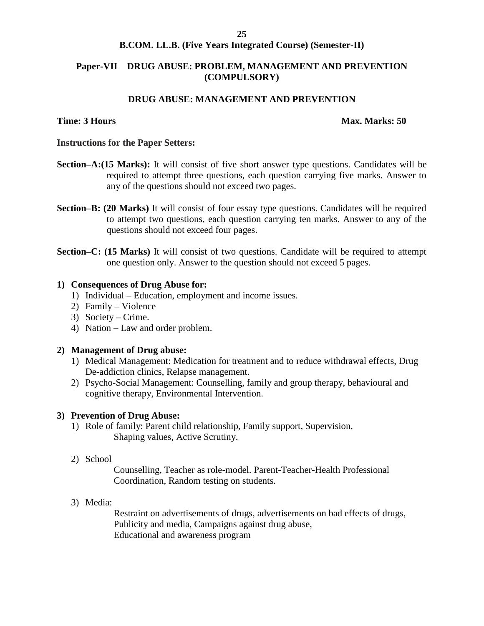### **B.COM. LL.B. (Five Years Integrated Course) (Semester-II)**

### **Paper-VII DRUG ABUSE: PROBLEM, MANAGEMENT AND PREVENTION (COMPULSORY)**

### **DRUG ABUSE: MANAGEMENT AND PREVENTION**

### **Time: 3 Hours Max. Marks: 50**

### **Instructions for the Paper Setters:**

- **Section–A:(15 Marks):** It will consist of five short answer type questions. Candidates will be required to attempt three questions, each question carrying five marks. Answer to any of the questions should not exceed two pages.
- **Section–B: (20 Marks)** It will consist of four essay type questions. Candidates will be required to attempt two questions, each question carrying ten marks. Answer to any of the questions should not exceed four pages.
- **Section–C: (15 Marks)** It will consist of two questions. Candidate will be required to attempt one question only. Answer to the question should not exceed 5 pages.

### **1) Consequences of Drug Abuse for:**

- 1) Individual Education, employment and income issues.
- 2) Family Violence
- 3) Society Crime.
- 4) Nation Law and order problem.

### **2) Management of Drug abuse:**

- 1) Medical Management: Medication for treatment and to reduce withdrawal effects, Drug De-addiction clinics, Relapse management.
- 2) Psycho-Social Management: Counselling, family and group therapy, behavioural and cognitive therapy, Environmental Intervention.

### **3) Prevention of Drug Abuse:**

- 1) Role of family: Parent child relationship, Family support, Supervision, Shaping values, Active Scrutiny.
- 2) School

Counselling, Teacher as role-model. Parent-Teacher-Health Professional Coordination, Random testing on students.

3) Media:

Restraint on advertisements of drugs, advertisements on bad effects of drugs, Publicity and media, Campaigns against drug abuse, Educational and awareness program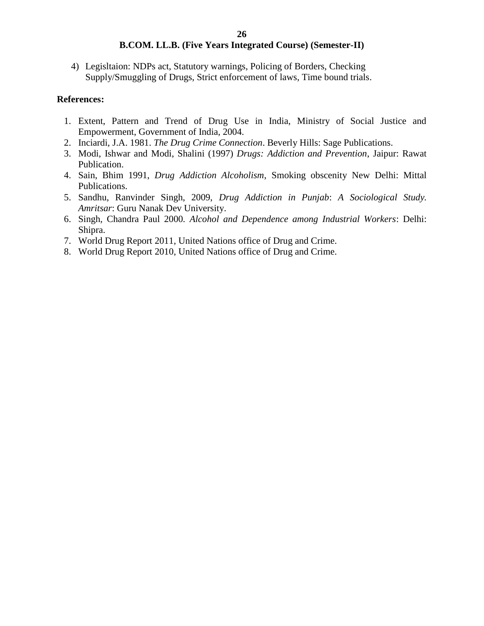4) Legisltaion: NDPs act, Statutory warnings, Policing of Borders, Checking Supply/Smuggling of Drugs, Strict enforcement of laws, Time bound trials.

### **References:**

- 1. Extent, Pattern and Trend of Drug Use in India, Ministry of Social Justice and Empowerment, Government of India, 2004.
- 2. Inciardi, J.A. 1981. *The Drug Crime Connection*. Beverly Hills: Sage Publications.
- 3. Modi, Ishwar and Modi, Shalini (1997) *Drugs: Addiction and Prevention*, Jaipur: Rawat Publication.
- 4. Sain, Bhim 1991, *Drug Addiction Alcoholism*, Smoking obscenity New Delhi: Mittal Publications.
- 5. Sandhu, Ranvinder Singh, 2009, *Drug Addiction in Punjab*: *A Sociological Study. Amritsar*: Guru Nanak Dev University.
- 6. Singh, Chandra Paul 2000*. Alcohol and Dependence among Industrial Workers*: Delhi: Shipra.
- 7. World Drug Report 2011, United Nations office of Drug and Crime.
- 8. World Drug Report 2010, United Nations office of Drug and Crime.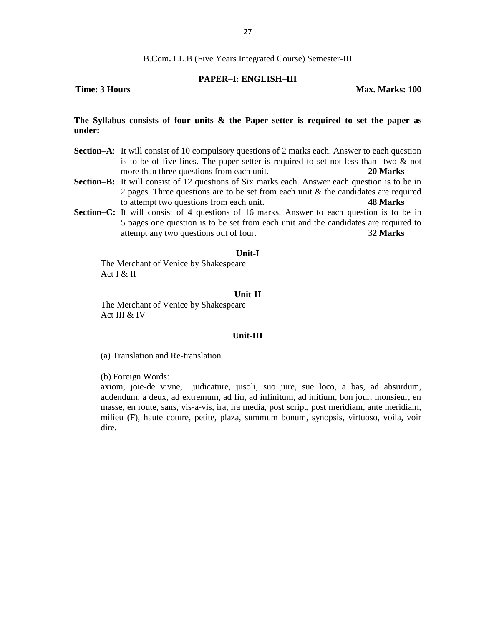### **PAPER–I: ENGLISH–III**

**Time: 3 Hours Max. Marks: 100** 

### **The Syllabus consists of four units & the Paper setter is required to set the paper as under:-**

- **Section–A**: It will consist of 10 compulsory questions of 2 marks each. Answer to each question is to be of five lines. The paper setter is required to set not less than two  $\&$  not more than three questions from each unit. **20 Marks**
- **Section–B:** It will consist of 12 questions of Six marks each. Answer each question is to be in 2 pages. Three questions are to be set from each unit  $\&$  the candidates are required to attempt two questions from each unit. **48 Marks**
- **Section–C:** It will consist of 4 questions of 16 marks. Answer to each question is to be in 5 pages one question is to be set from each unit and the candidates are required to attempt any two questions out of four. 3**2 Marks**

### **Unit-I**

The Merchant of Venice by Shakespeare Act I & II

### **Unit-II**

The Merchant of Venice by Shakespeare Act III & IV

### **Unit-III**

(a) Translation and Re-translation

(b) Foreign Words:

axiom, joie-de vivne, judicature, jusoli, suo jure, sue loco, a bas, ad absurdum, addendum, a deux, ad extremum, ad fin, ad infinitum, ad initium, bon jour, monsieur, en masse, en route, sans, vis-a-vis, ira, ira media, post script, post meridiam, ante meridiam, milieu (F), haute coture, petite, plaza, summum bonum, synopsis, virtuoso, voila, voir dire.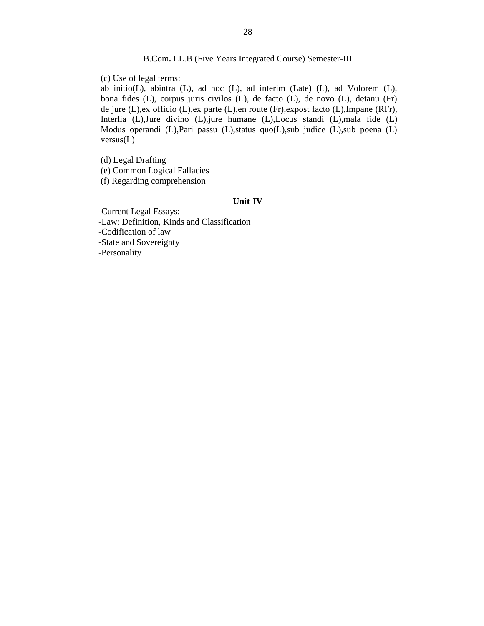(c) Use of legal terms:

ab initio(L), abintra (L), ad hoc (L), ad interim (Late) (L), ad Volorem (L), bona fides (L), corpus juris civilos (L), de facto (L), de novo (L), detanu (Fr) de jure (L),ex officio (L),ex parte (L),en route (Fr),expost facto (L),Impane (RFr), Interlia (L),Jure divino (L),jure humane (L),Locus standi (L),mala fide (L) Modus operandi (L),Pari passu (L),status quo(L),sub judice (L),sub poena (L) versus(L)

(d) Legal Drafting (e) Common Logical Fallacies (f) Regarding comprehension

### **Unit-IV**

-Current Legal Essays: -Law: Definition, Kinds and Classification -Codification of law -State and Sovereignty -Personality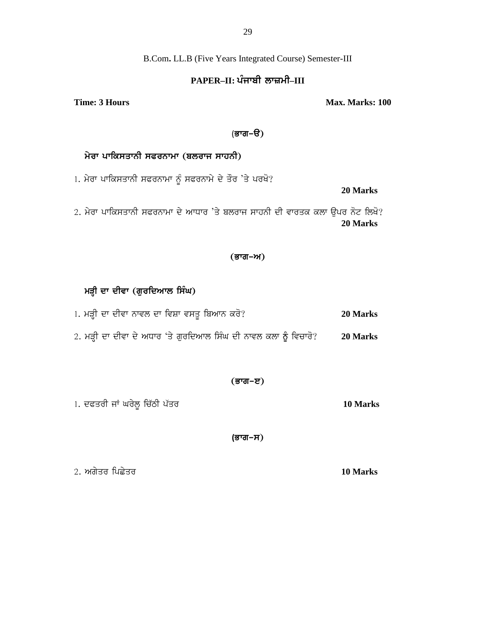B.Com**.** LL.B (Five Years Integrated Course) Semester-III

### **PAPER–II: gzikph bkIwh–III**

**Time: 3 Hours Max. Marks: 100** 

### (ਭਾਗ–ੳ)

### $h$ ਰਾ ਪਾਕਿਸਤਾਨੀ ਸਫਰਨਾਮਾ (ਬਲਰਾਜ ਸਾਹਨੀ)

1. ਮੇਰਾ ਪਾਕਿਸਤਾਨੀ ਸਫਰਨਾਮਾ ਨੂੰ ਸਫਰਨਾਮੇ ਦੇ ਤੌਰ 'ਤੇ ਪਰਖੋ?

**20 Marks**

2. ਮੇਰਾ ਪਾਕਿਸਤਾਨੀ ਸਫਰਨਾਮਾ ਦੇ ਆਧਾਰ 'ਤੇ ਬਲਰਾਜ ਸਾਹਨੀ ਦੀ ਵਾਰਤਕ ਕਲਾ ਉਪਰ ਨੋਟ ਲਿਖੋ? **20 Marks**

### (ਭਾਗ–ਅ)

### ਮੜ੍ਹੀ ਦਾ ਦੀਵਾ (ਗੁਰਦਿਆਲ ਸਿੰਘ)

- 1H wVh dk dhtk Bktb dk ftPk t;s{ fpnkB eo '< **20 Marks** 1. ਮੜ੍ਹੀ ਦਾ ਦੀਵਾ ਨਾਵਲ ਦਾ ਵਿਸ਼ਾ ਵਸਤੂ ਬਿਆਨ ਕਰੋ?<br>2. ਮੜ੍ਹੀ ਦਾ ਦੀਵਾ ਦੇ ਅਧਾਰ 'ਤੇ ਗੁਰਦਿਆਲ ਸਿੰਘ ਦੀ ਨਾਵਲ ਕਲਾ ਨੂੰ ਵਿਚਾਰੋ? 20 Marks
- - (ਭਾਗ−ੲ)
- 1H dcsoh iK xo /b{ fu Zmh gZso **10 Marks**

**(ਭਾਗ–ਸ**)

<u>2. ਅਗੇਤਰ ਪਿਛੇਤਰ ਵਿੱਚ ਵਿੱਚ ਵਿੱਚ ਵਿੱਚ ਵਿੱਚ ਵਿੱਚ ਵਿੱਚ 10 Marks</u>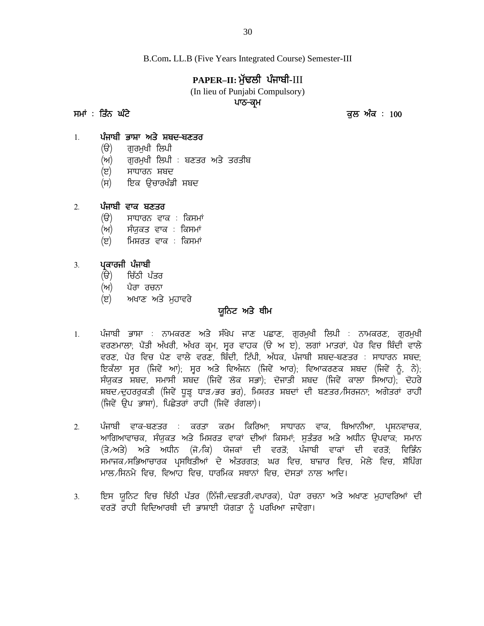B.Com**.** LL.B (Five Years Integrated Course) Semester-III B.Com. LL.B (Five Years Integrated Course) Semester-III<br> **PAPER–II: ਮੁੱਢਲੀ ਪੰਜਾਬੀ**-III<br>
(In lieu of Punjabi Compulsory)<br>
ਪਾਠ-ਕ੍ਰਮ<br>
ਤਲ ਅੰਕ : 100<br>
1 ਪੰਜਾਬੀ ਭਾਸ਼ਾ ਅਤੇ ਸ਼ਬਦ-ਬਣਤਰ

### **PAPER–II: w[ ZYbh gzikph**-III

(In lieu of Punjabi Compulsory)

### ਪਾਠ<del>-</del>ਕਮ

- (ੳ) ਗਰਮਖੀ ਲਿਪੀ
- PAPER–II: ਮੁੱਢਲ<br>In lieu of Punjabi)<br>ਪਾਠ–ਕ੍ਰ<br>1. ਪੰਜਾਬੀ ਭਾਸ਼ਾ ਅਤੇ ਸ਼ਬਦ-ਬਣਤਰ<br>(ੳ) ਗੁਰਮੁਖੀ ਲਿਪੀ<br>(ਅ) ਗਰਮਖੀ ਲਿਪੀ : ਬਣਤਰ ਅਤੇ ਤਰਤੀਬ (ਅ) ਗਰਮਖੀ ਲਿਪੀ : ਬਣਤਰ ਅਤੇ ਤਰਤੀਬ ਤਿੰਨ ਘੱਟੇ<br>ਪੰਜਾਬੀ ਭਾਸ਼ਾ ਅਤੇ ਸ਼ਬਦ-ਬਣਤਰ<br>(ੳ) ਗੁਰਮੁਖੀ ਲਿਪੀ<br>(ਅ) ਗੁਰਮੁਖੀ ਲਿਪੀ : ਬਣਤਰ ਅਤੇ ਤਰਤੀਬ<br>(ੲ) ਸਾਧਾਰਨ ਸ਼ਬਦ<br>(ਸ) ਇਕ ਉਚਾਰਖੰਡੀ ਸ਼ਬਦ<br>ਪੰਜਾਬੀ ਵਾਕ ਬਣਤਰ 1. **ਪੰਜਾਬੀ ਭਾਸ਼ਾ ਅਤੇ ਸ਼ਬਦ-ਬਣਤਰ**<br>(ੳ) ਗੁਰਮੁਖੀ ਲਿਪੀ : ਬਣਤਰ<br>(ਅ) ਗੁਰਮੁਖੀ ਲਿਪੀ : ਬਣਤਰ<br>(ੲ) ਸਾਧਾਰਨ ਸ਼ਬਦ<br>(ਸ) ਇਕ ਉਚਾਰਖੰਡੀ ਸ਼ਬਦ<br>2. **ਪੰਜਾਬੀ ਵਾਕ ਬਣਤਰ**<br>(ੳ) ਸਾਧਾਰਨ ਵਾਕ : ਕਿਸਮਾਂ<br>(ਅ) ਸੰਯਕਤ ਵਾਕ : ਕਿਸਮਾਂ
	-
	- (ੲ) ਸਾਧਾਰਨ ਸ਼ਬਦ<br>(ਸ) ਇਕ ੳਚਾਰਖੰਡੀ ਸ਼ਬਦ

- (ੳ) ਸਾਧਾਰਨ ਵਾਕ : ਕਿਸਮਾਂ
- (ਅ) ਸੰਯੁਕਤ ਵਾਕ : ਕਿਸਮਾਂ
- (ੲ) ਮਿਸ਼ਰਤ ਵਾਕ : ਕਿਸਮਾਂ 2. **ਪੰਜਾਬੀ ਵਾਕ ਬਣਤਰ**<br>(ੳ) ਸਾਧਾਰਨ ਵਾਕ : ਕਿਸਮਾਂ<br>(ਅ) ਸੰਯੁਕਤ ਵਾਕ : ਕਿਸਮਾਂ<br>(ੲ) ਮਿਸ਼ਰਤ ਵਾਕ : ਕਿਸਮਾਂ<br>3. **ਪ੍ਰਕਾਰਜੀ ਪੰਜਾਬੀ**<br>(ੳ) ਚਿੱਠੀ ਪੱਤਰ<br>(ਅ) ਪੈਰਾ ਰਚਨਾ ਪੰਜਾਬੀ ਵਾਕ ਬਣਤਰ<br>(ੳ) - ਸਾਧਾਰਨ ਵਾਕ : ਕਿਸਮਾਂ<br>(ਅ) - ਸੰਯੁਕਤ ਵਾਕ : ਕਿਸਮਾਂ<br>(ੲ) - ਮਿਸ਼ਰਤ ਵਾਕ : ਕਿਸਮਾਂ<br>ਪ੍ਰਕਾਰਜੀ ਪੰਜਾਬੀ<br>(ੳ) - ਬਿੱਠੀ ਪੱਤਰ<br>(ਅ) - ਪੈਰਾ ਰਚਨਾ<br>(ੲ) - ਅਖਾਣ ਅਤੇ ਮਹਾਵਰੇ

- 
- (ਅ) ਪੈਰਾ ਰਚਨਾ
- (ੲ) ਅਖਾਣ ਅਤੇ ਮਹਾਵਰੇ

- **ਯੂਨਿਟ ਅਤੇ ਥੀਮ**<br>**ਯੂਨਿਟ ਅਤੇ ਥੀਮ**<br>ਸੰਖੇਪ ਜਾਣ ਪਛਾਣ. ਗਰਮਖੀ ਲਿਪੀ : 1. **ਪ੍ਰਕਾਰਜੀ ਪੰਜਾਬੀ**<br>(ੳ) ਚਿੱਠੀ ਪੱਤਰ<br>(ਅ) ਪੈਰਾ ਰਚਨਾ<br>(ੲ) ਅਖਾਣ ਅਤੇ ਮੁਹਾਵਰੇ **ਯੂਨਿਟ ਅਤੇ ਥੀਮ**<br>1. ਪੰਜਾਬੀ ਭਾਸ਼ਾ : ਨਾਮਕਰਣ ਅਤੇ ਸੰਖੇਪ ਜਾਣ ਪਛਾਣ, ਗੁਰਮੁਖੀ ਲਿਪੀ : ਨਾਮਕਰਣ, ਗੁਰਮੁਖੀ<br>ਵਰਣਮਾਲਾ; ਪੈਂਤੀ ਅੱਖਰੀ, ਅੱਖਰ ਕ੍ਰਮ, ਸ੍ਵਰ ਵਾਹਕ (ੳ ਅ ੲ), ਲਗਾਂ ਮ (ੳ) ਚਿੱਠੀ ਪੰਤਰ<br>(ਅ) ਪੈਰਾ ਰਚਨਾ<br>(ੲ) ਅਖਾਣ ਅਤੇ ਮੁਹਾਵਰੇ **ਪੁਨਿਟ ਅਤੇ ਥੀਮ**<br>ਪੰਜਾਬੀ ਭਾਸ਼ਾ : ਨਾਮਕਰਣ ਅਤੇ ਸੰਖੇਪ ਜਾਣ ਪਛਾਣ, ਗੁਰਮੁਖੀ ਲਿਪੀ : ਨਾਮਕਰਣ, ਗੁਰਮੁਖੀ<br>ਵਰਣਮਾਲਾ; ਪੈਂਤੀ ਅੱਖਰੀ, ਅੱਖਰ ਕ੍ਰਮ, ਸੂਰ ਵਾਹਕ (ੳ ਅ ੲ), ਲਗਾਂ ਮਾਤਰਾਂ, ਪੈਰ ਵਿਚ ਬਿੰਦੀ ਵਾਲੇ (ਅ) ਪੈਰਾ ਰਚਨਾ<br>(ੲ) ਅਖਾਣ ਅਤੇ ਮੁਹਾਵਰੇ **ਯੂਨਿਟ ਅਤੇ ਥੀਮ**<br>ਪੰਜਾਬੀ ਭਾਸ਼ਾ : ਨਾਮਕਰਣ ਅਤੇ ਸੰਖੇਪ ਜਾਣ ਪਛਾਣ, ਗੁਰਮੁਖੀ ਲਿਪੀ : ਨਾਮਕਰਣ, ਗੁਰਮੁਖੀ<br>ਵਰਣਮਾਲਾ; ਪੈਂਤੀ ਅੱਖਰੀ, ਅੱਖਰ ਕ੍ਰਮ, ਸੂਰ ਵਾਹਕ (ੳ ਅ ੲ), ਲਗਾਂ ਮਾਤਰਾਂ, ਪੈਰ ਵਿਚ ਬਿੰਦੀ ਵਾਲੇ<br>ਵਰਣ, ਪੈਰ ਵਿਚ ਪ (ੲ) ਅਖਾਣ ਅਤੇ ਮੁਹਾਵਰੇ **ਪਰੂਨਿਟ ਅਤੇ ਥੀਮ**<br>ਪੰਜਾਬੀ ਭਾਸ਼ਾ : ਨਾਮਕਰਣ ਅਤੇ ਸੰਖੇਪ ਜਾਣ ਪਛਾਣ, ਗੁਰਮੁਖੀ ਲਿਪੀ : ਨਾਮਕਰਣ, ਗੁਰਮੁਖੀ<br>ਵਰਣਮਾਲਾ, ਪੈਂਤੀ ਅੱਖਰੀ, ਅੱਖਰ ਕ੍ਰਮ, ਸੂਰ ਵਾਹਕ (ੳ ਅ ੲ), ਲਗਾਂ ਮਾਤਰਾਂ, ਪੈਰ ਵਿਚ ਬਿੰਦੀ ਵਾਲੇ<br>ਵਰਣ, ਪੈਰ ਵਿਚ ਪੈਣ ਵਾਲੇ ਵਰਣ, ਸੰਯੁਕਤ ਸ਼ਬਦ, ਸਮਾਸੀ ਸ਼ਬਦ (ਜਿਵੇਂ ਲੋਕ ਸਭਾ); ਦੋਜਾਤੀ ਸ਼ਬਦ (ਜਿਵੇਂ ਕਾਲਾ ਸਿਆਹ); ਦੋਹਰੇ<br>ਸ਼ਬਦ ਦਹਰਰਕਤੀ (ਜਿਵੇਂ ਧੜ ਧਾੜ ਭਰ ਭਰ), ਮਿਸ਼ਰਤ ਸ਼ਬਦਾਂ ਦੀ ਬਣਤਰ ਸਿਰਜਨਾ: ਅਗੇਤਰਾਂ ਰਾਹੀਂ ਪੰਜਾਬੀ ਭਾਸ਼ਾ : ਨਾਮਕਰਣ ਅਤੇ ਸੰਖੇਪ ਜਾਣ ਪਛਾਣ, ਗੁਰਮੁਖੀ ਲਿਪੀ : ਨਾਮਕਰਣ, ਗੁਰਮੁਖੀ<br>ਵਰਣਮਾਲਾ; ਪੈਂਤੀ ਅੱਖਰੀ, ਅੱਖਰ ਕ੍ਰਮ, ਸੂਰ ਵਾਹਕ (ੳ ਅ ੲ), ਲਗਾਂ ਮਾਤਰਾਂ, ਪੈਰ ਵਿਚ ਬਿੰਦੀ ਵਾਲੇ<br>ਵਰਣ, ਪੈਰ ਵਿਚ ਪੈਣ ਵਾਲੇ ਵਰਣ, ਬਿੰਦੀ, ਟਿੱਪੀ, ਅੱਧਕ, ਪੰਜਾਬੀ ਸ਼ਬਦ-ਬਣਤਰ ਪੰਜਾਬੀ ਭਾਸ਼ਾ : ਨਾਮਕਰਣ ਅਤੇ ਸੰਖੇਪ ਜਾਣ ਪਛਾਣ, ਰੁ<br>ਵਰਣਮਾਲਾ; ਪੈਂਤੀ ਅੱਖਰੀ, ਅੱਖਰ ਕ੍ਰਮ, ਸੂਰ ਵਾਹਕ (ੳ ਅ ੲ)<br>ਵਰਣ, ਪੈਰ ਵਿਚ ਪੈਣ ਵਾਲੇ ਵਰਣ, ਬਿੰਦੀ, ਟਿੱਪੀ, ਅੱਧਕ, ਪੰ<br>ਇਕੱਲਾ ਸੂਰ (ਜਿਵੇਂ ਆ); ਸੂਰ ਅਤੇ ਵਿਅੰਜਨ (ਜਿਵੇਂ ਆਰ);<br>ਸੰਯੁਕਤ ਸ਼ਬਦ, ਸਮਾਸੀ ਸ਼ਬਦ (ਜਿ
- 2. ਪੰਜਾਬੀ ਵਾਕ–ਬਣਤਰ : ਕਰਤਾ ਕਰਮ ਕਿਰਿਆ<sub>ਂ</sub> ਸਾਧਾਰਨ ਵਾਕ, ਬਿਆਨੀਆ, ਪ੍ਰਸ਼ਨਵਾਚਕ,<br>ਆਗਿਆਵਾਚਕ, ਸੰਯੁਕਤ ਅਤੇ ਮਿਸ਼ਰਤ ਵਾਕਾਂ ਦੀਆਂ ਕਿਸਮਾਂ; ਸੁਤੰਤਰ ਅਤੇ ਅਧੀਨ ਉਪਵਾਕ; ਸਮਾਨ ਇਕੱਲਾ ਸ੍ਰੂਰ (ਜਿਵੇਂ ਆ); ਸ੍ਰੂਰ ਅਤੇ ਵਿਅੰਜਨ (ਜਿਵੇਂ ਆਰ); ਵਿਆਕਰਣਕ ਸ਼ਬਦ (ਜਿਵੇਂ ਨੂੱ, ਨੱ);<br>ਸੰਯੁਕਤ ਸ਼ਬਦ, ਸਮਾਸੀ ਸ਼ਬਦ (ਜਿਵੇਂ ਲੋਕ ਸਭਾ); ਦੋਜਾਤੀ ਸ਼ਬਦ (ਜਿਵੇਂ ਕਾਲਾ ਸਿਆਹ); ਦੋਹਰੇ<br>ਸ਼ਬਦ ਦੁਹਰਰੁਕਤੀ (ਜਿਵੇਂ ਧੂੜ੍ਹ ਧਾੜ ਭਰ ਭਰ), ਮਿਸ਼ਰਤ ਸ਼ਬਦਾਂ ਦੀ ਬਣਤ (ਤੇ ⁄ਅਤੇ) ਅਤੇ ਅਧੀਨ (ਜੋ ਕਿ) ਯੋਜਕਾਂ ਦੀ ਵਰਤੋਂ; ਪੰਜਾਬੀ ਵਾਕਾਂ ਦੀ ਵਰਤੋਂ; ਵਿਭਿੰਨ ਸ਼ਬਦ ਦੁਹਰਰੁਕਤੀ (ਜਿਵੇਂ ਧੂੜ੍ਹ ਧਾੜ ਭਰ ਭਰ), ਮਿਸ਼ਰਤ ਸ਼ਬਦਾ ਦੀ ਬਣਤਰ ਸਿਰਜਨਾ, ਅਗੋਤਰਾ ਰਾਹੀਂ<br>(ਜਿਵੇਂ ਉਪ ਭਾਸ਼ਾ), ਪਿਛੇਤਰਾਂ ਰਾਹੀਂ (ਜਿਵੇਂ ਰੰਗਲਾ)।<br>ਆਗਿਆਵਾਚਕ, ਸੰਯੁਕਤ ਅਤੇ ਮਿਸ਼ਰਤ ਵਾਕਾਂ ਦੀਆਂ ਕਿਸਮਾਂ, ਸੁਤੰਤਰ ਅਤੇ ਅਧੀਨ ਉਪਵਾਕ, ਸਮਾਨ<br>(ਤੇ ਅਤੇ) ਅਤੇ ਅ ਮਾਲ ਸਿਨਮੇ ਵਿਚ. ਵਿਆਹ ਵਿਚ, ਧਾਰਮਿਕ ਸਥਾਨਾਂ ਵਿਚ, ਦੋਸਤਾਂ ਨਾਲ ਆਦਿ। 2. ਪੰਜਾਬੀ ਵਾਕ-ਬਣਤਰ : ਕਰਤਾ ਕਰਮ ਕਿਰਿਆ<sub>ਂ</sub> ਸਾਧਾਰਨ ਵਾਕ, ਬਿਆਨੀਆ, ਪ੍ਰਸ਼ਨਵਾਚਕ,<br>ਆਗਿਆਵਾਚਕ, ਸੰਯੁਕਤ ਅਤੇ ਮਿਸ਼ਰਤ ਵਾਕਾਂ ਦੀਆਂ ਕਿਸਮਾਂ; ਸੁਤੰਤਰ ਅਤੇ ਅਧੀਨ ਉਪਵਾਕ; ਸਮਾਨ<br>(ਤੇ.ਅਤੇ) ਅਤੇ ਅਧੀਨ (ਜੋ./ਕਿ) ਯੋਜਕਾਂ ਦੀ ਵਰਤੋਂ; ਪੰਜਾਬੀ ਵਾਕਾਂ ਦੀ ਵਰਤੋਂ; ਵਿਭਿੰਨ<br>
- ਵਰਤੋਂ ਰਾਹੀਂ ਵਿਦਿਆਰਥੀ ਦੀ ਭਾਸ਼ਾਈ ਯੋਗਤਾ ਨੂੰ ਪਰਖਿਆ ਜਾਵੇਗਾ।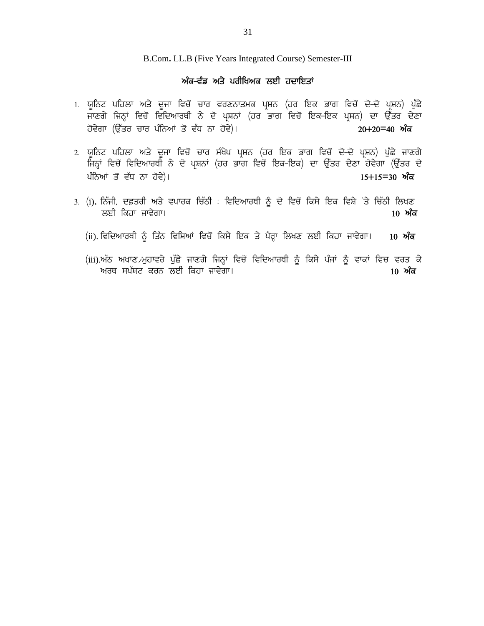B.Com**.** LL.B (Five Years Integrated Course) Semester-III <sup>31</sup><br>2.B (Five Years Integrated Course) Semes<br>ਅੰਕ<del>-ਵੰਡ ਅਤੇ ਪਰੀਖਿਅਕ ਲਈ ਹਦਾਇਤਾਂ<br><sub>ਵੱ</sub>ਚੋਂ ਚਾਰ ਵਰਣਨਾਤਮਕ ਪਸ਼ਨ (ਹਰ ਇਕ ਭਾ</del>

- 1<br>1. ਯੂਨਿਟ ਪਹਿਲਾ ਅਤੇ ਦੂਜਾ ਵਿਚੋਂ ਚਾਰ ਵਰਣਨਾਤਮਕ ਪ੍ਰਸ਼ਨ (ਹਰ ਇਕ ਭਾਗ ਵਿਚੋਂ ਦੋ-ਦੋਂ ਪ੍ਰਸ਼ਨ) ਪੁੱਛੇ<br>1. ਯੂਨਿਟ ਪਹਿਲਾ ਅਤੇ ਦੂਜਾ ਵਿਚੋਂ ਚਾਰ ਵਰਣਨਾਤਮਕ ਪ੍ਰਸ਼ਨ (ਹਰ ਇਕ ਭਾਗ ਵਿਚੋਂ ਦੋ-ਦੋਂ ਪ੍ਰਸ਼ਨ) ਪੁੱਛੇ<br>ਜਾਣਗੇ ਜਿਨ੍ਹਾਂ ਵਿਚੋਂ ਵਿਦਿਆਰਥੀ ਨੇ ਦੋ ਪ੍ਰਸ਼ਨ B.Com. LL.B (Five Years Integrated Course) Semester-III<br>ਅੰਕ–ਵੰਡ ਅਤੇ ਪਰੀਖਿਅਕ ਲਈ ਹਦਾਇਤਾਂ<br>ਜਾਣਗੇ ਜਿਨ੍ਹਾਂ ਵਿਚੋਂ ਵਿਦਿਆਰਥੀ ਨੇ ਦੋ ਪ੍ਰਸ਼ਨਾਂ (ਹਰ ਭਾਗ ਵਿਚੋਂ ਵਾਗ ਵਿਚੋਂ ਦੋ–ਦੋ ਪ੍ਰਸ਼ਨ) ਪੁੱਛੇ<br>ਹੋਵੇਗਾ (ਉੱਤਰ ਚਾਰ ਪੰਨਿਆਂ ਤੋਂ ਵੱਧ ਨਾ ਹੋਵੇ)। B.Com. LL.B (Five Years Integrated Course) Semester-III<br>- ਅੰ**ਕ-ਵੰਡ ਅਤੇ ਪਰੀਖਿਅਕ ਲਈ ਹਦਾਇਤਾਂ**<br>ਯੂਨਿਟ ਪਹਿਲਾ ਅਤੇ ਦੂਜਾ ਵਿਚੋਂ ਚਾਰ ਵਰਣਨਾਤਮਕ ਪ੍ਰਸ਼ਨ (ਹਰ ਇਕ ਭਾਗ ਵਿਚੋਂ ਦੋ<del>-ਦੋ</del> ਪ੍ਰਸ਼ਨ) ਪੁੱਛੇ<br>ਜਾਣਗੇ ਜਿਨ੍ਹਾਂ ਵਿਚੋਂ ਵਿਦਿਆਰਥੀ ਨੇ ਦੋ ਪ੍ਰਸ਼ਨਾਂ - ਅਕੇਂਦਿਡ ਅਤੇ ਪੋਗੀਖੋਅਕ ਲਈ ਹੋਦਾਇਤਾ<br>2. ਯੂਨਿਟ ਪਹਿਲਾ ਅਤੇ ਦੂਜਾ ਵਿਚੋਂ ਚਾਰ ਵਰਣਨਾਤਮਕ ਪ੍ਰਸ਼ਨ (ਹਰ ਇਕ ਭਾਗ ਵਿਚੋਂ ਦੋਂ-ਦੋਂ ਪ੍ਰਸ਼ਨ) ਪੁੱਛੇ<br>ਜਾਣਗੇ ਜਿਨ੍ਹਾਂ ਵਿਚੋਂ ਵਿਦਿਆਰਥੀ ਨੇ ਦੋ ਪ੍ਰਸ਼ਨਾਂ (ਹਰ ਭਾਗ ਵਿਚੋਂ ਇਕ-ਇਕ ਪ੍ਰਸ਼ਨ) ਦਾ ਉੱਤਰ ਦੇਣਾ<br>2. ਯੂਨਿਟ ਪਹਿ
- ਯੂਨਿਟ ਪਹਿਲਾ ਅਤੇ ਦੂਜਾ ਵਿਚੋਂ ਚਾਰ ਵਰਣਨਾਤਮਕ ਪ੍ਰਸ਼ਨ (ਹਰ ਇਕ ਭਾਗ ਵਿਚੋਂ ਦੋ–ਦੋ ਪ੍ਰਸ਼ਨ) ਪੁੱਛੇ<br>ਜਾਣਗੇ ਜਿਨ੍ਹਾਂ ਵਿਚੋਂ ਵਿਦਿਆਰਥੀ ਨੇ ਦੋ ਪ੍ਰਸ਼ਨਾਂ (ਹਰ ਭਾਗ ਵਿਚੋਂ ਇਕ–ਇਕ ਪ੍ਰਸ਼ਨ) ਦਾ ਉੱਤਰ ਦੇਣਾ<br>ਹੋਵੇਗਾ (ਉੱਤਰ ਚਾਰ ਪੰਨਿਆਂ ਤੋਂ ਵੱਧ ਨਾ ਹੋਵੇ)।<br>ਯੂਨਿਟ ਪਹਿ ਯੂਨਿਟ ਧੀਹਲਾਂ ਅਤੇ ਦੂਜਾਂ ਵਿੱਚ ਚਾਰੇ ਵਰਣਨਾਤਸਕ ਪ੍ਰਸ਼ਨ (ਹਰ ਇਕ ਭਾਗ ਵਿੱਚ ਦੋਂਦ ਪ੍ਰਸ਼ਨ) ਪੁੱਛੇ<br>ਜਾਣਗੇ ਜਿਨ੍ਹਾਂ ਵਿਚੋਂ ਵਿਦਿਆਰਥੀ ਨੇ ਦੋ ਪ੍ਰਸ਼ਨਾਂ (ਹਰ ਭਾਗ ਵਿਚੋਂ ਇਕ-ਇਕ ਪ੍ਰਸ਼ਨ) ਦਾ ਉੱਤਰ ਦੇਣਾ<br>ਹੋਵੇਗਾ (ਉੱਤਰ ਚਾਰ ਪੰਨਿਆਂ ਤੋਂ ਵੱਧ ਨਾ ਹੋਵੇ)।<br>ਯੂਨਿਟ ਪਹਿ ਹਵਗਾ (ਚੁੱਤਰ ਚਾਰ ਧੀਨਆ ਤੋਂ ਵਧ ਨਾ ਹਵ)।<br>2. ਯੂਨਿਟ ਪਹਿਲਾ ਅਤੇ ਦੂਜਾ ਵਿਚੋਂ ਚਾਰ ਸੰਖੇਪ ਪ੍ਰਸ਼ਨ (ਹਰ ਇਕ ਭਾਗ ਵਿਚੋਂ ਦੋ–ਦੋਂ ਪ੍ਰਸ਼ਨ) ਪੁੱਛੇ ਜਾਣਗੇ<br>ਜਿਨ੍ਹਾਂ ਵਿਚੋਂ ਵਿਦਿਆਰਥੀ ਨੇ ਦੋ ਪ੍ਰਸ਼ਨਾਂ (ਹਰ ਭਾਗ ਵਿਚੋਂ ਇਕ–ਇਕ) ਦਾ ਉੱਤਰ ਦੇਣਾ ਹੋਵੇਗਾ (ਉੱਤਰ ਦੋ<br>ਪੰਨਿਆ
- bJh fejk ikt/rk. **10 nze** (ii). ftfdnkoEh ~ fszB ftfFnK ftu '\_ fe;/ fJe s/ g?oQk fbyD bJh fejk ikt/rk. **10 nze** (i). ਨਿੱਜੀ, ਦਫ਼ਤਰੀ ਅਤੇ ਵਪਾਰਕ ਚਿੱਠੀ : ਵਿਦਿਆਰਥੀ ਨੂੰ ਦੋ ਵਿਚੋਂ ਕਿਸੇ ਇਕ ਵਿਸ਼ੇ <sup>:</sup>ਤੇ ਚਿੱਠੀ ਲਿਖਣ<br>ਲਈ ਕਿਹਾ ਜਾਵੇਗਾ।<br>(ii).ਵਿਦਿਆਰਥੀ ਨੂੰ ਤਿੰਨ ਵਿਸ਼ਿਆਂ ਵਿਚੋਂ ਕਿਸੇ ਇਕ ਤੇ ਪੈਰ੍ਹਾ ਲਿਖਣ ਲਈ ਕਿਹਾ ਜਾਵੇਗਾ। **10 ਅੰਕ**<br>(iii).ਅੱਠ ਅਖਾਣ<sub>⁄</sub>ਮੁਹਾਵਰੇ
	-
	- noE ;g`FN eoB bJh fejk ikt/rk. **10 nze**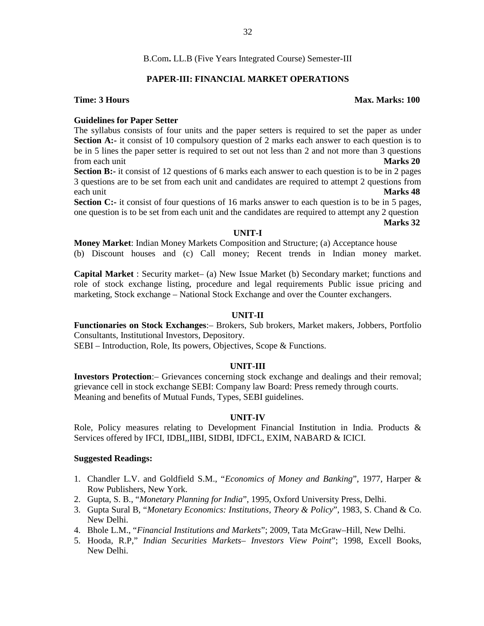### **PAPER-III: FINANCIAL MARKET OPERATIONS**

### **Time: 3 Hours Max. Marks: 100**

### **Guidelines for Paper Setter**

The syllabus consists of four units and the paper setters is required to set the paper as under **Section A:-** it consist of 10 compulsory question of 2 marks each answer to each question is to be in 5 lines the paper setter is required to set out not less than 2 and not more than 3 questions from each unit **Marks 20**

**Section B:-** it consist of 12 questions of 6 marks each answer to each question is to be in 2 pages 3 questions are to be set from each unit and candidates are required to attempt 2 questions from each unit **Marks 48**

**Section C:-** it consist of four questions of 16 marks answer to each question is to be in 5 pages, one question is to be set from each unit and the candidates are required to attempt any 2 question

### **Marks 32**

### **UNIT-I**

**Money Market**: Indian Money Markets Composition and Structure; (a) Acceptance house (b) Discount houses and (c) Call money; Recent trends in Indian money market.

**Capital Market** : Security market– (a) New Issue Market (b) Secondary market; functions and role of stock exchange listing, procedure and legal requirements Public issue pricing and marketing, Stock exchange – National Stock Exchange and over the Counter exchangers.

### **UNIT-II**

**Functionaries on Stock Exchanges**:– Brokers, Sub brokers, Market makers, Jobbers, Portfolio Consultants, Institutional Investors, Depository.

SEBI – Introduction, Role, Its powers, Objectives, Scope & Functions.

### **UNIT-III**

**Investors Protection**:– Grievances concerning stock exchange and dealings and their removal; grievance cell in stock exchange SEBI: Company law Board: Press remedy through courts. Meaning and benefits of Mutual Funds, Types, SEBI guidelines.

### **UNIT-IV**

Role, Policy measures relating to Development Financial Institution in India. Products & Services offered by IFCI, IDBI,,IIBI, SIDBI, IDFCL, EXIM, NABARD & ICICI.

### **Suggested Readings:**

- 1. Chandler L.V. and Goldfield S.M., "*Economics of Money and Banking*", 1977, Harper & Row Publishers, New York.
- 2. Gupta, S. B., "*Monetary Planning for India*", 1995, Oxford University Press, Delhi.
- 3. Gupta Sural B, "*Monetary Economics: Institutions, Theory & Policy*", 1983, S. Chand & Co. New Delhi.
- 4. Bhole L.M., "*Financial Institutions and Markets*"; 2009, Tata McGraw–Hill, New Delhi.
- 5. Hooda, R.P," *Indian Securities Markets– Investors View Point*"; 1998, Excell Books, New Delhi.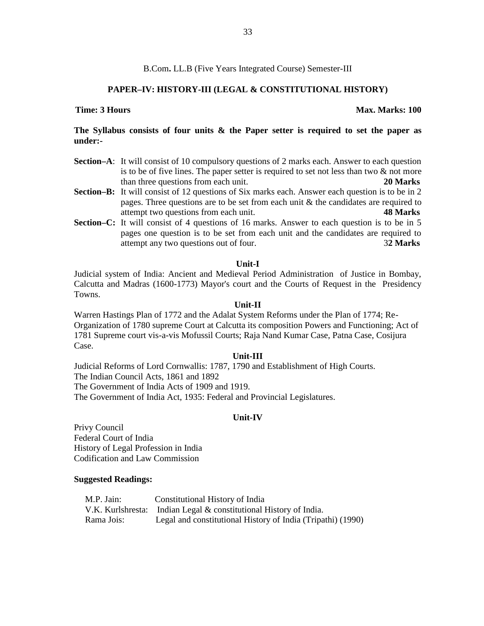### **PAPER–IV: HISTORY-III (LEGAL & CONSTITUTIONAL HISTORY)**

### **The Syllabus consists of four units & the Paper setter is required to set the paper as under:-**

- **Section–A**: It will consist of 10 compulsory questions of 2 marks each. Answer to each question is to be of five lines. The paper setter is required to set not less than two  $\&$  not more than three questions from each unit. **20 Marks**
- **Section–B:** It will consist of 12 questions of Six marks each. Answer each question is to be in 2 pages. Three questions are to be set from each unit  $\&$  the candidates are required to attempt two questions from each unit. **48 Marks**
- **Section–C:** It will consist of 4 questions of 16 marks. Answer to each question is to be in 5 pages one question is to be set from each unit and the candidates are required to attempt any two questions out of four. 3**2 Marks**

### **Unit-I**

Judicial system of India: Ancient and Medieval Period Administration of Justice in Bombay, Calcutta and Madras (1600-1773) Mayor's court and the Courts of Request in the Presidency Towns.

### **Unit-II**

Warren Hastings Plan of 1772 and the Adalat System Reforms under the Plan of 1774; Re- Organization of 1780 supreme Court at Calcutta its composition Powers and Functioning; Act of 1781 Supreme court vis-a-vis Mofussil Courts; Raja Nand Kumar Case, Patna Case, Cosijura Case.

### **Unit-III**

Judicial Reforms of Lord Cornwallis: 1787, 1790 and Establishment of High Courts. The Indian Council Acts, 1861 and 1892 The Government of India Acts of 1909 and 1919. The Government of India Act, 1935: Federal and Provincial Legislatures.

### **Unit-IV**

Privy Council Federal Court of India History of Legal Profession in India Codification and Law Commission

### **Suggested Readings:**

| M.P. Jain: | Constitutional History of India                                   |
|------------|-------------------------------------------------------------------|
|            | V.K. Kurlshresta: Indian Legal & constitutional History of India. |
| Rama Jois: | Legal and constitutional History of India (Tripathi) (1990)       |

### **Time: 3 Hours Max. Marks: 100**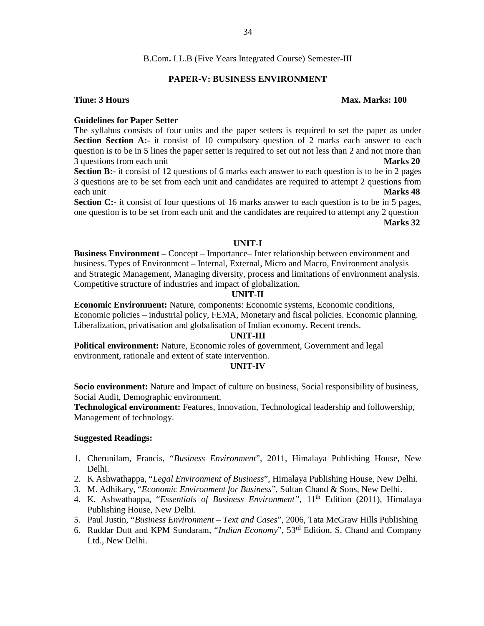### **PAPER-V: BUSINESS ENVIRONMENT**

### **Time: 3 Hours Max. Marks: 100**

### **Guidelines for Paper Setter**

The syllabus consists of four units and the paper setters is required to set the paper as under **Section Section A:-** it consist of 10 compulsory question of 2 marks each answer to each question is to be in 5 lines the paper setter is required to set out not less than 2 and not more than 3 questions from each unit **Marks 20**

**Section B:-** it consist of 12 questions of 6 marks each answer to each question is to be in 2 pages 3 questions are to be set from each unit and candidates are required to attempt 2 questions from each unit **Marks 48**

**Section C:-** it consist of four questions of 16 marks answer to each question is to be in 5 pages, one question is to be set from each unit and the candidates are required to attempt any 2 question **Marks 32**

### **UNIT-I**

**Business Environment –** Concept – Importance– Inter relationship between environment and business. Types of Environment – Internal, External, Micro and Macro, Environment analysis and Strategic Management, Managing diversity, process and limitations of environment analysis. Competitive structure of industries and impact of globalization.

### **UNIT-II**

**Economic Environment:** Nature, components: Economic systems, Economic conditions, Economic policies – industrial policy, FEMA, Monetary and fiscal policies. Economic planning. Liberalization, privatisation and globalisation of Indian economy. Recent trends.

### **UNIT-III**

**Political environment:** Nature, Economic roles of government, Government and legal environment, rationale and extent of state intervention.

### **UNIT-IV**

**Socio environment:** Nature and Impact of culture on business, Social responsibility of business, Social Audit, Demographic environment.

**Technological environment:** Features, Innovation, Technological leadership and followership, Management of technology.

### **Suggested Readings:**

- 1. Cherunilam, Francis, "*Business Environment*", 2011, Himalaya Publishing House, New Delhi.
- 2. K Ashwathappa, "*Legal Environment of Business*", Himalaya Publishing House, New Delhi.
- 3. M. Adhikary, "*Economic Environment for Business*", Sultan Chand & Sons, New Delhi.
- 4. K. Ashwathappa, "*Essentials of Business Environment",* 11th Edition (2011), Himalaya Publishing House, New Delhi.
- 5. Paul Justin, "*Business Environment – Text and Cases*", 2006, Tata McGraw Hills Publishing
- 6. Ruddar Dutt and KPM Sundaram, "*Indian Economy*", 53rd Edition, S. Chand and Company Ltd., New Delhi.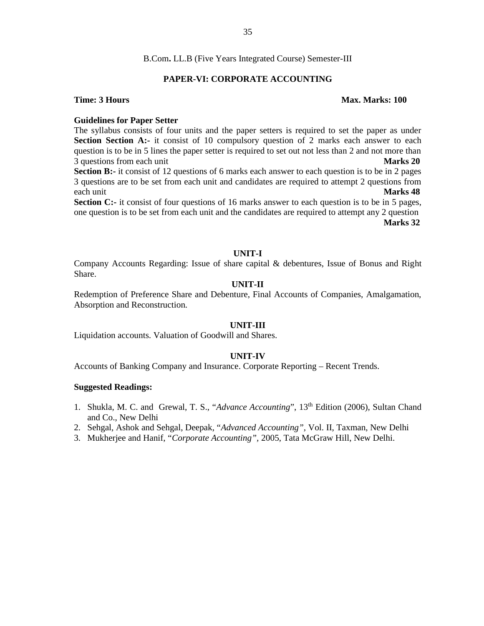### **PAPER-VI: CORPORATE ACCOUNTING**

### **Time: 3 Hours Max. Marks: 100**

### **Guidelines for Paper Setter**

The syllabus consists of four units and the paper setters is required to set the paper as under **Section Section A:-** it consist of 10 compulsory question of 2 marks each answer to each question is to be in 5 lines the paper setter is required to set out not less than 2 and not more than 3 questions from each unit **Marks 20**

**Section B:-** it consist of 12 questions of 6 marks each answer to each question is to be in 2 pages 3 questions are to be set from each unit and candidates are required to attempt 2 questions from each unit **Marks 48**

**Section C:-** it consist of four questions of 16 marks answer to each question is to be in 5 pages, one question is to be set from each unit and the candidates are required to attempt any 2 question **Marks 32**

### **UNIT-I**

Company Accounts Regarding: Issue of share capital & debentures, Issue of Bonus and Right Share.

### **UNIT-II**

Redemption of Preference Share and Debenture, Final Accounts of Companies, Amalgamation, Absorption and Reconstruction.

### **UNIT-III**

Liquidation accounts. Valuation of Goodwill and Shares.

### **UNIT-IV**

Accounts of Banking Company and Insurance. Corporate Reporting – Recent Trends.

### **Suggested Readings:**

- 1. Shukla, M. C. and Grewal, T. S., "*Advance Accounting*", 13<sup>th</sup> Edition (2006), Sultan Chand and Co., New Delhi
- 2. Sehgal, Ashok and Sehgal, Deepak, "*Advanced Accounting",* Vol. II, Taxman, New Delhi
- 3. Mukherjee and Hanif, "*Corporate Accounting",* 2005, Tata McGraw Hill, New Delhi.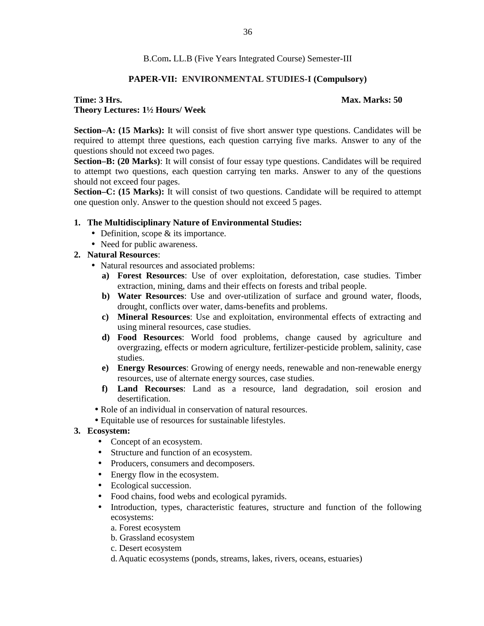#### **PAPER-VII: ENVIRONMENTAL STUDIES-I (Compulsory)**

#### **Time: 3 Hrs. Max. Marks: 50 Theory Lectures: 1½ Hours/ Week**

**Section–A: (15 Marks):** It will consist of five short answer type questions. Candidates will be required to attempt three questions, each question carrying five marks. Answer to any of the questions should not exceed two pages.

**Section–B: (20 Marks)**: It will consist of four essay type questions. Candidates will be required to attempt two questions, each question carrying ten marks. Answer to any of the questions should not exceed four pages.

**Section–C: (15 Marks):** It will consist of two questions. Candidate will be required to attempt one question only. Answer to the question should not exceed 5 pages.

#### **1. The Multidisciplinary Nature of Environmental Studies:**

- Definition, scope & its importance.
- Need for public awareness.

#### **2. Natural Resources**:

- Natural resources and associated problems:
	- **a) Forest Resources**: Use of over exploitation, deforestation, case studies. Timber extraction, mining, dams and their effects on forests and tribal people.
	- **b) Water Resources**: Use and over-utilization of surface and ground water, floods, drought, conflicts over water, dams-benefits and problems.
	- **c) Mineral Resources**: Use and exploitation, environmental effects of extracting and using mineral resources, case studies.
	- **d) Food Resources**: World food problems, change caused by agriculture and overgrazing, effects or modern agriculture, fertilizer-pesticide problem, salinity, case studies.
	- **e) Energy Resources**: Growing of energy needs, renewable and non-renewable energy resources, use of alternate energy sources, case studies.
	- **f) Land Recourses**: Land as a resource, land degradation, soil erosion and desertification.
- Role of an individual in conservation of natural resources.
- Equitable use of resources for sustainable lifestyles.

#### **3. Ecosystem:**

- Concept of an ecosystem.
- Structure and function of an ecosystem.
- Producers, consumers and decomposers.
- Energy flow in the ecosystem.
- Ecological succession.
- Food chains, food webs and ecological pyramids.
- Introduction, types, characteristic features, structure and function of the following ecosystems:
	- a. Forest ecosystem
	- b. Grassland ecosystem
	- c. Desert ecosystem
	- d.Aquatic ecosystems (ponds, streams, lakes, rivers, oceans, estuaries)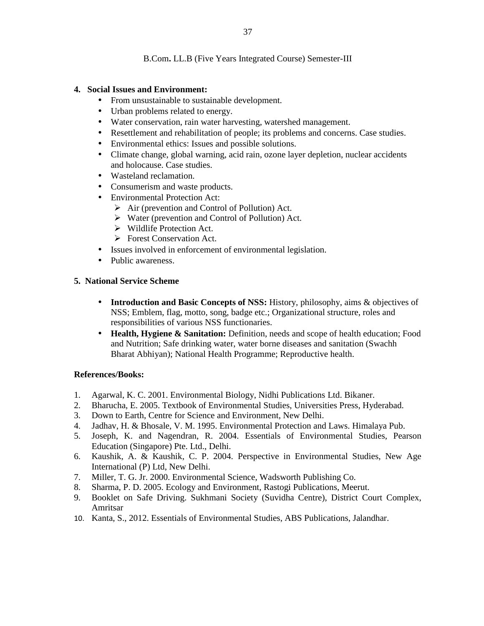#### **4. Social Issues and Environment:**

- From unsustainable to sustainable development.
- Urban problems related to energy.
- Water conservation, rain water harvesting, watershed management.
- Resettlement and rehabilitation of people; its problems and concerns. Case studies.
- Environmental ethics: Issues and possible solutions.
- Climate change, global warning, acid rain, ozone layer depletion, nuclear accidents and holocause. Case studies.
- Wasteland reclamation.
- Consumerism and waste products.
- Environmental Protection Act:
	- $\triangleright$  Air (prevention and Control of Pollution) Act.
	- $\triangleright$  Water (prevention and Control of Pollution) Act.
	- $\triangleright$  Wildlife Protection Act.
	- **Forest Conservation Act.**
- Issues involved in enforcement of environmental legislation.
- Public awareness.

#### **5. National Service Scheme**

- **Introduction and Basic Concepts of NSS:** History, philosophy, aims & objectives of NSS; Emblem, flag, motto, song, badge etc.; Organizational structure, roles and responsibilities of various NSS functionaries.
- **Health, Hygiene & Sanitation:** Definition, needs and scope of health education; Food and Nutrition; Safe drinking water, water borne diseases and sanitation (Swachh Bharat Abhiyan); National Health Programme; Reproductive health.

#### **References/Books:**

- 1. Agarwal, K. C. 2001. Environmental Biology, Nidhi Publications Ltd. Bikaner.
- 2. Bharucha, E. 2005. Textbook of Environmental Studies, Universities Press, Hyderabad.
- 3. Down to Earth, Centre for Science and Environment, New Delhi.
- 4. Jadhav, H. & Bhosale, V. M. 1995. Environmental Protection and Laws. Himalaya Pub.
- 5. Joseph, K. and Nagendran, R. 2004. Essentials of Environmental Studies, Pearson Education (Singapore) Pte. Ltd., Delhi.
- 6. Kaushik, A. & Kaushik, C. P. 2004. Perspective in Environmental Studies, New Age International (P) Ltd, New Delhi.
- 7. Miller, T. G. Jr. 2000. Environmental Science, Wadsworth Publishing Co.
- 8. Sharma, P. D. 2005. Ecology and Environment, Rastogi Publications, Meerut.
- 9. Booklet on Safe Driving. Sukhmani Society (Suvidha Centre), District Court Complex, Amritsar
- 10. Kanta, S., 2012. Essentials of Environmental Studies, ABS Publications, Jalandhar.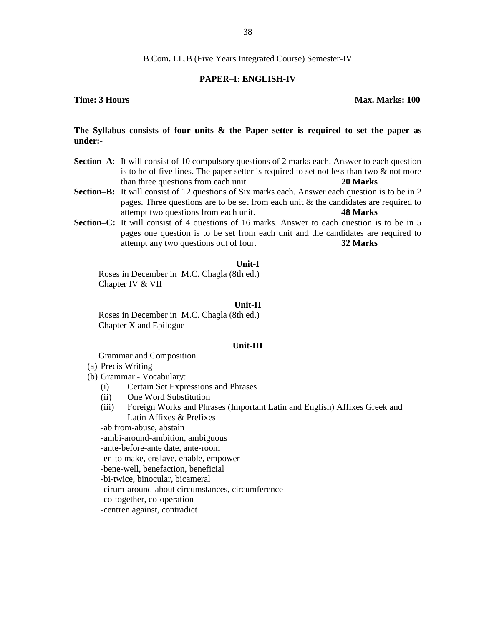#### **PAPER–I: ENGLISH-IV**

#### **Time: 3 Hours Max. Marks: 100**

#### **The Syllabus consists of four units & the Paper setter is required to set the paper as under:-**

- **Section–A**: It will consist of 10 compulsory questions of 2 marks each. Answer to each question is to be of five lines. The paper setter is required to set not less than two  $\&$  not more than three questions from each unit. **20 Marks**
- **Section–B:** It will consist of 12 questions of Six marks each. Answer each question is to be in 2 pages. Three questions are to be set from each unit  $\&$  the candidates are required to attempt two questions from each unit. **48 Marks**
- **Section–C:** It will consist of 4 questions of 16 marks. Answer to each question is to be in 5 pages one question is to be set from each unit and the candidates are required to attempt any two questions out of four. **32 Marks**

#### **Unit-I**

Roses in December in M.C. Chagla (8th ed.) Chapter IV & VII

#### **Unit-II**

Roses in December in M.C. Chagla (8th ed.) Chapter X and Epilogue

#### **Unit-III**

Grammar and Composition

- (a) Precis Writing
- (b) Grammar Vocabulary:
	- (i) Certain Set Expressions and Phrases
	- (ii) One Word Substitution
	- (iii) Foreign Works and Phrases (Important Latin and English) Affixes Greek and Latin Affixes & Prefixes

-ab from-abuse, abstain

-ambi-around-ambition, ambiguous

-ante-before-ante date, ante-room

-en-to make, enslave, enable, empower

-bene-well, benefaction, beneficial

-bi-twice, binocular, bicameral

-cirum-around-about circumstances, circumference

-co-together, co-operation

-centren against, contradict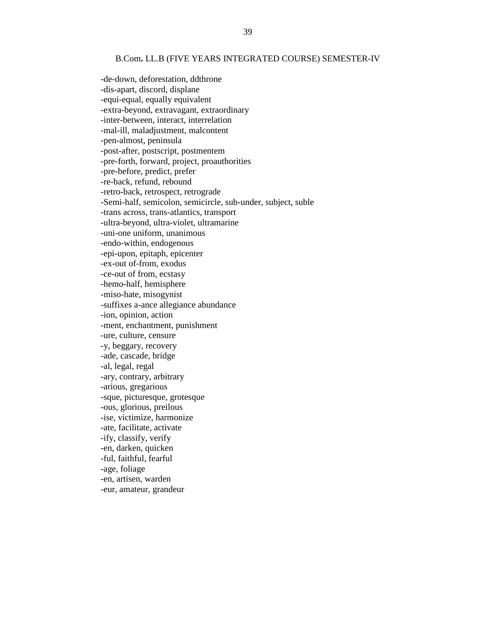#### B.Com**.** LL.B (FIVE YEARS INTEGRATED COURSE) SEMESTER-IV

-de-down, deforestation, ddthrone -dis-apart, discord, displane -equi-equal, equally equivalent -extra-beyond, extravagant, extraordinary -inter-between, interact, interrelation -mal-ill, maladjustment, malcontent -pen-almost, peninsula -post-after, postscript, postmentem -pre-forth, forward, project, proauthorities -pre-before, predict, prefer -re-back, refund, rebound -retro-back, retrospect, retrograde -Semi-half, semicolon, semicircle, sub-under, subject, suble -trans across, trans-atlantics, transport -ultra-beyond, ultra-violet, ultramarine -uni-one uniform, unanimous -endo-within, endogenous -epi-upon, epitaph, epicenter -ex-out of-from, exodus -ce-out of from, ecstasy -hemo-half, hemisphere -miso-hate, misogynist -suffixes a-ance allegiance abundance -ion, opinion, action -ment, enchantment, punishment -ure, culture, censure -y, beggary, recovery -ade, cascade, bridge -al, legal, regal -ary, contrary, arbitrary -arious, gregarious -sque, picturesque, grotesque -ous, glorious, preilous -ise, victimize, harmonize -ate, facilitate, activate -ify, classify, verify -en, darken, quicken -ful, faithful, fearful -age, foliage -en, artisen, warden -eur, amateur, grandeur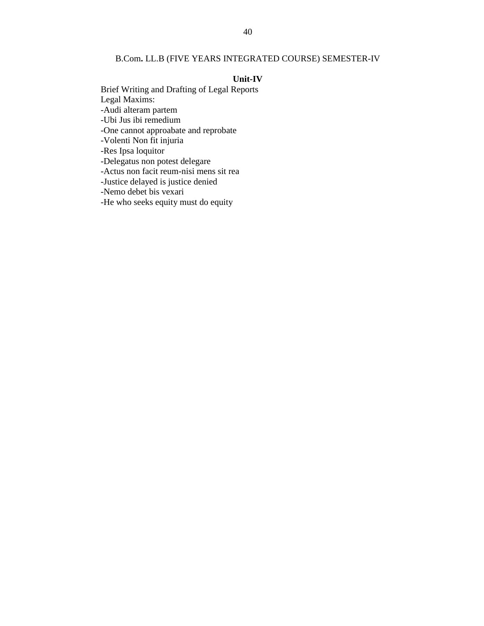#### B.Com**.** LL.B (FIVE YEARS INTEGRATED COURSE) SEMESTER-IV

#### **Unit-IV**

Brief Writing and Drafting of Legal Reports Legal Maxims: -Audi alteram partem -Ubi Jus ibi remedium -One cannot approabate and reprobate -Volenti Non fit injuria -Res Ipsa loquitor -Delegatus non potest delegare -Actus non facit reum-nisi mens sit rea -Justice delayed is justice denied -Nemo debet bis vexari -He who seeks equity must do equity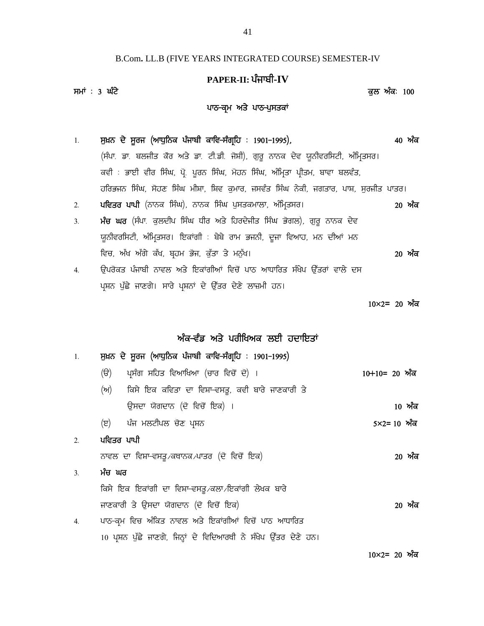## B.Com**.** LL.B (FIVE YEARS INTEGRATED COURSE) SEMESTER-IV <sup>41</sup><br>ARS INTEGRATED COURSE) SEMESTER<br>PAPER-II: ਪੰਜਾਬੀ-IV<br><sup>7</sup>  $^{41}$ <br>B.Com. LL.B (FIVE YEARS INTEGRATED COURSE) SEMESTER-IV<br>**PAPER-II: ਪੰਜਾਬੀ-IV**<br>ਕੁਲ ਅੰਕ: 100<br>ਪਾਠ-ਕ੍ਰਮ ਅਤੇ ਪਾਠ-ਪੁਸਤਕਾਂ **kRS INTEGRATED COURSE) SEMESTEI<br>PAPER-II: ਪੰਜਾਬੀ-IV<br>ਪਾਠ-ਕ੍ਰਮ ਅਤੇ ਪਾਠ-ਪੁਸਤਕਾਂ**

|               | PAPER-II: ਪੰਜਾਬੀ-IV                                                                  |                      |  |
|---------------|--------------------------------------------------------------------------------------|----------------------|--|
| ਸਮਾਂ : 3 ਘੰਟੇ |                                                                                      | ਕੁਲ ਅੰਕ <b>:</b> 100 |  |
|               | ਪਾਠ-ਕਮ ਅਤੇ ਪਾਠ-ਪੁਸਤਕਾਂ                                                               |                      |  |
|               |                                                                                      |                      |  |
| 1.            | ਸੁਖ਼ਨ ਦੇ ਸੂਰਜ (ਆਧੁਨਿਕ ਪੰਜਾਬੀ ਕਾਵਿ–ਸੰਗ੍ਰਹਿ : 1901–1995),                              | 40 ਅੰਕ               |  |
|               | (ਸੰਪਾ. ਡਾ. ਬਲਜੀਤ ਕੋਰ ਅਤੇ ਡਾ. ਟੀ.ਡੀ. ਜੋਸ਼ੀ), ਗੁਰੂ ਨਾਨਕ ਦੇਵ ਯੂਨੀਵਰਸਿਟੀ, ਅੰਮ੍ਰਿਤਸਰ।     |                      |  |
|               | ਕਵੀ : ਭਾਈ ਵੀਰ ਸਿੰਘ, ਪ੍ਰੋ. ਪੂਰਨ ਸਿੰਘ, ਮੋਹਨ ਸਿੰਘ, ਅੰਮ੍ਰਿਤਾ ਪ੍ਰੀਤਮ, ਬਾਵਾ ਬਲਵੰਤ,         |                      |  |
|               | ਹਰਿਭਜਨ ਸਿੰਘ, ਸੋਹਣ ਸਿੰਘ ਮੀਸ਼ਾ, ਸ਼ਿਵ ਕੁਮਾਰ, ਜਸਵੰਤ ਸਿੰਘ ਨੇਕੀ, ਜਗਤਾਰ, ਪਾਸ਼, ਸੁਰਜੀਤ ਪਾਤਰ। |                      |  |
| 2.            | <b>ਪਵਿਤਰ ਪਾਪੀ</b> (ਨਾਨਕ ਸਿੰਘ), ਨਾਨਕ ਸਿੰਘ ਪੁਸਤਕਮਾਲਾ, ਅੰਮ੍ਰਿਤਸਰ।                       | 20 ਅੰਕ               |  |
| 3.            | <b>ਮੰਚ ਘਰ</b> (ਸੰਪਾ. ਕੁਲਦੀਪ ਸਿੰਘ ਧੀਰ ਅਤੇ ਹਿਰਦੇਜੀਤ ਸਿੰਘ ਭੋਗਲ), ਗੁਰੂ ਨਾਨਕ ਦੇਵ          |                      |  |
|               | ਯੂਨੀਵਰਸਿਟੀ, ਅੰਮ੍ਰਿਤਸਰ। ਇਕਾਂਗੀ : ਬੇਬੇ ਰਾਮ ਭਜਨੀ, ਦੂਜਾ ਵਿਆਹ, ਮਨ ਦੀਆਂ ਮਨ                 |                      |  |
|               | ਵਿਚ, ਅੱਖ ਅੱਗੇ ਕੱਖ, ਬਹਮ ਭੋਜ, ਕੁੱਤਾ ਤੇ ਮਨੁੱਖ।                                          | 20 ਅੰਕ               |  |
| 4.            | ਉਪਰੋਕਤ ਪੰਜਾਬੀ ਨਾਵਲ ਅਤੇ ਇਕਾਂਗੀਆਂ ਵਿਚੋਂ ਪਾਠ ਆਧਾਰਿਤ ਸੰਖੇਪ ਉੱਤਰਾਂ ਵਾਲੇ ਦਸ                |                      |  |
|               | ਪ੍ਰਸ਼ਨ ਪੁੱਛੇ ਜਾਣਗੇ। ਸਾਰੇ ਪ੍ਰਸ਼ਨਾਂ ਦੇ ਉੱਤਰ ਦੇਣੇ ਲਾਜ਼ਮੀ ਹਨ।                            |                      |  |
|               |                                                                                      | $10\times2= 20$ ਅੰਕ  |  |
|               |                                                                                      |                      |  |
|               |                                                                                      |                      |  |

# **n ze-t zv ns / gohfyne bJh jdkfJsK** <sub>ਸੁ<sup>ਕਨਾ ਰੂ</sup>ਲ ਜਾਣਗਾ ਸਾਰ <sub>ਸੁ</sub>ਕਨਾ ਦ ਫੂੱਤਰ ਹੁਣ ਲਾਗਮਾ ਹਨ।<br>ਅੰਕ-ਵੰਡ ਅਤੇ ਪਰੀਖਿਅਕ ਲਈ ਹਦਾਇਤਾਂ<br>1. **ਸੁਖ਼ਨ ਦੇ ਸੂਰਜ (ਆਧੁਨਿਕ ਪੰਜਾਬੀ ਕਾਵਿ-ਸੰਗ੍ਰਹਿ** : 1901-1995)<br>(ੳ) ਪ੍ਰਸੰਗ ਸਹਿਤ ਵਿਆਖਿਆ (ਚਾਰ ਵਿਚੋਂ ਦੋ) ।</sub>

|                                                        | ਅੰਕ–ਵੰਡ ਅਤੇ ਪਰੀਖਿਅਕ ਲਈ ਹਦਾਇਤਾਂ                   |                       |  |  |
|--------------------------------------------------------|--------------------------------------------------|-----------------------|--|--|
| ਸੁਖ਼ਨ ਦੇ ਸੂਰਜ (ਆਧੁਨਿਕ ਪੰਜਾਬੀ ਕਾਵਿ–ਸੰਗ੍ਰਹਿ : 1901–1995) |                                                  |                       |  |  |
| (ੳ)                                                    | ਪਸੰਗ ਸਹਿਤ ਵਿਆਖਿਆ (ਚਾਰ ਵਿਚੋਂ ਦੋ) ।                | $10+10=20$ ਅੰਕ        |  |  |
| (ਅ)                                                    | ਕਿਸੇ ਇਕ ਕਵਿਤਾ ਦਾ ਵਿਸ਼ਾ-ਵਸਤੂ, ਕਵੀ ਬਾਰੇ ਜਾਣਕਾਰੀ ਤੇ |                       |  |  |
|                                                        | ਉਸਦਾ ਯੋਗਦਾਨ (ਦੋ ਵਿਚੋਂ ਇਕ) ।                      | 10 ਅੰਕ                |  |  |
| (ੲ)                                                    | ਪੰਜ ਮਲਟੀਪਲ ਚੋਣ ਪਸ਼ਨ                              | $5 \times 2 = 10$ ਅੰਕ |  |  |
| ਪਵਿਤਰ ਪਾਪੀ                                             |                                                  |                       |  |  |

## 2. ਪਵਿਤਰ ਪਾਪੀ (ੲ) ਪੰਜ ਮਲਟੀਪਲ ਚੋਣ ਪ੍ਰਸ਼ਨ<br>2. **ਪਵਿਤਰ ਪਾਪੀ**<br>ਨਾਵਲ ਦਾ ਵਿਸ਼ਾ–ਵਸਤੂ<sub>∕</sub>ਕਥਾਨਕ ਪਾਤਰ (ਦੋ ਵਿਚੋਂ ਇਕ)<br>3. **ਮੰਚ ਘਰ**<br>ਕਿਸੇ ਇਕ ਇਕਾਂਗੀ ਦਾ ਵਿਸ਼ਾ–ਵਸਤੂ ∕ਕਲਾ ∕ਇਕਾਂਗੀ ਲੇਖਕ ਬਾਰੇ

## ਨਾਵਲ ਦਾ ਵਿਸ਼ਾ–ਵਸਤੁ∠ਕਥਾਨਕ ਪਾਤਰ (ਦੋ ਵਿਚੋਂ ਇਕ) ਭਾਰਤ ਵਿੱਚ ਸ਼ਾਹਮ ਦਾ ਸ਼ਾਹਮ **20 ਅੰਕ**

## (ੲ) ਪੰਜ ਮਲਟੀਪਲ ਚੋਣ ਪ੍ਰਸ਼ਨ<br>ਪਵਿਤਰ ਪਾਪੀ<br>ਨਾਵਲ ਦਾ ਵਿਸ਼ਾ-ਵਸਤੂ ਕਥਾਨਕ ਪਾਤਰ (ਦੋ ਵਿਚੋਂ ਇਕ)<br><mark>ਮੰਚ ਘਰ</mark><br>ਕਿਸੇ ਇਕ ਇਕਾਂਗੀ ਦਾ ਵਿਸ਼ਾ-ਵਸਤੂ ਕਲਾ /ਇਕਾਂਗੀ ਲੇਖਕ ਬਾਰੇ<br>ਜਾਣਕਾਰੀ ਤੇ ਉਸਦਾ ਯੋਗਦਾਨ (ਦੋ ਵਿਚੋਂ ਇਕ) ਪ**ਵਿਤਰ ਪਾਪੀ**<br>ਨਾਵਲ ਦਾ ਵਿਸ਼ਾ-ਵਸਤੂ*/*ਕਥਾਨਕ ਪਾਤਰ (ਦੋ ਵਿਚੋਂ ਇਕ)<br>**ਮੰਚ ਘਰ**<br>ਕਿਸੇ ਇਕ ਇਕਾਂਗੀ ਦਾ ਵਿਸ਼ਾ-ਵਸਤੂ ਕਲਾ ਇਕਾਂਗੀ ਲੇਖਕ ਬਾਰੇ<br>ਜਾਣਕਾਰੀ ਤੇ ਉਸਦਾ ਯੋਗਦਾਨ (ਦੋ ਵਿਚੋਂ ਇਕ)<br>ਪਾਠ-ਕ੍ਰਮ ਵਿਚ ਅੰਕਿਤ ਨਾਵਲ ਅਤੇ ਇਕਾਂਗੀਆਂ ਵਿਚੋਂ ਪਾਠ ਆਧਾਰਿਤ ਨਾਵਲ ਦਾ ਵਿਸ਼ਾ-ਵਸਤੂ ਕਥਾਨਕ ਪਾਤਰ (ਦੋ ਵਿਚੋਂ ਇਕ)<br>3. **ਮੰਚ ਘਰ**<br>ਕਿਸੇ ਇਕ ਇਕਾਂਗੀ ਦਾ ਵਿਸ਼ਾ-ਵਸਤੂ ਕਲਾ ਇਕਾਂਗੀ ਲੇਖਕ ਬਾਰੇ<br>ਜਾਣਕਾਰੀ ਤੇ ਉਸਦਾ ਯੋਗਦਾਨ (ਦੋ ਵਿਚੋਂ ਇਕ)<br>4. ਪਾਠ-ਕ੍ਰਮ ਵਿਚ ਅੰਕਿਤ ਨਾਵਲ ਅਤੇ ਇਕਾਂਗੀਆਂ ਵਿਚੋਂ ਪਾਠ ਆਧਾਰਿਤ<br>10 ਪ੍ਰਸ਼ਨ ਪੁੱਛ ਮੱਚ ਘਰ<br>ਕਿਸੇ ਇਕ ਇਕਾਂਗੀ ਦਾ ਵਿਸ਼ਾ–ਵਸਤੂ ਕਲਾ ਇਕਾਂਗੀ ਲੇਖਕ ਬਾਰੇ<br>ਜਾਣਕਾਰੀ ਤੇ ਉਸਦਾ ਯੋਗਦਾਨ (ਦੋ ਵਿਚੋਂ ਇਕ)<br>ਪਾਠ–ਕ੍ਰਮ ਵਿਚ ਅੰਕਿਤ ਨਾਵਲ ਅਤੇ ਇਕਾਂਗੀਆਂ ਵਿਚੋਂ ਪਾਠ ਆਧਾਰਿਤ<br>10 ਪ੍ਰਸ਼ਨ ਪੁੱਛੇ ਜਾਣਗੇ, ਜਿਨ੍ਹਾਂ ਦੇ ਵਿਦਿਆਰਥੀ ਨੇ ਸੰਖੇਪ ਉੱਤਰ ਦੇਣੇ ਹਨ।<br>10×2=

**10%2= 20 nze**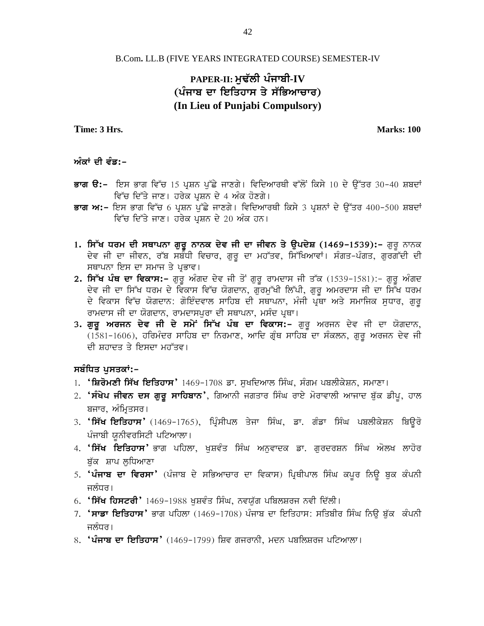#### B.Com**.** LL.B (FIVE YEARS INTEGRATED COURSE) SEMESTER-IV

## **PAPER-II: muF`lI pMjwbI-IV** (ਪੰਜਾਬ ਦਾ ਇਤਿਹਾਸ ਤੇ ਸੱਭਿਆ**ਚਾਰ**) **(In Lieu of Punjabi Compulsory)**

**Time: 3 Hrs. Marks: 100**

#### ਅੰਕਾਂ ਦੀ **ਵੰਡ:**-

- **ਭਾਗ ੳ:-** ਇਸ ਭਾਗ ਵਿੱਚ 15 ਪ੍ਰਸ਼ਨ ਪੁੱਛੇ ਜਾਣਗੇ। ਵਿਦਿਆਰਥੀ ਵੱਲੋਂ ਕਿਸੇ 10 ਦੇ ਉੱਤਰ 30-40 ਸ਼ਬਦਾਂ ਵਿੱਚ ਦਿੱਤੇ ਜਾਣ। ਹਰੇਕ ਪੁਸ਼ਨ ਦੇ 4 ਅੰਕ ਹੋਣਗੇ।
- **ਭਾਗ ਅ:-** ਇਸ ਭਾਗ ਵਿੱਚ 6 ਪ੍ਰਸ਼ਨ ਪੁੱਛੇ ਜਾਣਗੇ। ਵਿਦਿਆਰਥੀ ਕਿਸੇ 3 ਪ੍ਰਸ਼ਨਾਂ ਦੇ ਉੱਤਰ 400-500 ਸ਼ਬਦਾਂ ਵਿੱਚ ਦਿੱਤੇ ਜਾਣ। ਹਰੇਕ ਪਸ਼ਨ ਦੇ 20 ਅੰਕ ਹਨ।
- 1**. ਸਿੱਖ ਧਰਮ ਦੀ ਸਥਾਪਨਾ ਗੁਰੂ ਨਾਨਕ ਦੇਵ ਜੀ ਦਾ ਜੀਵਨ ਤੇ ਉਪਦੇਸ਼** (1469-1539):- ਗੁਰੂ ਨਾਨਕ ਦੇਵ ਜੀ ਦਾ ਜੀਵਨ, ਰੱਬ ਸਬੰਧੀ ਵਿਚਾਰ, ਗੁਰੂ ਦਾ ਮਹੱਤਵ, ਸਿੱਖਿਆਵਾਂ। ਸੰਗਤ*-*ਪੰਗਤ, ਗੁਰਗੱਦੀ ਦੀ ਸਥਾਪਨਾ ਇਸ ਦਾ ਸਮਾਜ ਤੇ ਪ੍ਰਭਾਵ।
- **2. ਸਿੱਖ ਪੰਥ ਦਾ ਵਿਕਾਸ:-** ਗੁਰੂ ਅੰਗਦ ਦੇਵ ਜੀ ਤੋਂ ਗੁਰੂ ਰਾਮਦਾਸ ਜੀ ਤੱਕ (1539-1581):- ਗੁਰੂ ਅੰਗਦ ਦੇਵ ਜੀ ਦਾ ਸਿੱਖ ਧਰਮ ਦੇ ਵਿਕਾਸ ਵਿੱਚ ਯੋਗਦਾਨ, ਗੁਰਮੁੱਖੀ ਲਿੱਪੀ, ਗੁਰੂ ਅਮਰਦਾਸ ਜੀ ਦਾ ਸਿੱਖ ਧਰਮ ਦੇ ਵਿਕਾਸ ਵਿੱਚ ਯੋਗਦਾਨ: ਗੋਇੰਦਵਾਲ ਸਾਹਿਬ ਦੀ ਸਥਾਪਨਾ, ਮੰਜੀ ਪੂਥਾ ਅਤੇ ਸਮਾਜਿਕ ਸਧਾਰ, ਗਰ ਰਾਮਦਾਸ ਜੀ ਦਾ ਯੋਗਦਾਨ, ਰਾਮਦਾਸਪੁਰਾ ਦੀ ਸਥਾਪਨਾ, ਮਸੰਦ ਪ੍ਰਥਾ।
- 3. ਗੁਰੂ ਅਰਜਨ ਦੇਵ ਜੀ ਦੇ ਸਮੇਂ ਸਿੱਖ ਪੰਥ ਦਾ ਵਿਕਾਸ:- ਗੁਰੂ ਅਰਜਨ ਦੇਵ ਜੀ ਦਾ ਯੋਗਦਾਨ, (1581-1606), ਹਰਿਮੰਦਰ ਸਾਹਿਬ ਦਾ ਨਿਰਮਾਣ, ਆਦਿ ਗੁੰਥ ਸਾਹਿਬ ਦਾ ਸੰਕਲਨ, ਗੁਰੂ ਅਰਜਨ ਦੇਵ ਜੀ ਦੀ ਸ਼ਹਾਦਤ ਤੇ ਇਸਦਾ ਮਹੱਤਵ।

#### **sbMiDq pusqkW:-**

- 1. **'ਸ਼ਿਰੋਮਣੀ ਸਿੱਖ ਇਤਿਹਾਸ'** 1469-1708 ਡਾ. ਸੁਖਦਿਆਲ ਸਿੰਘ, ਸੰਗਮ ਪਬਲੀਕੇਸ਼ਨ, ਸਮਾਣਾ।
- 2. **'ਸੰਖੇਪ ਜੀਵਨ ਦਸ ਗੁਰੂ ਸਾਹਿਬਾਨ'**, ਗਿਆਨੀ ਜਗਤਾਰ ਸਿੰਘ ਰਾਏ ਮੋਰਾਵਾਲੀ ਆਜਾਦ ਬੁੱਕ ਡੀਪ, ਹਾਲ ਬਜਾਰ, ਅੰਮ੍ਰਿਤਸਰ।
- 3**. 'ਸਿੱਖ ਇਤਿਹਾਸ'** (1469-1765), ਪ੍ਰਿੰਸੀਪਲ ਤੇਜਾ ਸਿੰਘ, ਡਾ. ਗੰਡਾ ਸਿੰਘ ਪਬਲੀਕੇਸ਼ਨ ਬਿੳਰੋ ਪੰਜਾਬੀ ਯਨੀਵਰਸਿਟੀ ਪਟਿਆਲਾ।
- 4**. 'ਸਿੱਖ ਇਤਿਹਾਸ'** ਭਾਗ ਪਹਿਲਾ, ਖਸ਼ਵੰਤ ਸਿੰਘ ਅਨਵਾਦਕ ਡਾ. ਗਰਦਰਸ਼ਨ ਸਿੰਘ ਔਲਖ ਲਾਹੋਰ <u>ਬੱਕ ਸ਼ਾਪ ਲੁਧਿਆਣਾ</u>
- 5. **'ਪੰਜਾਬ ਦਾ ਵਿਰਸਾ'** (ਪੰਜਾਬ ਦੇ ਸਭਿਆਚਾਰ ਦਾ ਵਿਕਾਸ) ਪ੍ਰਿਥੀਪਾਲ ਸਿੰਘ ਕਪੁਰ ਨਿਉ ਬੁਕ ਕੰਪਨੀ ਜਲੰਧਰ।
- 6. **'ਸਿੱਖ ਹਿਸਟਰੀ'** 1469-1988 ਖਸ਼ਵੰਤ ਸਿੰਘ, ਨਵਯੱਗ ਪਬਿਲਸ਼ਰਜ ਨਵੀ ਦਿੱਲੀ।
- 7. **'ਸਾਡਾ ਇਤਿਹਾਸ'** ਭਾਗ ਪਹਿਲਾ (1469-1708) ਪੰਜਾਬ ਦਾ ਇਤਿਹਾਸ: ਸਤਿਬੀਰ ਸਿੰਘ ਨਿੳ ਬੱਕ ਕੰਪਨੀ ਜਲੰਧਰ।
- 8. **'ਪੰਜਾਬ ਦਾ ਇਤਿਹਾਸ'** (1469-1799) ਸ਼ਿਵ ਗਜਰਾਨੀ, ਮਦਨ ਪਬਲਿਸ਼ਰਜ ਪਟਿਆਲਾ।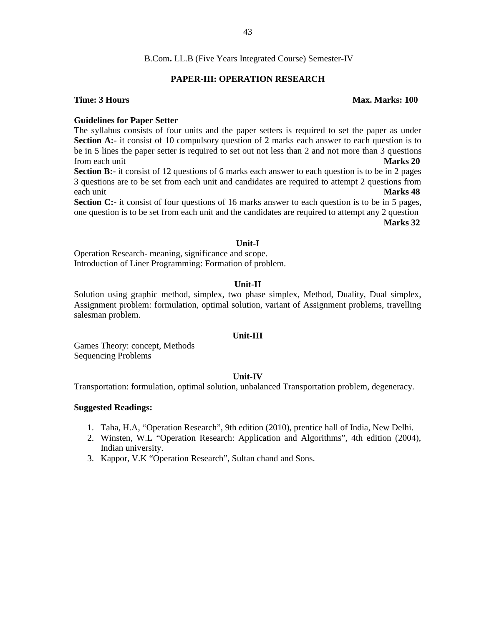#### **PAPER-III: OPERATION RESEARCH**

#### **Time: 3 Hours Max. Marks: 100**

#### **Guidelines for Paper Setter**

The syllabus consists of four units and the paper setters is required to set the paper as under **Section A:-** it consist of 10 compulsory question of 2 marks each answer to each question is to be in 5 lines the paper setter is required to set out not less than 2 and not more than 3 questions from each unit **Marks 20**

**Section B:-** it consist of 12 questions of 6 marks each answer to each question is to be in 2 pages 3 questions are to be set from each unit and candidates are required to attempt 2 questions from each unit **Marks 48**

**Section C:-** it consist of four questions of 16 marks answer to each question is to be in 5 pages, one question is to be set from each unit and the candidates are required to attempt any 2 question **Marks 32**

#### **Unit-I**

Operation Research- meaning, significance and scope. Introduction of Liner Programming: Formation of problem.

#### **Unit-II**

Solution using graphic method, simplex, two phase simplex, Method, Duality, Dual simplex, Assignment problem: formulation, optimal solution, variant of Assignment problems, travelling salesman problem.

#### **Unit-III**

Games Theory: concept, Methods Sequencing Problems

#### **Unit-IV**

Transportation: formulation, optimal solution, unbalanced Transportation problem, degeneracy.

#### **Suggested Readings:**

- 1. Taha, H.A, "Operation Research", 9th edition (2010), prentice hall of India, New Delhi.
- 2. Winsten, W.L "Operation Research: Application and Algorithms", 4th edition (2004), Indian university.
- 3. Kappor, V.K "Operation Research", Sultan chand and Sons.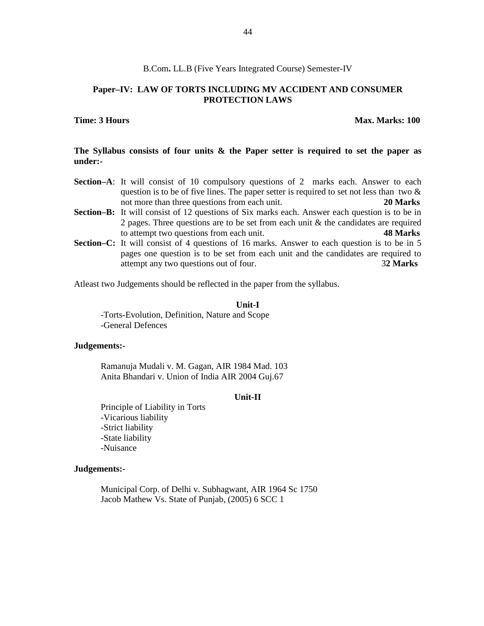#### **Paper–IV: LAW OF TORTS INCLUDING MV ACCIDENT AND CONSUMER PROTECTION LAWS**

#### **Time: 3 Hours Max. Marks: 100**

**The Syllabus consists of four units & the Paper setter is required to set the paper as under:-**

- **Section–A**: It will consist of 10 compulsory questions of 2 marks each. Answer to each question is to be of five lines. The paper setter is required to set not less than two  $\&$ not more than three questions from each unit. **20 Marks**
- **Section–B:** It will consist of 12 questions of Six marks each. Answer each question is to be in 2 pages. Three questions are to be set from each unit  $\&$  the candidates are required to attempt two questions from each unit. **48 Marks**
- **Section–C:** It will consist of 4 questions of 16 marks. Answer to each question is to be in 5 pages one question is to be set from each unit and the candidates are required to attempt any two questions out of four. 3**2 Marks**

Atleast two Judgements should be reflected in the paper from the syllabus.

#### **Unit-I**

-Torts-Evolution, Definition, Nature and Scope -General Defences

#### **Judgements:-**

Ramanuja Mudali v. M. Gagan, AIR 1984 Mad. 103 Anita Bhandari v. Union of India AIR 2004 Guj.67

#### **Unit-II**

Principle of Liability in Torts -Vicarious liability -Strict liability -State liability -Nuisance

#### **Judgements:-**

Municipal Corp. of Delhi v. Subhagwant, AIR 1964 Sc 1750 Jacob Mathew Vs. State of Punjab, (2005) 6 SCC 1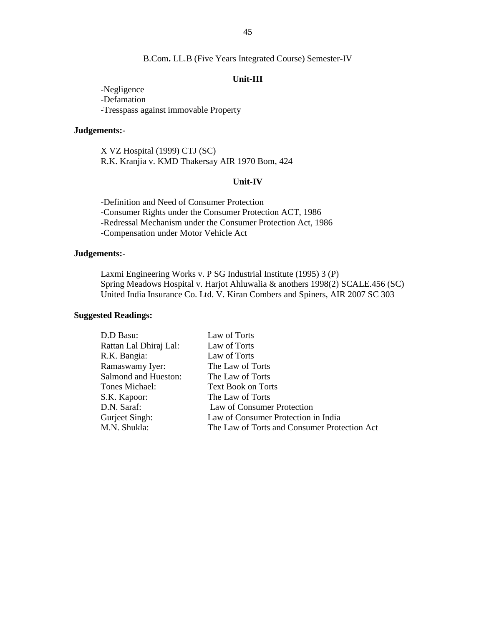#### **Unit-III**

-Negligence -Defamation -Tresspass against immovable Property

#### **Judgements:-**

X VZ Hospital (1999) CTJ (SC) R.K. Kranjia v. KMD Thakersay AIR 1970 Bom, 424

#### **Unit-IV**

-Definition and Need of Consumer Protection -Consumer Rights under the Consumer Protection ACT, 1986 -Redressal Mechanism under the Consumer Protection Act, 1986 -Compensation under Motor Vehicle Act

#### **Judgements:-**

Laxmi Engineering Works v. P SG Industrial Institute (1995) 3 (P) Spring Meadows Hospital v. Harjot Ahluwalia & anothers 1998(2) SCALE.456 (SC) United India Insurance Co. Ltd. V. Kiran Combers and Spiners, AIR 2007 SC 303

#### **Suggested Readings:**

| D.D Basu:                   | Law of Torts                                 |
|-----------------------------|----------------------------------------------|
| Rattan Lal Dhiraj Lal:      | Law of Torts                                 |
| R.K. Bangia:                | Law of Torts                                 |
| Ramaswamy Iyer:             | The Law of Torts                             |
| <b>Salmond and Hueston:</b> | The Law of Torts                             |
| Tones Michael:              | <b>Text Book on Torts</b>                    |
| S.K. Kapoor:                | The Law of Torts                             |
| D.N. Saraf:                 | Law of Consumer Protection                   |
| Gurjeet Singh:              | Law of Consumer Protection in India          |
| M.N. Shukla:                | The Law of Torts and Consumer Protection Act |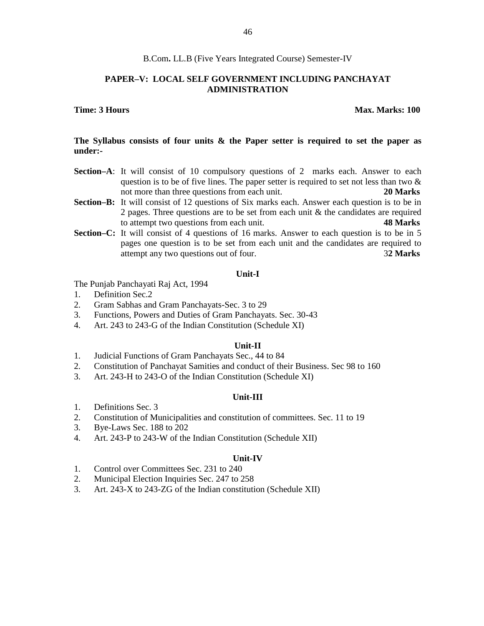#### **PAPER–V: LOCAL SELF GOVERNMENT INCLUDING PANCHAYAT ADMINISTRATION**

#### **Time: 3 Hours Max. Marks: 100**

#### **The Syllabus consists of four units & the Paper setter is required to set the paper as under:-**

- **Section–A**: It will consist of 10 compulsory questions of 2 marks each. Answer to each question is to be of five lines. The paper setter is required to set not less than two  $\&$ not more than three questions from each unit. **20 Marks**
- **Section–B:** It will consist of 12 questions of Six marks each. Answer each question is to be in 2 pages. Three questions are to be set from each unit & the candidates are required to attempt two questions from each unit. **48 Marks**
- **Section–C:** It will consist of 4 questions of 16 marks. Answer to each question is to be in 5 pages one question is to be set from each unit and the candidates are required to attempt any two questions out of four. 3**2 Marks**

#### **Unit-I**

The Punjab Panchayati Raj Act, 1994

- 1. Definition Sec.2
- 2. Gram Sabhas and Gram Panchayats-Sec. 3 to 29
- 3. Functions, Powers and Duties of Gram Panchayats. Sec. 30-43
- 4. Art. 243 to 243-G of the Indian Constitution (Schedule XI)

#### **Unit-II**

- 1. Judicial Functions of Gram Panchayats Sec., 44 to 84
- 2. Constitution of Panchayat Samities and conduct of their Business. Sec 98 to 160
- 3. Art. 243-H to 243-O of the Indian Constitution (Schedule XI)

#### **Unit-III**

- 1. Definitions Sec. 3
- 2. Constitution of Municipalities and constitution of committees. Sec. 11 to 19
- 3. Bye-Laws Sec. 188 to 202
- 4. Art. 243-P to 243-W of the Indian Constitution (Schedule XII)

#### **Unit-IV**

- 1. Control over Committees Sec. 231 to 240
- 2. Municipal Election Inquiries Sec. 247 to 258
- 3. Art. 243-X to 243-ZG of the Indian constitution (Schedule XII)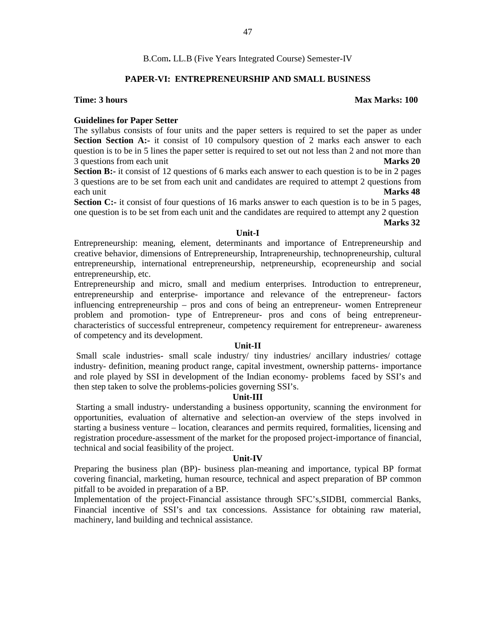#### **PAPER-VI: ENTREPRENEURSHIP AND SMALL BUSINESS**

#### **Time: 3 hours Max Marks: 100**

#### **Guidelines for Paper Setter**

The syllabus consists of four units and the paper setters is required to set the paper as under **Section Section A:-** it consist of 10 compulsory question of 2 marks each answer to each question is to be in 5 lines the paper setter is required to set out not less than 2 and not more than 3 questions from each unit **Marks 20**

**Section B:-** it consist of 12 questions of 6 marks each answer to each question is to be in 2 pages 3 questions are to be set from each unit and candidates are required to attempt 2 questions from each unit **Marks 48**

**Section C:-** it consist of four questions of 16 marks answer to each question is to be in 5 pages, one question is to be set from each unit and the candidates are required to attempt any 2 question

#### **Marks 32**

#### **Unit-I**

Entrepreneurship: meaning, element, determinants and importance of Entrepreneurship and creative behavior, dimensions of Entrepreneurship, Intrapreneurship, technopreneurship, cultural entrepreneurship, international entrepreneurship, netpreneurship, ecopreneurship and social entrepreneurship, etc.

Entrepreneurship and micro, small and medium enterprises. Introduction to entrepreneur, entrepreneurship and enterprise- importance and relevance of the entrepreneur- factors influencing entrepreneurship – pros and cons of being an entrepreneur- women Entrepreneur problem and promotion- type of Entrepreneur- pros and cons of being entrepreneur characteristics of successful entrepreneur, competency requirement for entrepreneur- awareness of competency and its development.

#### **Unit-II**

Small scale industries- small scale industry/ tiny industries/ ancillary industries/ cottage industry- definition, meaning product range, capital investment, ownership patterns- importance and role played by SSI in development of the Indian economy- problems faced by SSI's and then step taken to solve the problems-policies governing SSI's.

#### **Unit-III**

Starting a small industry- understanding a business opportunity, scanning the environment for opportunities, evaluation of alternative and selection-an overview of the steps involved in starting a business venture – location, clearances and permits required, formalities, licensing and registration procedure-assessment of the market for the proposed project-importance of financial, technical and social feasibility of the project.

#### **Unit-IV**

Preparing the business plan (BP)- business plan-meaning and importance, typical BP format covering financial, marketing, human resource, technical and aspect preparation of BP common pitfall to be avoided in preparation of a BP.

Implementation of the project-Financial assistance through SFC's,SIDBI, commercial Banks, Financial incentive of SSI's and tax concessions. Assistance for obtaining raw material, machinery, land building and technical assistance.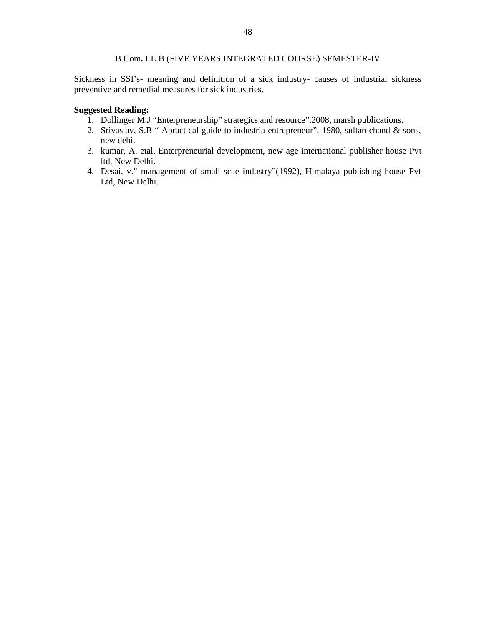#### B.Com**.** LL.B (FIVE YEARS INTEGRATED COURSE) SEMESTER-IV

Sickness in SSI's- meaning and definition of a sick industry- causes of industrial sickness preventive and remedial measures for sick industries.

#### **Suggested Reading:**

- 1. Dollinger M.J "Enterpreneurship" strategics and resource".2008, marsh publications.
- 2. Srivastav, S.B " Apractical guide to industria entrepreneur", 1980, sultan chand & sons, new dehi.
- 3. kumar, A. etal, Enterpreneurial development, new age international publisher house Pvt ltd, New Delhi.
- 4. Desai, v." management of small scae industry"(1992), Himalaya publishing house Pvt Ltd, New Delhi.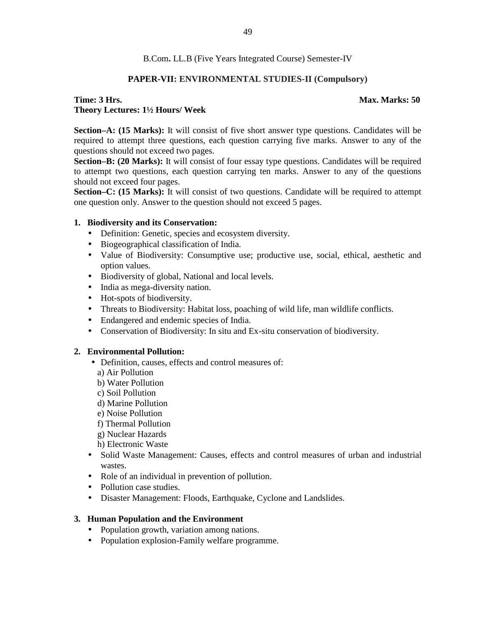#### **PAPER-VII: ENVIRONMENTAL STUDIES-II (Compulsory)**

## **Time: 3 Hrs. Max. Marks: 50 Theory Lectures: 1½ Hours/ Week**

**Section–A: (15 Marks):** It will consist of five short answer type questions. Candidates will be required to attempt three questions, each question carrying five marks. Answer to any of the questions should not exceed two pages.

**Section–B: (20 Marks):** It will consist of four essay type questions. Candidates will be required to attempt two questions, each question carrying ten marks. Answer to any of the questions should not exceed four pages.

**Section–C: (15 Marks):** It will consist of two questions. Candidate will be required to attempt one question only. Answer to the question should not exceed 5 pages.

#### **1. Biodiversity and its Conservation:**

- Definition: Genetic, species and ecosystem diversity.
- Biogeographical classification of India.
- Value of Biodiversity: Consumptive use; productive use, social, ethical, aesthetic and option values.
- Biodiversity of global, National and local levels.
- India as mega-diversity nation.
- Hot-spots of biodiversity.
- Threats to Biodiversity: Habitat loss, poaching of wild life, man wildlife conflicts.
- Endangered and endemic species of India.
- Conservation of Biodiversity: In situ and Ex-situ conservation of biodiversity.

#### **2. Environmental Pollution:**

- Definition, causes, effects and control measures of:
	- a) Air Pollution
	- b) Water Pollution
	- c) Soil Pollution
	- d) Marine Pollution
	- e) Noise Pollution
	- f) Thermal Pollution
	- g) Nuclear Hazards
	- h) Electronic Waste
- Solid Waste Management: Causes, effects and control measures of urban and industrial wastes.
- Role of an individual in prevention of pollution.
- Pollution case studies.
- Disaster Management: Floods, Earthquake, Cyclone and Landslides.

#### **3. Human Population and the Environment**

- Population growth, variation among nations.
- Population explosion-Family welfare programme.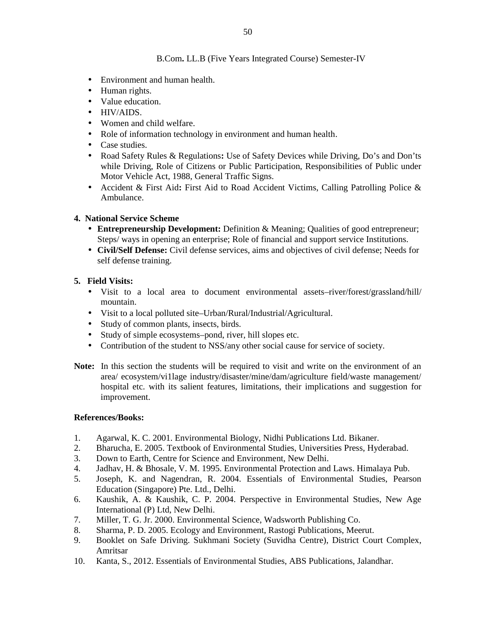- Environment and human health.
- Human rights.
- Value education.
- HIV/AIDS.
- Women and child welfare.
- Role of information technology in environment and human health.
- Case studies.
- Road Safety Rules & Regulations**:** Use of Safety Devices while Driving, Do's and Don'ts while Driving, Role of Citizens or Public Participation, Responsibilities of Public under Motor Vehicle Act, 1988, General Traffic Signs.
- Accident & First Aid**:** First Aid to Road Accident Victims, Calling Patrolling Police & Ambulance.

#### **4. National Service Scheme**

- **Entrepreneurship Development:** Definition & Meaning; Qualities of good entrepreneur; Steps/ ways in opening an enterprise; Role of financial and support service Institutions.
- **Civil/Self Defense:** Civil defense services, aims and objectives of civil defense; Needs for self defense training.

#### **5. Field Visits:**

- Visit to a local area to document environmental assets–river/forest/grassland/hill/ mountain.
- Visit to a local polluted site–Urban/Rural/Industrial/Agricultural.
- Study of common plants, insects, birds.
- Study of simple ecosystems–pond, river, hill slopes etc.
- Contribution of the student to NSS/any other social cause for service of society.
- **Note:** In this section the students will be required to visit and write on the environment of an area/ ecosystem/vi1lage industry/disaster/mine/dam/agriculture field/waste management/ hospital etc. with its salient features, limitations, their implications and suggestion for improvement.

#### **References/Books:**

- 1. Agarwal, K. C. 2001. Environmental Biology, Nidhi Publications Ltd. Bikaner.
- 2. Bharucha, E. 2005. Textbook of Environmental Studies, Universities Press, Hyderabad.
- 3. Down to Earth, Centre for Science and Environment, New Delhi.
- 4. Jadhav, H. & Bhosale, V. M. 1995. Environmental Protection and Laws. Himalaya Pub.
- 5. Joseph, K. and Nagendran, R. 2004. Essentials of Environmental Studies, Pearson Education (Singapore) Pte. Ltd., Delhi.
- 6. Kaushik, A. & Kaushik, C. P. 2004. Perspective in Environmental Studies, New Age International (P) Ltd, New Delhi.
- 7. Miller, T. G. Jr. 2000. Environmental Science, Wadsworth Publishing Co.
- 8. Sharma, P. D. 2005. Ecology and Environment, Rastogi Publications, Meerut.
- 9. Booklet on Safe Driving. Sukhmani Society (Suvidha Centre), District Court Complex, Amritsar
- 10. Kanta, S., 2012. Essentials of Environmental Studies, ABS Publications, Jalandhar.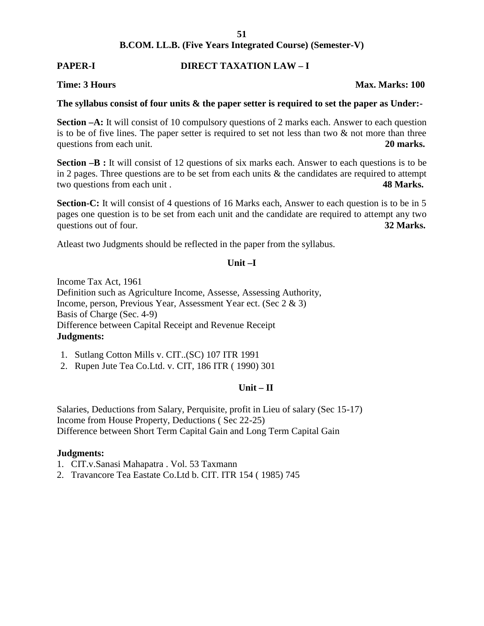## **PAPER-I DIRECT TAXATION LAW – I**

#### **Time: 3 Hours Max. Marks: 100**

#### **The syllabus consist of four units & the paper setter is required to set the paper as Under:-**

**Section –A:** It will consist of 10 compulsory questions of 2 marks each. Answer to each question is to be of five lines. The paper setter is required to set not less than two  $\&$  not more than three questions from each unit. **20 marks. 20 marks.** 

**Section –B :** It will consist of 12 questions of six marks each. Answer to each questions is to be in 2 pages. Three questions are to be set from each units  $\&$  the candidates are required to attempt two questions from each unit . **48 Marks.**

Section-C: It will consist of 4 questions of 16 Marks each, Answer to each question is to be in 5 pages one question is to be set from each unit and the candidate are required to attempt any two questions out of four. **32 Marks. 32 Marks.** 

Atleast two Judgments should be reflected in the paper from the syllabus.

#### **Unit –I**

Income Tax Act, 1961 Definition such as Agriculture Income, Assesse, Assessing Authority, Income, person, Previous Year, Assessment Year ect. (Sec 2 & 3) Basis of Charge (Sec. 4-9) Difference between Capital Receipt and Revenue Receipt **Judgments:**

- 1. Sutlang Cotton Mills v. CIT..(SC) 107 ITR 1991
- 2. Rupen Jute Tea Co.Ltd. v. CIT, 186 ITR ( 1990) 301

### **Unit – II**

Salaries, Deductions from Salary, Perquisite, profit in Lieu of salary (Sec 15-17) Income from House Property, Deductions ( Sec 22-25) Difference between Short Term Capital Gain and Long Term Capital Gain

#### **Judgments:**

- 1. CIT.v.Sanasi Mahapatra . Vol. 53 Taxmann
- 2. Travancore Tea Eastate Co.Ltd b. CIT. ITR 154 ( 1985) 745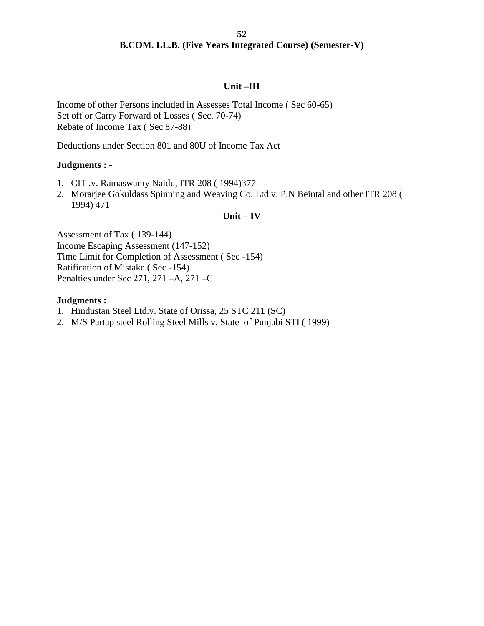#### **Unit –III**

Income of other Persons included in Assesses Total Income ( Sec 60-65) Set off or Carry Forward of Losses ( Sec. 70-74) Rebate of Income Tax ( Sec 87-88)

Deductions under Section 801 and 80U of Income Tax Act

#### **Judgments : -**

- 1. CIT .v. Ramaswamy Naidu, ITR 208 ( 1994)377
- 2. Morarjee Gokuldass Spinning and Weaving Co. Ltd v. P.N Beintal and other ITR 208 ( 1994) 471

#### **Unit – IV**

Assessment of Tax ( 139-144) Income Escaping Assessment (147-152) Time Limit for Completion of Assessment ( Sec -154) Ratification of Mistake ( Sec -154) Penalties under Sec 271, 271 –A, 271 –C

#### **Judgments :**

- 1. Hindustan Steel Ltd.v. State of Orissa, 25 STC 211 (SC)
- 2. M/S Partap steel Rolling Steel Mills v. State of Punjabi STI ( 1999)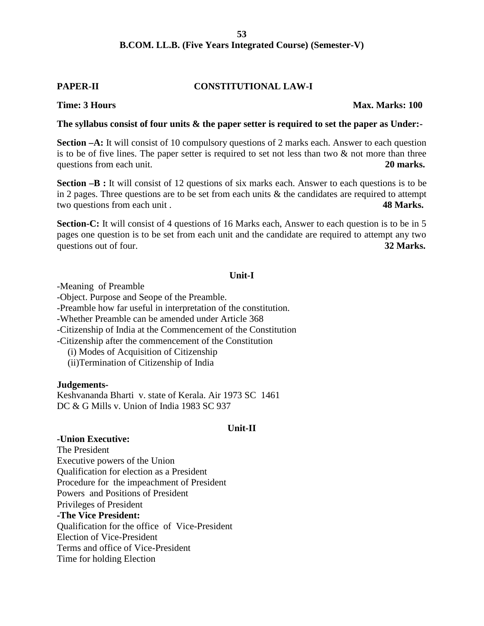#### **PAPER-II CONSTITUTIONAL LAW-I**

#### **Time: 3 Hours Max. Marks: 100**

#### **The syllabus consist of four units & the paper setter is required to set the paper as Under:-**

**Section –A:** It will consist of 10 compulsory questions of 2 marks each. Answer to each question is to be of five lines. The paper setter is required to set not less than two  $\&$  not more than three questions from each unit. **20 marks. 20 marks.** 

**Section –B :** It will consist of 12 questions of six marks each. Answer to each questions is to be in 2 pages. Three questions are to be set from each units  $\&$  the candidates are required to attempt two questions from each unit . **48 Marks.**

**Section-C:** It will consist of 4 questions of 16 Marks each, Answer to each question is to be in 5 pages one question is to be set from each unit and the candidate are required to attempt any two questions out of four. **32 Marks. 32 Marks.** 

#### **Unit-I**

-Meaning of Preamble

-Object. Purpose and Seope of the Preamble.

-Preamble how far useful in interpretation of the constitution.

-Whether Preamble can be amended under Article 368

-Citizenship of India at the Commencement of the Constitution

-Citizenship after the commencement of the Constitution

(i) Modes of Acquisition of Citizenship

(ii)Termination of Citizenship of India

#### **Judgements-**

Keshvananda Bharti v. state of Kerala. Air 1973 SC 1461 DC & G Mills v. Union of India 1983 SC 937

#### **Unit-II**

#### **-Union Executive:**

The President Executive powers of the Union Qualification for election as a President Procedure for the impeachment of President Powers and Positions of President Privileges of President **-The Vice President:** Qualification for the office of Vice-President Election of Vice-President Terms and office of Vice-President Time for holding Election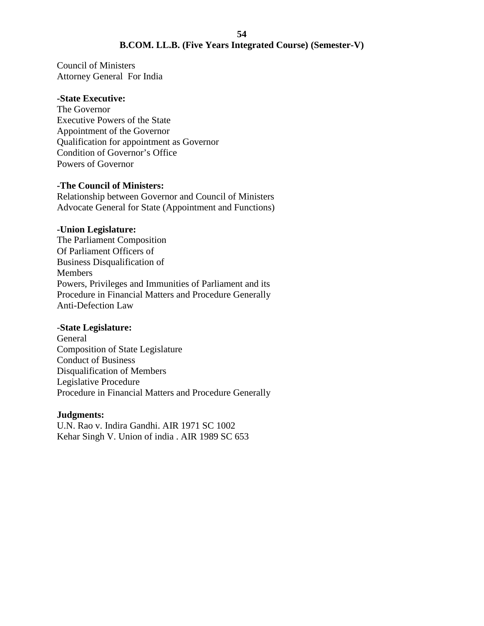Council of Ministers Attorney General For India

#### **-State Executive:**

The Governor Executive Powers of the State Appointment of the Governor Qualification for appointment as Governor Condition of Governor's Office Powers of Governor

#### **-The Council of Ministers:**

Relationship between Governor and Council of Ministers Advocate General for State (Appointment and Functions)

#### **-Union Legislature:**

The Parliament Composition Of Parliament Officers of Business Disqualification of Members Powers, Privileges and Immunities of Parliament and its Procedure in Financial Matters and Procedure Generally Anti-Defection Law

#### -**State Legislature:**

General Composition of State Legislature Conduct of Business Disqualification of Members Legislative Procedure Procedure in Financial Matters and Procedure Generally

#### **Judgments:**

U.N. Rao v. Indira Gandhi. AIR 1971 SC 1002 Kehar Singh V. Union of india . AIR 1989 SC 653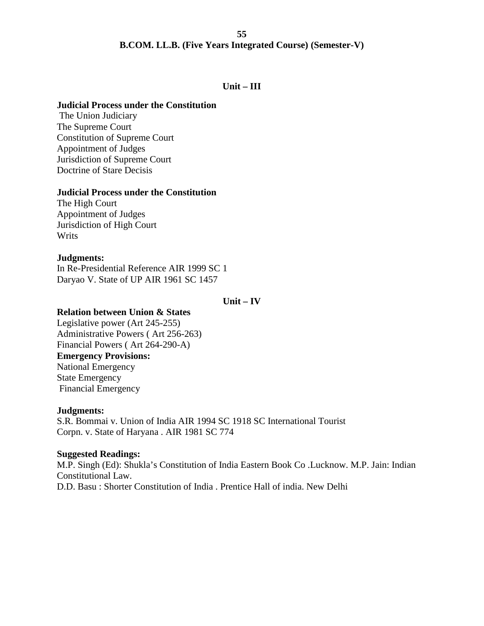## **Unit – III**

## **Judicial Process under the Constitution**

The Union Judiciary The Supreme Court Constitution of Supreme Court Appointment of Judges Jurisdiction of Supreme Court Doctrine of Stare Decisis

#### **Judicial Process under the Constitution**

The High Court Appointment of Judges Jurisdiction of High Court Writs

## **Judgments:**

In Re-Presidential Reference AIR 1999 SC 1 Daryao V. State of UP AIR 1961 SC 1457

#### **Unit – IV**

## **Relation between Union & States**

Legislative power (Art 245-255) Administrative Powers ( Art 256-263) Financial Powers ( Art 264-290-A) **Emergency Provisions:** National Emergency State Emergency Financial Emergency

#### **Judgments:**

S.R. Bommai v. Union of India AIR 1994 SC 1918 SC International Tourist Corpn. v. State of Haryana . AIR 1981 SC 774

#### **Suggested Readings:**

M.P. Singh (Ed): Shukla's Constitution of India Eastern Book Co .Lucknow. M.P. Jain: Indian Constitutional Law. D.D. Basu : Shorter Constitution of India . Prentice Hall of india. New Delhi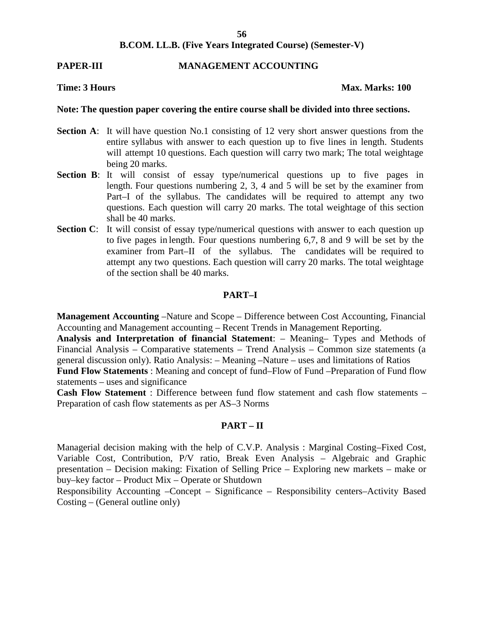#### **PAPER-III MANAGEMENT ACCOUNTING**

#### **Time: 3 Hours Max. Marks: 100**

#### **Note: The question paper covering the entire course shall be divided into three sections.**

- **Section A:** It will have question No.1 consisting of 12 very short answer questions from the entire syllabus with answer to each question up to five lines in length. Students will attempt 10 questions. Each question will carry two mark; The total weightage being 20 marks.
- **Section B**: It will consist of essay type/numerical questions up to five pages in length. Four questions numbering 2, 3, 4 and 5 will be set by the examiner from Part–I of the syllabus. The candidates will be required to attempt any two questions. Each question will carry 20 marks. The total weightage of this section shall be 40 marks.
- **Section C:** It will consist of essay type/numerical questions with answer to each question up to five pages in length. Four questions numbering 6,7, 8 and 9 will be set by the examiner from Part–II of the syllabus. The candidates will be required to attempt any two questions. Each question will carry 20 marks. The total weightage of the section shall be 40 marks.

#### **PART–I**

**Management Accounting** –Nature and Scope – Difference between Cost Accounting, Financial Accounting and Management accounting – Recent Trends in Management Reporting.

**Analysis and Interpretation of financial Statement**: – Meaning– Types and Methods of Financial Analysis – Comparative statements – Trend Analysis – Common size statements (a general discussion only). Ratio Analysis: – Meaning –Nature – uses and limitations of Ratios

**Fund Flow Statements** : Meaning and concept of fund–Flow of Fund –Preparation of Fund flow statements – uses and significance

**Cash Flow Statement** : Difference between fund flow statement and cash flow statements – Preparation of cash flow statements as per AS–3 Norms

#### **PART – II**

Managerial decision making with the help of C.V.P. Analysis : Marginal Costing–Fixed Cost, Variable Cost, Contribution, P/V ratio, Break Even Analysis – Algebraic and Graphic presentation – Decision making: Fixation of Selling Price – Exploring new markets – make or buy–key factor – Product Mix – Operate or Shutdown

Responsibility Accounting –Concept – Significance – Responsibility centers–Activity Based Costing – (General outline only)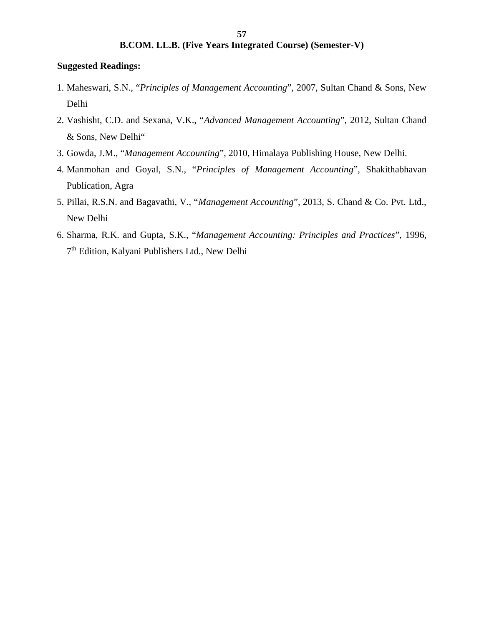#### **Suggested Readings:**

- 1. Maheswari, S.N., "*Principles of Management Accounting*", 2007, Sultan Chand & Sons, New Delhi
- 2. Vashisht, C.D. and Sexana, V.K., "*Advanced Management Accounting*", 2012, Sultan Chand & Sons, New Delhi"
- 3. Gowda, J.M., "*Management Accounting*", 2010, Himalaya Publishing House, New Delhi.
- 4. Manmohan and Goyal, S.N., "*Principles of Management Accounting*", Shakithabhavan Publication, Agra
- 5. Pillai, R.S.N. and Bagavathi, V., "*Management Accounting*", 2013, S. Chand & Co. Pvt. Ltd., New Delhi
- 6. Sharma, R.K. and Gupta, S.K., "*Management Accounting: Principles and Practices*", 1996, 7<sup>th</sup> Edition, Kalyani Publishers Ltd., New Delhi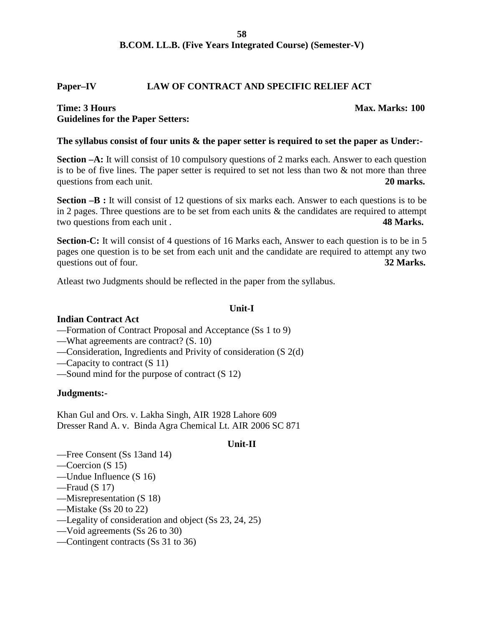#### **Paper–IV LAW OF CONTRACT AND SPECIFIC RELIEF ACT**

#### **Time: 3 Hours** Max. Marks: 100 **Guidelines for the Paper Setters:**

#### **The syllabus consist of four units & the paper setter is required to set the paper as Under:-**

**Section**  $-A$ **: It will consist of 10 compulsory questions of 2 marks each. Answer to each question** is to be of five lines. The paper setter is required to set not less than two  $\&$  not more than three questions from each unit. **20 marks. 20 marks.** 

**Section –B :** It will consist of 12 questions of six marks each. Answer to each questions is to be in 2 pages. Three questions are to be set from each units & the candidates are required to attempt two questions from each unit . **48 Marks.**

Section-C: It will consist of 4 questions of 16 Marks each, Answer to each question is to be in 5 pages one question is to be set from each unit and the candidate are required to attempt any two questions out of four. **32 Marks. 32 Marks.** 

Atleast two Judgments should be reflected in the paper from the syllabus.

#### **Unit-I**

#### **Indian Contract Act**

- —Formation of Contract Proposal and Acceptance (Ss 1 to 9)
- —What agreements are contract? (S. 10)
- —Consideration, Ingredients and Privity of consideration (S 2(d)
- —Capacity to contract (S 11)
- —Sound mind for the purpose of contract (S 12)

#### **Judgments:-**

Khan Gul and Ors. v. Lakha Singh, AIR 1928 Lahore 609 Dresser Rand A. v. Binda Agra Chemical Lt. AIR 2006 SC 871

#### **Unit-II**

- —Free Consent (Ss 13and 14)
- —Coercion (S 15)
- —Undue Influence (S 16)
- —Fraud (S 17)
- —Misrepresentation (S 18)
- —Mistake (Ss 20 to 22)
- —Legality of consideration and object (Ss 23, 24, 25)
- —Void agreements (Ss 26 to 30)
- —Contingent contracts (Ss 31 to 36)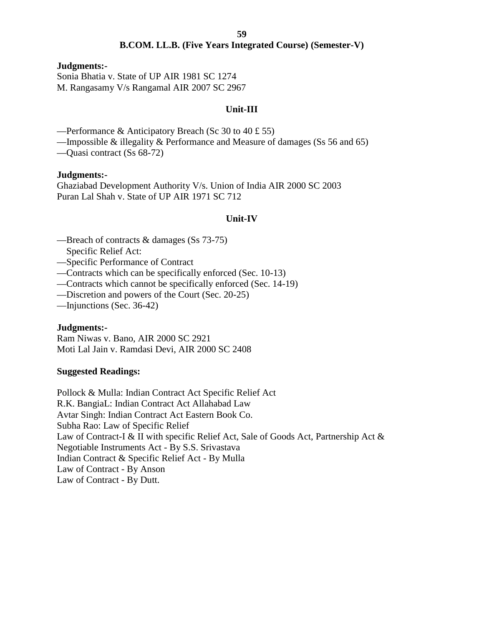#### **Judgments:-**

Sonia Bhatia v. State of UP AIR 1981 SC 1274 M. Rangasamy V/s Rangamal AIR 2007 SC 2967

## **Unit-III**

—Performance & Anticipatory Breach (Sc 30 to 40 £ 55)

—Impossible  $\&$  illegality  $\&$  Performance and Measure of damages (Ss 56 and 65)

—Quasi contract (Ss 68-72)

#### **Judgments:-**

Ghaziabad Development Authority V/s. Union of India AIR 2000 SC 2003 Puran Lal Shah v. State of UP AIR 1971 SC 712

#### **Unit-IV**

- —Breach of contracts & damages (Ss 73-75)
	- Specific Relief Act:
- —Specific Performance of Contract
- —Contracts which can be specifically enforced (Sec. 10-13)
- —Contracts which cannot be specifically enforced (Sec. 14-19)
- —Discretion and powers of the Court (Sec. 20-25)
- —Injunctions (Sec. 36-42)

#### **Judgments:-**

Ram Niwas v. Bano, AIR 2000 SC 2921 Moti Lal Jain v. Ramdasi Devi, AIR 2000 SC 2408

#### **Suggested Readings:**

Pollock & Mulla: Indian Contract Act Specific Relief Act R.K. BangiaL: Indian Contract Act Allahabad Law Avtar Singh: Indian Contract Act Eastern Book Co. Subha Rao: Law of Specific Relief Law of Contract-I & II with specific Relief Act, Sale of Goods Act, Partnership Act & Negotiable Instruments Act - By S.S. Srivastava Indian Contract & Specific Relief Act - By Mulla Law of Contract - By Anson Law of Contract - By Dutt.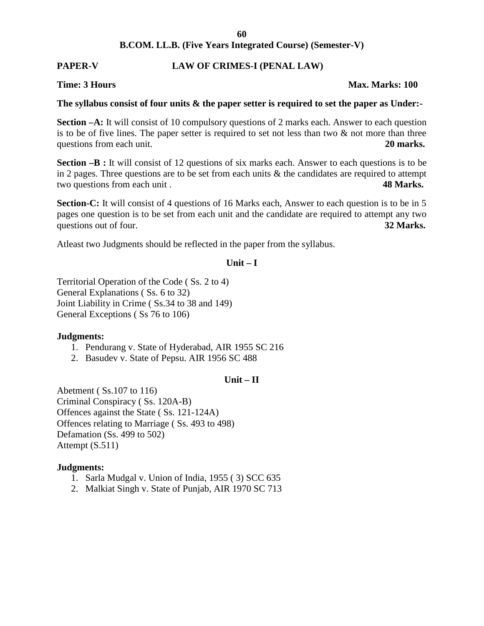## **PAPER-V LAW OF CRIMES-I (PENAL LAW)**

#### **Time: 3 Hours Max. Marks: 100**

## **The syllabus consist of four units & the paper setter is required to set the paper as Under:-**

**Section –A:** It will consist of 10 compulsory questions of 2 marks each. Answer to each question is to be of five lines. The paper setter is required to set not less than two  $\&$  not more than three questions from each unit. **20 marks. 20 marks.** 

**Section –B :** It will consist of 12 questions of six marks each. Answer to each questions is to be in 2 pages. Three questions are to be set from each units  $\&$  the candidates are required to attempt two questions from each unit . **48 Marks.**

Section-C: It will consist of 4 questions of 16 Marks each, Answer to each question is to be in 5 pages one question is to be set from each unit and the candidate are required to attempt any two questions out of four. **32 Marks. 32 Marks.** 

Atleast two Judgments should be reflected in the paper from the syllabus.

#### $Unit - I$

Territorial Operation of the Code ( Ss. 2 to 4) General Explanations ( Ss. 6 to 32) Joint Liability in Crime ( Ss.34 to 38 and 149) General Exceptions ( Ss 76 to 106)

#### **Judgments:**

- 1. Pendurang v. State of Hyderabad, AIR 1955 SC 216
- 2. Basudev v. State of Pepsu. AIR 1956 SC 488

#### **Unit – II**

Abetment ( Ss.107 to 116) Criminal Conspiracy ( Ss. 120A-B) Offences against the State ( Ss. 121-124A) Offences relating to Marriage ( Ss. 493 to 498) Defamation (Ss. 499 to 502) Attempt (S.511)

#### **Judgments:**

- 1. Sarla Mudgal v. Union of India, 1955 ( 3) SCC 635
- 2. Malkiat Singh v. State of Punjab, AIR 1970 SC 713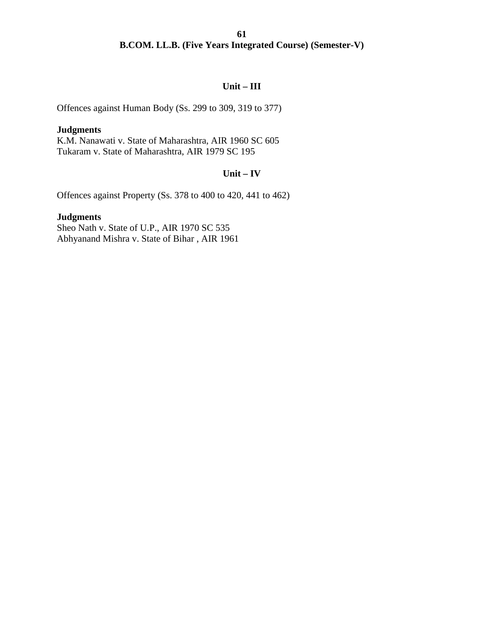## **Unit – III**

Offences against Human Body (Ss. 299 to 309, 319 to 377)

#### **Judgments**

K.M. Nanawati v. State of Maharashtra, AIR 1960 SC 605 Tukaram v. State of Maharashtra, AIR 1979 SC 195

## **Unit – IV**

Offences against Property (Ss. 378 to 400 to 420, 441 to 462)

## **Judgments**

Sheo Nath v. State of U.P., AIR 1970 SC 535 Abhyanand Mishra v. State of Bihar , AIR 1961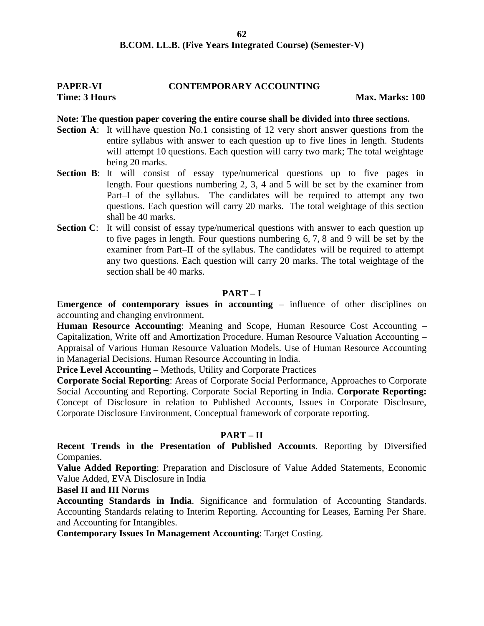## **PAPER-VI CONTEMPORARY ACCOUNTING**

**Time: 3 Hours Max. Marks:** 100

#### **Note: The question paper covering the entire course shall be divided into three sections.**

- **Section A:** It will have question No.1 consisting of 12 very short answer questions from the entire syllabus with answer to each question up to five lines in length. Students will attempt 10 questions. Each question will carry two mark; The total weightage being 20 marks.
- **Section B:** It will consist of essay type/numerical questions up to five pages in length. Four questions numbering 2, 3, 4 and 5 will be set by the examiner from Part–I of the syllabus. The candidates will be required to attempt any two questions. Each question will carry 20 marks. The total weightage of this section shall be 40 marks.
- **Section C:** It will consist of essay type/numerical questions with answer to each question up to five pages in length. Four questions numbering 6, 7, 8 and 9 will be set by the examiner from Part–II of the syllabus. The candidates will be required to attempt any two questions. Each question will carry 20 marks. The total weightage of the section shall be 40 marks.

#### **PART – I**

**Emergence of contemporary issues in accounting** – influence of other disciplines on accounting and changing environment.

**Human Resource Accounting**: Meaning and Scope, Human Resource Cost Accounting – Capitalization, Write off and Amortization Procedure. Human Resource Valuation Accounting – Appraisal of Various Human Resource Valuation Models. Use of Human Resource Accounting in Managerial Decisions. Human Resource Accounting in India.

**Price Level Accounting** – Methods, Utility and Corporate Practices

**Corporate Social Reporting**: Areas of Corporate Social Performance, Approaches to Corporate Social Accounting and Reporting. Corporate Social Reporting in India. **Corporate Reporting:** Concept of Disclosure in relation to Published Accounts, Issues in Corporate Disclosure, Corporate Disclosure Environment, Conceptual framework of corporate reporting.

#### **PART – II**

**Recent Trends in the Presentation of Published Accounts**. Reporting by Diversified Companies.

**Value Added Reporting**: Preparation and Disclosure of Value Added Statements, Economic Value Added, EVA Disclosure in India

#### **Basel II and III Norms**

**Accounting Standards in India**. Significance and formulation of Accounting Standards. Accounting Standards relating to Interim Reporting. Accounting for Leases, Earning Per Share. and Accounting for Intangibles.

**Contemporary Issues In Management Accounting**: Target Costing.

**62**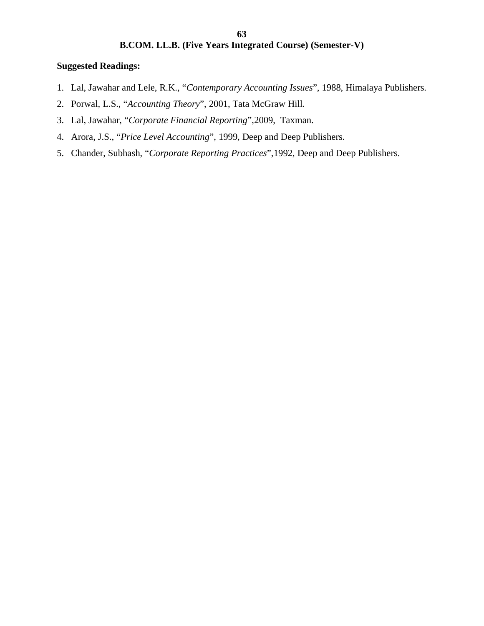## **Suggested Readings:**

- 1. Lal, Jawahar and Lele, R.K., "*Contemporary Accounting Issues*", 1988, Himalaya Publishers.
- 2. Porwal, L.S., "*Accounting Theory*", 2001, Tata McGraw Hill.
- 3. Lal, Jawahar, "*Corporate Financial Reporting*",2009, Taxman.
- 4. Arora, J.S., "*Price Level Accounting*", 1999, Deep and Deep Publishers.
- 5. Chander, Subhash, "*Corporate Reporting Practices*",1992, Deep and Deep Publishers.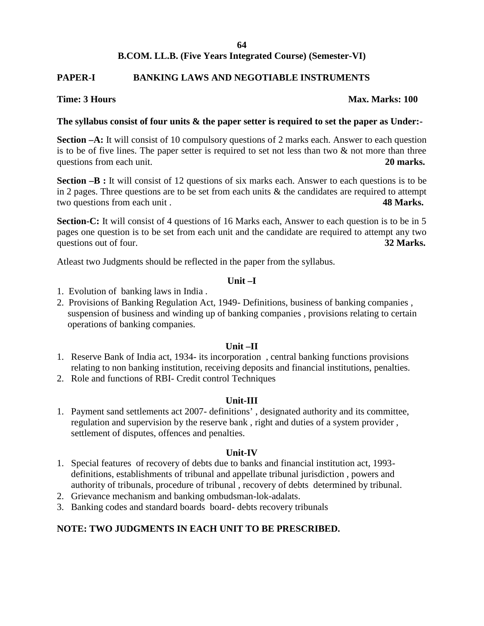#### **B.COM. LL.B. (Five Years Integrated Course) (Semester-VI)**

#### **PAPER-I BANKING LAWS AND NEGOTIABLE INSTRUMENTS**

#### **Time: 3 Hours Max. Marks: 100**

#### **The syllabus consist of four units & the paper setter is required to set the paper as Under:-**

**Section –A:** It will consist of 10 compulsory questions of 2 marks each. Answer to each question is to be of five lines. The paper setter is required to set not less than two  $\&$  not more than three questions from each unit. **20 marks. 20 marks.** 

**Section –B :** It will consist of 12 questions of six marks each. Answer to each questions is to be in 2 pages. Three questions are to be set from each units  $\&$  the candidates are required to attempt two questions from each unit . **48 Marks.**

Section-C: It will consist of 4 questions of 16 Marks each, Answer to each question is to be in 5 pages one question is to be set from each unit and the candidate are required to attempt any two questions out of four. **32 Marks. 32 Marks.** 

Atleast two Judgments should be reflected in the paper from the syllabus.

#### **Unit –I**

- 1. Evolution of banking laws in India .
- 2. Provisions of Banking Regulation Act, 1949- Definitions, business of banking companies , suspension of business and winding up of banking companies , provisions relating to certain operations of banking companies.

#### **Unit –II**

- 1. Reserve Bank of India act, 1934- its incorporation , central banking functions provisions relating to non banking institution, receiving deposits and financial institutions, penalties.
- 2. Role and functions of RBI- Credit control Techniques

#### **Unit-III**

1. Payment sand settlements act 2007- definitions' , designated authority and its committee, regulation and supervision by the reserve bank , right and duties of a system provider , settlement of disputes, offences and penalties.

#### **Unit-IV**

- 1. Special features of recovery of debts due to banks and financial institution act, 1993 definitions, establishments of tribunal and appellate tribunal jurisdiction , powers and authority of tribunals, procedure of tribunal , recovery of debts determined by tribunal.
- 2. Grievance mechanism and banking ombudsman-lok-adalats.
- 3. Banking codes and standard boards board- debts recovery tribunals

## **NOTE: TWO JUDGMENTS IN EACH UNIT TO BE PRESCRIBED.**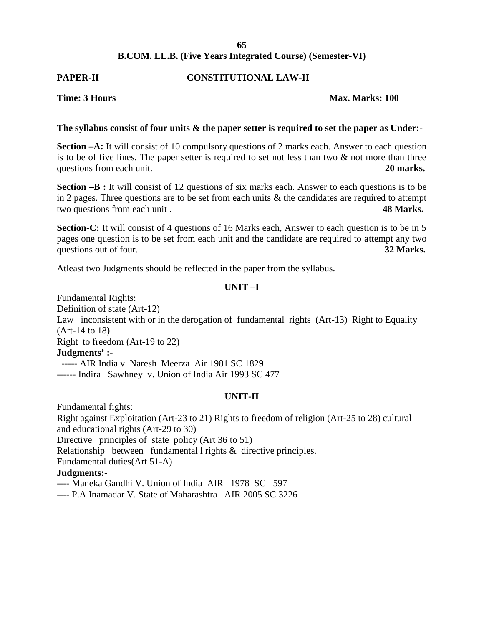#### **B.COM. LL.B. (Five Years Integrated Course) (Semester-VI)**

## **PAPER-II CONSTITUTIONAL LAW-II**

#### **Time: 3 Hours Max. Marks: 100**

#### **The syllabus consist of four units & the paper setter is required to set the paper as Under:-**

**Section –A:** It will consist of 10 compulsory questions of 2 marks each. Answer to each question is to be of five lines. The paper setter is required to set not less than two  $\&$  not more than three questions from each unit. **20 marks. 20 marks.** 

**Section –B :** It will consist of 12 questions of six marks each. Answer to each questions is to be in 2 pages. Three questions are to be set from each units  $\&$  the candidates are required to attempt two questions from each unit . **48 Marks.**

Section-C: It will consist of 4 questions of 16 Marks each, Answer to each question is to be in 5 pages one question is to be set from each unit and the candidate are required to attempt any two questions out of four. **32 Marks. 32 Marks.** 

Atleast two Judgments should be reflected in the paper from the syllabus.

## **UNIT –I**

Fundamental Rights: Definition of state (Art-12) Law inconsistent with or in the derogation of fundamental rights (Art-13) Right to Equality (Art-14 to 18) Right to freedom (Art-19 to 22) **Judgments' :-** ----- AIR India v. Naresh Meerza Air 1981 SC 1829 ------ Indira Sawhney v. Union of India Air 1993 SC 477

#### **UNIT-II**

Fundamental fights: Right against Exploitation (Art-23 to 21) Rights to freedom of religion (Art-25 to 28) cultural and educational rights (Art-29 to 30) Directive principles of state policy (Art 36 to 51) Relationship between fundamental l rights & directive principles. Fundamental duties(Art 51-A) **Judgments:-** ---- Maneka Gandhi V. Union of India AIR 1978 SC 597

---- P.A Inamadar V. State of Maharashtra AIR 2005 SC 3226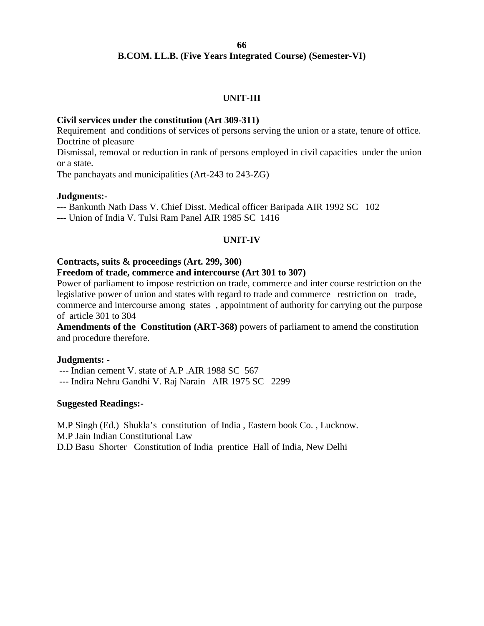## **B.COM. LL.B. (Five Years Integrated Course) (Semester-VI)**

#### **UNIT-III**

#### **Civil services under the constitution (Art 309-311)**

Requirement and conditions of services of persons serving the union or a state, tenure of office. Doctrine of pleasure

Dismissal, removal or reduction in rank of persons employed in civil capacities under the union or a state.

The panchayats and municipalities (Art-243 to 243-ZG)

#### **Judgments:-**

--- Bankunth Nath Dass V. Chief Disst. Medical officer Baripada AIR 1992 SC 102

--- Union of India V. Tulsi Ram Panel AIR 1985 SC 1416

#### **UNIT-IV**

#### **Contracts, suits & proceedings (Art. 299, 300)**

#### **Freedom of trade, commerce and intercourse (Art 301 to 307)**

Power of parliament to impose restriction on trade, commerce and inter course restriction on the legislative power of union and states with regard to trade and commerce restriction on trade, commerce and intercourse among states , appointment of authority for carrying out the purpose of article 301 to 304

**Amendments of the Constitution (ART-368)** powers of parliament to amend the constitution and procedure therefore.

#### **Judgments: -**

--- Indian cement V. state of A.P .AIR 1988 SC 567

--- Indira Nehru Gandhi V. Raj Narain AIR 1975 SC 2299

#### **Suggested Readings:-**

M.P Singh (Ed.) Shukla's constitution of India , Eastern book Co. , Lucknow. M.P Jain Indian Constitutional Law

D.D Basu Shorter Constitution of India prentice Hall of India, New Delhi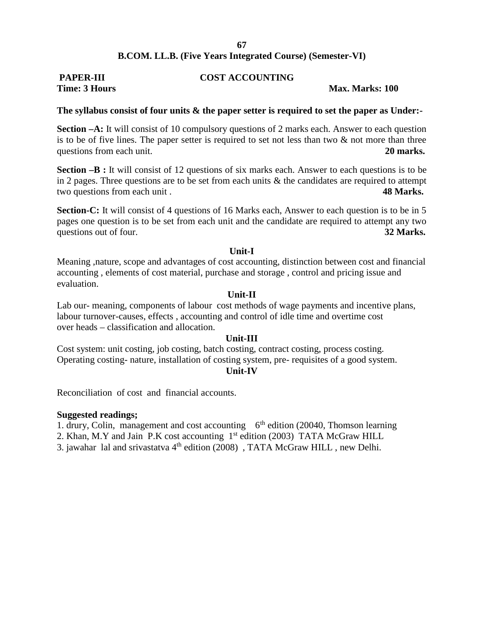## **PAPER-III COST ACCOUNTING Time: 3 Hours Max. Marks: 100**

#### **The syllabus consist of four units & the paper setter is required to set the paper as Under:-**

**Section –A:** It will consist of 10 compulsory questions of 2 marks each. Answer to each question is to be of five lines. The paper setter is required to set not less than two  $\&$  not more than three questions from each unit. **20 marks. 20 marks.** 

**Section –B :** It will consist of 12 questions of six marks each. Answer to each questions is to be in 2 pages. Three questions are to be set from each units  $\&$  the candidates are required to attempt two questions from each unit . **48 Marks.**

**Section-C:** It will consist of 4 questions of 16 Marks each, Answer to each question is to be in 5 pages one question is to be set from each unit and the candidate are required to attempt any two questions out of four. **32 Marks. 32 Marks.** 

#### **Unit-I**

Meaning ,nature, scope and advantages of cost accounting, distinction between cost and financial accounting , elements of cost material, purchase and storage , control and pricing issue and evaluation.

#### **Unit-II**

Lab our- meaning, components of labour cost methods of wage payments and incentive plans, labour turnover-causes, effects , accounting and control of idle time and overtime cost over heads – classification and allocation.

#### **Unit-III**

Cost system: unit costing, job costing, batch costing, contract costing, process costing. Operating costing- nature, installation of costing system, pre- requisites of a good system.

#### **Unit-IV**

Reconciliation of cost and financial accounts.

#### **Suggested readings;**

1. drury, Colin, management and cost accounting  $6<sup>th</sup>$  edition (20040, Thomson learning

2. Khan, M.Y and Jain P.K cost accounting 1<sup>st</sup> edition (2003) TATA McGraw HILL

3. jawahar lal and srivastatva  $4<sup>th</sup>$  edition (2008), TATA McGraw HILL, new Delhi.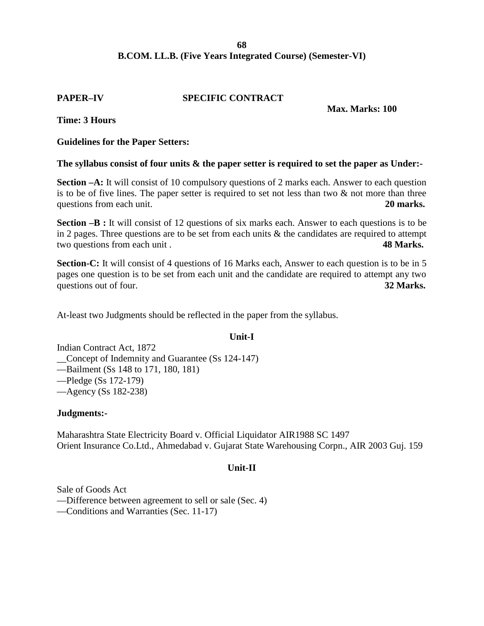## **B.COM. LL.B. (Five Years Integrated Course) (Semester-VI)**

#### **PAPER–IV SPECIFIC CONTRACT**

#### **Max. Marks: 100**

**Time: 3 Hours**

#### **Guidelines for the Paper Setters:**

#### **The syllabus consist of four units & the paper setter is required to set the paper as Under:-**

**Section –A:** It will consist of 10 compulsory questions of 2 marks each. Answer to each question is to be of five lines. The paper setter is required to set not less than two  $\&$  not more than three questions from each unit. **20 marks. 20 marks.** 

**Section –B :** It will consist of 12 questions of six marks each. Answer to each questions is to be in 2 pages. Three questions are to be set from each units  $\&$  the candidates are required to attempt two questions from each unit . **48 Marks.**

**Section-C:** It will consist of 4 questions of 16 Marks each, Answer to each question is to be in 5 pages one question is to be set from each unit and the candidate are required to attempt any two questions out of four. **32 Marks. 32 Marks.** 

At-least two Judgments should be reflected in the paper from the syllabus.

#### **Unit-I**

Indian Contract Act, 1872 \_\_Concept of Indemnity and Guarantee (Ss 124-147)

—Bailment (Ss 148 to 171, 180, 181)

—Pledge (Ss 172-179)

—Agency (Ss 182-238)

#### **Judgments:-**

Maharashtra State Electricity Board v. Official Liquidator AIR1988 SC 1497 Orient Insurance Co.Ltd., Ahmedabad v. Gujarat State Warehousing Corpn., AIR 2003 Guj. 159

#### **Unit-II**

Sale of Goods Act —Difference between agreement to sell or sale (Sec. 4) —Conditions and Warranties (Sec. 11-17)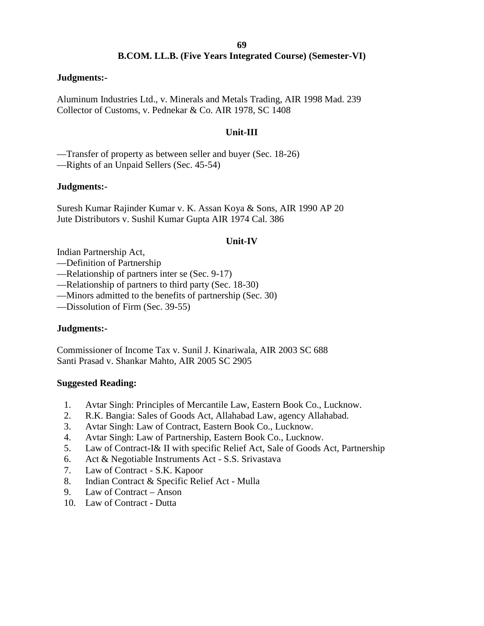## **B.COM. LL.B. (Five Years Integrated Course) (Semester-VI)**

#### **Judgments:-**

Aluminum Industries Ltd., v. Minerals and Metals Trading, AIR 1998 Mad. 239 Collector of Customs, v. Pednekar & Co. AIR 1978, SC 1408

## **Unit-III**

—Transfer of property as between seller and buyer (Sec. 18-26)

—Rights of an Unpaid Sellers (Sec. 45-54)

#### **Judgments:-**

Suresh Kumar Rajinder Kumar v. K. Assan Koya & Sons, AIR 1990 AP 20 Jute Distributors v. Sushil Kumar Gupta AIR 1974 Cal. 386

#### **Unit-IV**

Indian Partnership Act,

- —Definition of Partnership
- —Relationship of partners inter se (Sec. 9-17)
- —Relationship of partners to third party (Sec. 18-30)
- —Minors admitted to the benefits of partnership (Sec. 30)
- —Dissolution of Firm (Sec. 39-55)

#### **Judgments:-**

Commissioner of Income Tax v. Sunil J. Kinariwala, AIR 2003 SC 688 Santi Prasad v. Shankar Mahto, AIR 2005 SC 2905

#### **Suggested Reading:**

- 1. Avtar Singh: Principles of Mercantile Law, Eastern Book Co., Lucknow.
- 2. R.K. Bangia: Sales of Goods Act, Allahabad Law, agency Allahabad.
- 3. Avtar Singh: Law of Contract, Eastern Book Co., Lucknow.
- 4. Avtar Singh: Law of Partnership, Eastern Book Co., Lucknow.
- 5. Law of Contract-I& II with specific Relief Act, Sale of Goods Act, Partnership
- 6. Act & Negotiable Instruments Act S.S. Srivastava
- 7. Law of Contract S.K. Kapoor
- 8. Indian Contract & Specific Relief Act Mulla
- 9. Law of Contract Anson
- 10. Law of Contract Dutta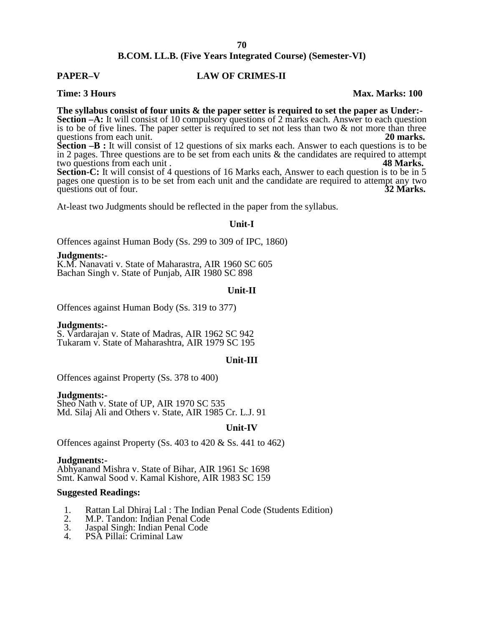#### **PAPER–V LAW OF CRIMES-II**

#### **Time: 3 Hours Max. Marks: 100**

**The syllabus consist of four units & the paper setter is required to set the paper as Under:- Section –A:** It will consist of 10 compulsory questions of 2 marks each. Answer to each question is to be of five lines. The paper setter is required to set not less than two  $\&$  not more than three

questions from each unit. **20 marks. 20 marks. Section –B :** It will consist of 12 questions of six marks each. Answer to each questions is to be in 2 pages. Three questions are to be set from each units  $\&$  the candidates are required to attempt two questions from each unit. two questions from each unit.

Section-C: It will consist of 4 questions of 16 Marks each, Answer to each question is to be in 5 pages one question is to be set from each unit and the candidate are required to attempt any two questions out of four. questions out of four.

At-least two Judgments should be reflected in the paper from the syllabus.

#### **Unit-I**

Offences against Human Body (Ss. 299 to 309 of IPC, 1860)

**Judgments:-** K.M. Nanavati v. State of Maharastra, AIR 1960 SC 605 Bachan Singh v. State of Punjab, AIR 1980 SC 898

#### **Unit-II**

Offences against Human Body (Ss. 319 to 377)

**Judgments:-** S. Vardarajan v. State of Madras, AIR 1962 SC <sup>942</sup> Tukaram v. State of Maharashtra, AIR 1979 SC 195

#### **Unit-III**

Offences against Property (Ss. 378 to 400)

**Judgments:-** Sheo Nath v. State of UP, AIR 1970 SC 535 Md. Silaj Ali and Others v. State, AIR 1985 Cr. L.J. 91

#### **Unit-IV**

Offences against Property (Ss. 403 to 420 & Ss. 441 to 462)

**Judgments:-** Abhyanand Mishra v. State of Bihar, AIR 1961 Sc 1698 Smt. Kanwal Sood v. Kamal Kishore, AIR 1983 SC 159

#### **Suggested Readings:**

- 1. Rattan Lal Dhiraj Lal : The Indian Penal Code (Students Edition)<br>2. M.P. Tandon: Indian Penal Code
- 2. M.P. Tandon: Indian Penal Code<br>3. Jaspal Singh: Indian Penal Code
- 3. Jaspal Singh: Indian Penal Code
- PSA Pillai: Criminal Law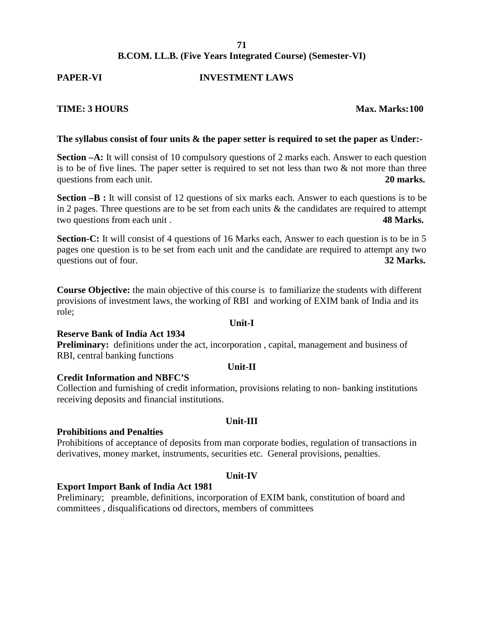#### **B.COM. LL.B. (Five Years Integrated Course) (Semester-VI)**

#### **PAPER-VI INVESTMENT LAWS**

#### **TIME: 3 HOURS Max. Marks:100**

#### **The syllabus consist of four units & the paper setter is required to set the paper as Under:-**

**Section –A:** It will consist of 10 compulsory questions of 2 marks each. Answer to each question is to be of five lines. The paper setter is required to set not less than two  $\&$  not more than three questions from each unit. **20 marks. 20 marks.** 

**Section –B :** It will consist of 12 questions of six marks each. Answer to each questions is to be in 2 pages. Three questions are to be set from each units  $\&$  the candidates are required to attempt two questions from each unit . **48 Marks.**

**Section-C:** It will consist of 4 questions of 16 Marks each, Answer to each question is to be in 5 pages one question is to be set from each unit and the candidate are required to attempt any two questions out of four. **32 Marks. 32 Marks.** 

**Course Objective:** the main objective of this course is to familiarize the students with different provisions of investment laws, the working of RBI and working of EXIM bank of India and its role;

## **Unit-I**

#### **Reserve Bank of India Act 1934**

**Preliminary:** definitions under the act, incorporation, capital, management and business of RBI, central banking functions

## **Unit-II**

#### **Credit Information and NBFC'S**

Collection and furnishing of credit information, provisions relating to non- banking institutions receiving deposits and financial institutions.

**Unit-III**

#### **Prohibitions and Penalties**

Prohibitions of acceptance of deposits from man corporate bodies, regulation of transactions in derivatives, money market, instruments, securities etc. General provisions, penalties.

#### **Unit-IV**

#### **Export Import Bank of India Act 1981**

Preliminary; preamble, definitions, incorporation of EXIM bank, constitution of board and committees , disqualifications od directors, members of committees